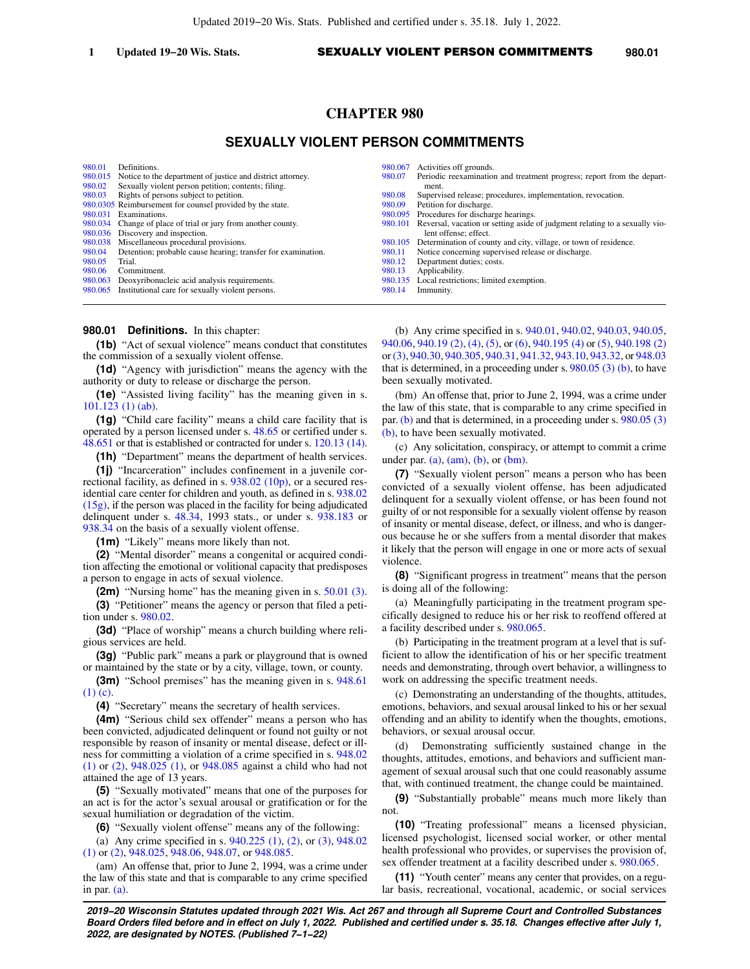# **CHAPTER 980**

# **SEXUALLY VIOLENT PERSON COMMITMENTS**

| 980.01  | Definitions.                                                  | 980.067 | Activities off grounds.                                                     |
|---------|---------------------------------------------------------------|---------|-----------------------------------------------------------------------------|
| 980.015 | Notice to the department of justice and district attorney.    | 980.07  | Periodic reexamination and treatment progress; report from the depart-      |
| 980.02  | Sexually violent person petition; contents; filing.           |         | ment.                                                                       |
| 980.03  | Rights of persons subject to petition.                        | 980.08  | Supervised release; procedures, implementation, revocation.                 |
|         | 980.0305 Reimbursement for counsel provided by the state.     | 980.09  | Petition for discharge.                                                     |
| 980.031 | Examinations.                                                 | 980.095 | Procedures for discharge hearings.                                          |
|         | 980.034 Change of place of trial or jury from another county. | 980.101 | Reversal, vacation or setting aside of judgment relating to a sexually vio- |
| 980.036 | Discovery and inspection.                                     |         | lent offense; effect.                                                       |
| 980.038 | Miscellaneous procedural provisions.                          | 980.105 | Determination of county and city, village, or town of residence.            |
| 980.04  | Detention; probable cause hearing; transfer for examination.  | 980.11  | Notice concerning supervised release or discharge.                          |
| 980.05  | Trial.                                                        | 980.12  | Department duties; costs.                                                   |
| 980.06  | Commitment.                                                   | 980.13  | Applicability.                                                              |
| 980.063 | Deoxyribonucleic acid analysis requirements.                  | 980.135 | Local restrictions; limited exemption.                                      |
|         | 980.065 Institutional care for sexually violent persons.      | 980.14  | Immunity.                                                                   |

### **980.01 Definitions.** In this chapter:

**(1b)** "Act of sexual violence" means conduct that constitutes the commission of a sexually violent offense.

**(1d)** "Agency with jurisdiction" means the agency with the authority or duty to release or discharge the person.

**(1e)** "Assisted living facility" has the meaning given in s. [101.123 \(1\) \(ab\).](https://docs.legis.wisconsin.gov/document/statutes/101.123(1)(ab))

**(1g)** "Child care facility" means a child care facility that is operated by a person licensed under s. [48.65](https://docs.legis.wisconsin.gov/document/statutes/48.65) or certified under s. [48.651](https://docs.legis.wisconsin.gov/document/statutes/48.651) or that is established or contracted for under s. [120.13 \(14\).](https://docs.legis.wisconsin.gov/document/statutes/120.13(14))

**(1h)** "Department" means the department of health services.

**(1j)** "Incarceration" includes confinement in a juvenile correctional facility, as defined in s. [938.02 \(10p\)](https://docs.legis.wisconsin.gov/document/statutes/938.02(10p)), or a secured residential care center for children and youth, as defined in s. [938.02](https://docs.legis.wisconsin.gov/document/statutes/938.02(15g)) [\(15g\)](https://docs.legis.wisconsin.gov/document/statutes/938.02(15g)), if the person was placed in the facility for being adjudicated delinquent under s. [48.34](https://docs.legis.wisconsin.gov/document/statutes/1993/48.34), 1993 stats., or under s. [938.183](https://docs.legis.wisconsin.gov/document/statutes/938.183) or [938.34](https://docs.legis.wisconsin.gov/document/statutes/938.34) on the basis of a sexually violent offense.

**(1m)** "Likely" means more likely than not.

**(2)** "Mental disorder" means a congenital or acquired condition affecting the emotional or volitional capacity that predisposes a person to engage in acts of sexual violence.

**(2m)** "Nursing home" has the meaning given in s. [50.01 \(3\).](https://docs.legis.wisconsin.gov/document/statutes/50.01(3)) **(3)** "Petitioner" means the agency or person that filed a petition under s. [980.02.](https://docs.legis.wisconsin.gov/document/statutes/980.02)

**(3d)** "Place of worship" means a church building where religious services are held.

**(3g)** "Public park" means a park or playground that is owned or maintained by the state or by a city, village, town, or county.

**(3m)** "School premises" has the meaning given in s. [948.61](https://docs.legis.wisconsin.gov/document/statutes/948.61(1)(c)) [\(1\) \(c\).](https://docs.legis.wisconsin.gov/document/statutes/948.61(1)(c))

**(4)** "Secretary" means the secretary of health services.

**(4m)** "Serious child sex offender" means a person who has been convicted, adjudicated delinquent or found not guilty or not responsible by reason of insanity or mental disease, defect or illness for committing a violation of a crime specified in s. [948.02](https://docs.legis.wisconsin.gov/document/statutes/948.02(1)) [\(1\)](https://docs.legis.wisconsin.gov/document/statutes/948.02(1)) or [\(2\)](https://docs.legis.wisconsin.gov/document/statutes/948.02(2)), [948.025 \(1\)](https://docs.legis.wisconsin.gov/document/statutes/948.025(1)), or [948.085](https://docs.legis.wisconsin.gov/document/statutes/948.085) against a child who had not attained the age of 13 years.

**(5)** "Sexually motivated" means that one of the purposes for an act is for the actor's sexual arousal or gratification or for the sexual humiliation or degradation of the victim.

**(6)** "Sexually violent offense" means any of the following:

(a) Any crime specified in s. [940.225 \(1\),](https://docs.legis.wisconsin.gov/document/statutes/940.225(1)) [\(2\)](https://docs.legis.wisconsin.gov/document/statutes/940.225(2)), or [\(3\)](https://docs.legis.wisconsin.gov/document/statutes/940.225(3)), [948.02](https://docs.legis.wisconsin.gov/document/statutes/948.02(1)) [\(1\)](https://docs.legis.wisconsin.gov/document/statutes/948.02(1)) or [\(2\),](https://docs.legis.wisconsin.gov/document/statutes/948.02(2)) [948.025,](https://docs.legis.wisconsin.gov/document/statutes/948.025) [948.06](https://docs.legis.wisconsin.gov/document/statutes/948.06), [948.07,](https://docs.legis.wisconsin.gov/document/statutes/948.07) or [948.085.](https://docs.legis.wisconsin.gov/document/statutes/948.085)

(am) An offense that, prior to June 2, 1994, was a crime under the law of this state and that is comparable to any crime specified in par. [\(a\).](https://docs.legis.wisconsin.gov/document/statutes/980.01(6)(a))

(b) Any crime specified in s. [940.01](https://docs.legis.wisconsin.gov/document/statutes/940.01), [940.02](https://docs.legis.wisconsin.gov/document/statutes/940.02), [940.03,](https://docs.legis.wisconsin.gov/document/statutes/940.03) [940.05,](https://docs.legis.wisconsin.gov/document/statutes/940.05) [940.06,](https://docs.legis.wisconsin.gov/document/statutes/940.06) [940.19 \(2\)](https://docs.legis.wisconsin.gov/document/statutes/940.19(2)), [\(4\),](https://docs.legis.wisconsin.gov/document/statutes/940.19(4)) [\(5\)](https://docs.legis.wisconsin.gov/document/statutes/940.19(5)), or [\(6\)](https://docs.legis.wisconsin.gov/document/statutes/940.19(6)), [940.195 \(4\)](https://docs.legis.wisconsin.gov/document/statutes/940.195(4)) or [\(5\),](https://docs.legis.wisconsin.gov/document/statutes/940.195(5)) [940.198 \(2\)](https://docs.legis.wisconsin.gov/document/statutes/940.198(2)) or[\(3\)](https://docs.legis.wisconsin.gov/document/statutes/940.198(3)), [940.30,](https://docs.legis.wisconsin.gov/document/statutes/940.30) [940.305,](https://docs.legis.wisconsin.gov/document/statutes/940.305) [940.31](https://docs.legis.wisconsin.gov/document/statutes/940.31), [941.32,](https://docs.legis.wisconsin.gov/document/statutes/941.32) [943.10](https://docs.legis.wisconsin.gov/document/statutes/943.10), [943.32,](https://docs.legis.wisconsin.gov/document/statutes/943.32) or [948.03](https://docs.legis.wisconsin.gov/document/statutes/948.03) that is determined, in a proceeding under s. [980.05 \(3\) \(b\),](https://docs.legis.wisconsin.gov/document/statutes/980.05(3)(b)) to have been sexually motivated.

(bm) An offense that, prior to June 2, 1994, was a crime under the law of this state, that is comparable to any crime specified in par. [\(b\)](https://docs.legis.wisconsin.gov/document/statutes/980.01(6)(b)) and that is determined, in a proceeding under s. [980.05 \(3\)](https://docs.legis.wisconsin.gov/document/statutes/980.05(3)(b)) [\(b\),](https://docs.legis.wisconsin.gov/document/statutes/980.05(3)(b)) to have been sexually motivated.

(c) Any solicitation, conspiracy, or attempt to commit a crime under par.  $(a)$ ,  $(am)$ ,  $(b)$ , or  $(bm)$ .

**(7)** "Sexually violent person" means a person who has been convicted of a sexually violent offense, has been adjudicated delinquent for a sexually violent offense, or has been found not guilty of or not responsible for a sexually violent offense by reason of insanity or mental disease, defect, or illness, and who is dangerous because he or she suffers from a mental disorder that makes it likely that the person will engage in one or more acts of sexual violence.

**(8)** "Significant progress in treatment" means that the person is doing all of the following:

(a) Meaningfully participating in the treatment program specifically designed to reduce his or her risk to reoffend offered at a facility described under s. [980.065.](https://docs.legis.wisconsin.gov/document/statutes/980.065)

(b) Participating in the treatment program at a level that is sufficient to allow the identification of his or her specific treatment needs and demonstrating, through overt behavior, a willingness to work on addressing the specific treatment needs.

(c) Demonstrating an understanding of the thoughts, attitudes, emotions, behaviors, and sexual arousal linked to his or her sexual offending and an ability to identify when the thoughts, emotions, behaviors, or sexual arousal occur.

(d) Demonstrating sufficiently sustained change in the thoughts, attitudes, emotions, and behaviors and sufficient management of sexual arousal such that one could reasonably assume that, with continued treatment, the change could be maintained.

**(9)** "Substantially probable" means much more likely than not.

**(10)** "Treating professional" means a licensed physician, licensed psychologist, licensed social worker, or other mental health professional who provides, or supervises the provision of, sex offender treatment at a facility described under s. [980.065.](https://docs.legis.wisconsin.gov/document/statutes/980.065)

**(11)** "Youth center" means any center that provides, on a regular basis, recreational, vocational, academic, or social services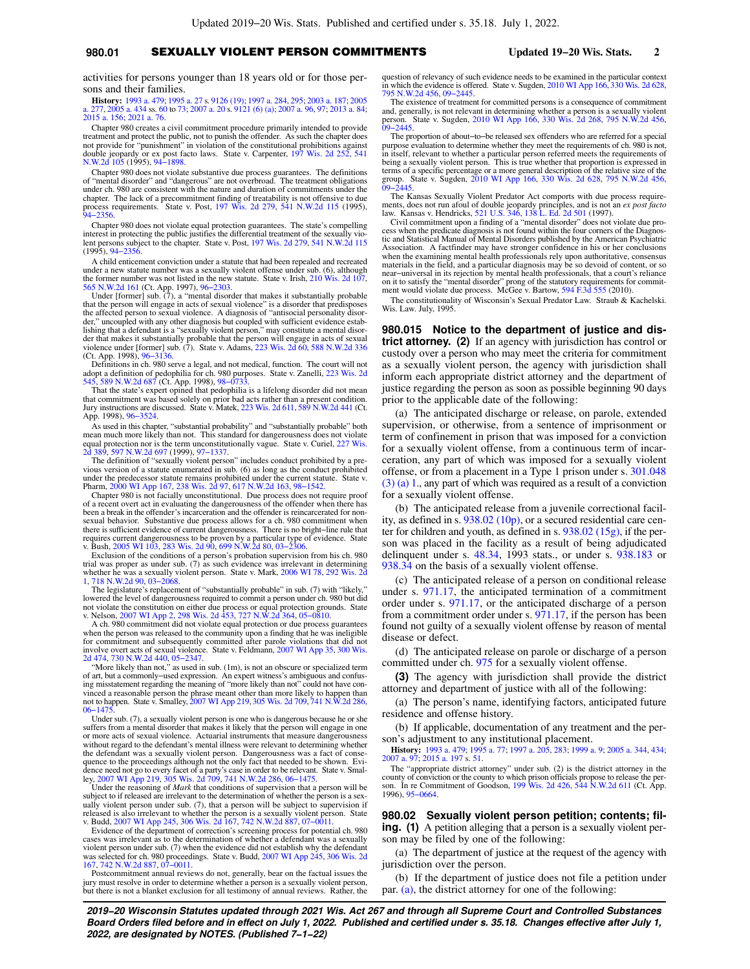### **980.01** SEXUALLY VIOLENT PERSON COMMITMENTS **Updated 19−20 Wis. Stats. 2**

activities for persons younger than 18 years old or for those persons and their families.

**History:** [1993 a. 479](https://docs.legis.wisconsin.gov/document/acts/1993/479); [1995 a. 27](https://docs.legis.wisconsin.gov/document/acts/1995/27) s. [9126 \(19\)](https://docs.legis.wisconsin.gov/document/acts/1995/27,%20s.%209126); [1997 a. 284](https://docs.legis.wisconsin.gov/document/acts/1997/284), [295;](https://docs.legis.wisconsin.gov/document/acts/1997/295) [2003 a. 187;](https://docs.legis.wisconsin.gov/document/acts/2003/187) [2005](https://docs.legis.wisconsin.gov/document/acts/2005/277) [a. 277,](https://docs.legis.wisconsin.gov/document/acts/2005/277) [2005 a. 434](https://docs.legis.wisconsin.gov/document/acts/2005/434) ss. [60](https://docs.legis.wisconsin.gov/document/acts/2005/434,%20s.%2060) to [73;](https://docs.legis.wisconsin.gov/document/acts/2005/434,%20s.%2073) [2007 a. 20](https://docs.legis.wisconsin.gov/document/acts/2007/20) s. [9121 \(6\) \(a\);](https://docs.legis.wisconsin.gov/document/acts/2007/20,%20s.%209121) [2007 a. 96,](https://docs.legis.wisconsin.gov/document/acts/2007/96) [97](https://docs.legis.wisconsin.gov/document/acts/2007/97); [2013 a. 84](https://docs.legis.wisconsin.gov/document/acts/2013/84); [2015 a. 156;](https://docs.legis.wisconsin.gov/document/acts/2015/156) [2021 a. 76.](https://docs.legis.wisconsin.gov/document/acts/2021/76)

Chapter 980 creates a civil commitment procedure primarily intended to provide treatment and protect the public, not to punish the offender. As such the chapter does not provide for "punishment" in violation of the constitutional prohibitions against double jeopardy or ex post facto laws. State v. Carpenter, [197 Wis. 2d 252](https://docs.legis.wisconsin.gov/document/courts/197%20Wis.%202d%20252), [541](https://docs.legis.wisconsin.gov/document/courts/541%20N.W.2d%20105) [N.W.2d 105](https://docs.legis.wisconsin.gov/document/courts/541%20N.W.2d%20105) (1995), [94−1898](https://docs.legis.wisconsin.gov/document/wisupremecourt/94-1898).

Chapter 980 does not violate substantive due process guarantees. The definitions of "mental disorder" and "dangerous" are not overbroad. The treatment obligations under ch. 980 are consistent with the nature and duration of commitments under the chapter. The lack of a precommitment finding of treatability is not offensive to due chapter. The lack of a precommitment finding of treatability is not offensive to due process requirements. State v. Post, [197 Wis. 2d 279,](https://docs.legis.wisconsin.gov/document/courts/197%20Wis.%202d%20279) [541 N.W.2d 115](https://docs.legis.wisconsin.gov/document/courts/541%20N.W.2d%20115) (1995), [94−2356](https://docs.legis.wisconsin.gov/document/wisupremecourt/94-2356).

Chapter 980 does not violate equal protection guarantees. The state's compelling interest in protecting the public justifies the differential treatment of the sexually vio-lent persons subject to the chapter. State v. Post, [197 Wis. 2d 279,](https://docs.legis.wisconsin.gov/document/courts/197%20Wis.%202d%20279) [541 N.W.2d 115](https://docs.legis.wisconsin.gov/document/courts/541%20N.W.2d%20115) (1995), [94−2356.](https://docs.legis.wisconsin.gov/document/wisupremecourt/94-2356)

A child enticement conviction under a statute that had been repealed and recreated under a new statute number was a sexually violent offense under sub. (6), although the former number was not listed in the new statute. State v. Irish, [210 Wis. 2d 107](https://docs.legis.wisconsin.gov/document/courts/210%20Wis.%202d%20107), [565 N.W.2d 161](https://docs.legis.wisconsin.gov/document/courts/565%20N.W.2d%20161) (Ct. App. 1997), [96−2303](https://docs.legis.wisconsin.gov/document/wicourtofappeals/96-2303).

Under [former] sub. (7), a "mental disorder that makes it substantially probable that the person will engage in acts of sexual violence" is a disorder that predisposes the affected person to sexual violence. A diagnosis of "antisocial personality disorder," uncoupled with any other diagnosis but coupled with sufficient evidence establishing that a defendant is a "sexually violent person," may constitute a mental disor-der that makes it substantially probable that the person will engage in acts of sexual violence under [former] sub. (7). State v. Adams, [223 Wis. 2d 60,](https://docs.legis.wisconsin.gov/document/courts/223%20Wis.%202d%2060) [588 N.W.2d 336](https://docs.legis.wisconsin.gov/document/courts/588%20N.W.2d%20336) (Ct. App. 1998), [96−3136](https://docs.legis.wisconsin.gov/document/wicourtofappeals/96-3136). Definitions in ch. 980 serve a legal, and not medical, function. The court will not

adopt a definition of pedophilia for ch. 980 purposes. State v. Zanelli, [223 Wis. 2d](https://docs.legis.wisconsin.gov/document/courts/223%20Wis.%202d%20545) [545](https://docs.legis.wisconsin.gov/document/courts/223%20Wis.%202d%20545), [589 N.W.2d 687](https://docs.legis.wisconsin.gov/document/courts/589%20N.W.2d%20687) (Ct. App. 1998), [98−0733](https://docs.legis.wisconsin.gov/document/wicourtofappeals/98-0733). That the state's expert opined that pedophilia is a lifelong disorder did not mean

that commitment was based solely on prior bad acts rather than a present condition. Jury instructions are discussed. State v. Matek, [223 Wis. 2d 611,](https://docs.legis.wisconsin.gov/document/courts/223%20Wis.%202d%20611) [589 N.W.2d 441](https://docs.legis.wisconsin.gov/document/courts/589%20N.W.2d%20441) (Ct. App. 1998), [96−3524.](https://docs.legis.wisconsin.gov/document/wicourtofappeals/96-3524)

As used in this chapter, "substantial probability" and "substantially probable" both mean much more likely than not. This standard for dangerousness does not violate equal protection nor is the term unconstitutionally vague. State v. Curiel, [227 Wis.](https://docs.legis.wisconsin.gov/document/courts/227%20Wis.%202d%20389) [2d 389](https://docs.legis.wisconsin.gov/document/courts/227%20Wis.%202d%20389), [597 N.W.2d 697](https://docs.legis.wisconsin.gov/document/courts/597%20N.W.2d%20697) (1999), [97−1337](https://docs.legis.wisconsin.gov/document/wisupremecourt/97-1337).

The definition of "sexually violent person" includes conduct prohibited by a pre-vious version of a statute enumerated in sub. (6) as long as the conduct prohibited<br>under the predecessor statute remains prohibited under the current statute. State v.<br>Pharm, [2000 WI App 167](https://docs.legis.wisconsin.gov/document/courts/2000%20WI%20App%20167), [238 Wis. 2d 97](https://docs.legis.wisconsin.gov/document/courts/238%20Wis.%202d%2097), 617 N.W.2d 16

Chapter 980 is not facially unconstitutional. Due process does not require proof of a recent overt act in evaluating the dangerousness of the offender when there has been a break in the offender's incarceration and the offender is reincarcerated for non-<br>sexual behavior. Substantive due process allows for a ch. 980 commitment when<br>there is sufficient evidence of current dangerousness. requires current dangerousness to be proven by a particular type of evidence. State v. Bush, [2005 WI 103](https://docs.legis.wisconsin.gov/document/courts/2005%20WI%20103), [283 Wis. 2d 90](https://docs.legis.wisconsin.gov/document/courts/283%20Wis.%202d%2090), [699 N.W.2d 80](https://docs.legis.wisconsin.gov/document/courts/699%20N.W.2d%2080), [03−2306.](https://docs.legis.wisconsin.gov/document/wisupremecourt/03-2306)

Exclusion of the conditions of a person's probation supervision from his ch. 980 trial was proper as under sub. (7) as such evidence was irrelevant in determining whether he was a sexually violent person. State v. Mark, [2006 WI 78,](https://docs.legis.wisconsin.gov/document/courts/2006%20WI%2078) [292 Wis. 2d](https://docs.legis.wisconsin.gov/document/courts/292%20Wis.%202d%201) [1](https://docs.legis.wisconsin.gov/document/courts/292%20Wis.%202d%201), [718 N.W.2d 90](https://docs.legis.wisconsin.gov/document/courts/718%20N.W.2d%2090), [03−2068.](https://docs.legis.wisconsin.gov/document/wisupremecourt/03-2068)

The legislature's replacement of "substantially probable" in sub. (7) with "likely," lowered the level of dangerousness required to commit a person under ch. 980 but did not violate the constitution on either due process or equal protection grounds. State<br>v. Nelson, [2007 WI App 2,](https://docs.legis.wisconsin.gov/document/courts/2007%20WI%20App%202) [298 Wis. 2d 453](https://docs.legis.wisconsin.gov/document/courts/298%20Wis.%202d%20453), [727 N.W.2d 364,](https://docs.legis.wisconsin.gov/document/courts/727%20N.W.2d%20364) 05–0810.<br>A ch. 980 commitment did not violate equal protection or due process

when the person was released to the community upon a finding that he was ineligible for commitment and subsequently committed after parole violations that did not involve overt acts of sexual violence. State v. Feldmann, [2007 WI App 35](https://docs.legis.wisconsin.gov/document/courts/2007%20WI%20App%2035), [300 Wis.](https://docs.legis.wisconsin.gov/document/courts/300%20Wis.%202d%20474) [2d 474](https://docs.legis.wisconsin.gov/document/courts/300%20Wis.%202d%20474), [730 N.W.2d 440,](https://docs.legis.wisconsin.gov/document/courts/730%20N.W.2d%20440) [05−2347.](https://docs.legis.wisconsin.gov/document/wicourtofappeals/05-2347) "More likely than not," as used in sub. (1m), is not an obscure or specialized term

of art, but a commonly−used expression. An expert witness's ambiguous and confus-ing misstatement regarding the meaning of "more likely than not" could not have convinced a reasonable person the phrase meant other than more likely to happen than not to happen. State v. Smalley, [2007 WI App 219,](https://docs.legis.wisconsin.gov/document/courts/2007%20WI%20App%20219) [305 Wis. 2d 709,](https://docs.legis.wisconsin.gov/document/courts/305%20Wis.%202d%20709) [741 N.W.2d 286](https://docs.legis.wisconsin.gov/document/courts/741%20N.W.2d%20286), 06−147

Under sub. (7), a sexually violent person is one who is dangerous because he or she suffers from a mental disorder that makes it likely that the person will engage in one or more acts of sexual violence. Actuarial instruments that measure dangerousness without regard to the defendant's mental illness were relevant to determining whether the defendant was a sexually violent person. Dangerousness was a fact of consequence to the proceedings although not the only fact that needed to be shown. Evidence need not go to every facet of a party's case in order to be relevant. State v. Smal-ley, [2007 WI App 219](https://docs.legis.wisconsin.gov/document/courts/2007%20WI%20App%20219), [305 Wis. 2d 709,](https://docs.legis.wisconsin.gov/document/courts/305%20Wis.%202d%20709) [741 N.W.2d 286](https://docs.legis.wisconsin.gov/document/courts/741%20N.W.2d%20286), [06−1475.](https://docs.legis.wisconsin.gov/document/wicourtofappeals/06-1475)

Under the reasoning of *Mark* that conditions of supervision that a person will be subject to if released are irrelevant to the determination of whether the person is a sex-ually violent person under sub. (7), that a person will be subject to supervision if

released is also irrelevant to whether the person is a sexually violent person. State<br>V. Budd, [2007 WI App 245,](https://docs.legis.wisconsin.gov/document/courts/2007%20WI%20App%20245) [306 Wis. 2d 167](https://docs.legis.wisconsin.gov/document/courts/306%20Wis.%202d%20167), [742 N.W.2d 887](https://docs.legis.wisconsin.gov/document/courts/742%20N.W.2d%20887), 07–0011.<br>Evidence of the department of correction's screening process for pot violent person under sub. (7) when the evidence did not establish why the defendant was selected for ch. 980 proceedings. State v. Budd, [2007 WI App 245,](https://docs.legis.wisconsin.gov/document/courts/2007%20WI%20App%20245) [306 Wis. 2d](https://docs.legis.wisconsin.gov/document/courts/306%20Wis.%202d%20167) [167](https://docs.legis.wisconsin.gov/document/courts/306%20Wis.%202d%20167), [742 N.W.2d 887,](https://docs.legis.wisconsin.gov/document/courts/742%20N.W.2d%20887) [07−0011.](https://docs.legis.wisconsin.gov/document/wicourtofappeals/07-0011)

Postcommitment annual reviews do not, generally, bear on the factual issues the jury must resolve in order to determine whether a person is a sexually violent person, but there is not a blanket exclusion for all testimony of annual reviews. Rather, the question of relevancy of such evidence needs to be examined in the particular context in which the evidence is offered. State v. Sugden, [2010 WI App 166,](https://docs.legis.wisconsin.gov/document/courts/2010%20WI%20App%20166) [330 Wis. 2d 628](https://docs.legis.wisconsin.gov/document/courts/330%20Wis.%202d%20628), [795 N.W.2d 456](https://docs.legis.wisconsin.gov/document/courts/795%20N.W.2d%20456), [09−2445](https://docs.legis.wisconsin.gov/document/wicourtofappeals/09-2445).

The existence of treatment for committed persons is a consequence of commitment and, generally, is not relevant in determining whether a person is a sexually violent person. State v. Sugden, [2010 WI App 166,](https://docs.legis.wisconsin.gov/document/courts/2010%20WI%20App%20166) [330 Wis. 2d 268,](https://docs.legis.wisconsin.gov/document/courts/330%20Wis.%202d%20268) [795 N.W.2d 456](https://docs.legis.wisconsin.gov/document/courts/795%20N.W.2d%20456), [09−2445.](https://docs.legis.wisconsin.gov/document/wicourtofappeals/09-2445)

The proportion of about−to−be released sex offenders who are referred for a special purpose evaluation to determine whether they meet the requirements of ch. 980 is not, in itself, relevant to whether a particular person referred meets the requirements of being a sexually violent person. This is true whether that proportion is expressed in terms of a specific percentage or a more general description of the relative size of the group. State v. Sugden, [2010 WI App 166,](https://docs.legis.wisconsin.gov/document/courts/2010%20WI%20App%20166) 330 W

The Kansas Sexually Violent Predator Act comports with due process requirements, does not run afoul of double jeopardy principles, and is not an ex post facto law. Kansas v. Hendricks, [521 U.S. 346,](https://docs.legis.wisconsin.gov/document/courts/521%20U.S.%20346) [138 L. Ed. 2d 501](https://docs.legis.wisconsin.gov/document/courts/138%20L.%20Ed.%202d%20501) (1997

Civil commitment upon a finding of a "mental disorder" does not violate due process when the predicate diagnosis is not found within the four corners of the Diagnostic and Statistical Manual of Mental Disorders published by the American Psychiatric Association. A factfinder may have stronger confidence in his or her conclusions when the examining mental health professionals rely upon authoritative, consensus materials in the field, and a particular diagnosis may be so devoid of content, or so near−universal in its rejection by mental health professionals, that a court's reliance on it to satisfy the "mental disorder" prong of the statutory requirements for commit-ment would violate due process. McGee v. Bartow, [594 F.3d 555](https://docs.legis.wisconsin.gov/document/courts/594%20F.3d%20555) (2010).

The constitutionality of Wisconsin's Sexual Predator Law. Straub & Kachelski. Wis. Law. July, 1995.

**980.015 Notice to the department of justice and district attorney. (2)** If an agency with jurisdiction has control or custody over a person who may meet the criteria for commitment as a sexually violent person, the agency with jurisdiction shall inform each appropriate district attorney and the department of justice regarding the person as soon as possible beginning 90 days prior to the applicable date of the following:

(a) The anticipated discharge or release, on parole, extended supervision, or otherwise, from a sentence of imprisonment or term of confinement in prison that was imposed for a conviction for a sexually violent offense, from a continuous term of incarceration, any part of which was imposed for a sexually violent offense, or from a placement in a Type 1 prison under s. [301.048](https://docs.legis.wisconsin.gov/document/statutes/301.048(3)(a)1.) [\(3\) \(a\) 1.](https://docs.legis.wisconsin.gov/document/statutes/301.048(3)(a)1.), any part of which was required as a result of a conviction for a sexually violent offense.

(b) The anticipated release from a juvenile correctional facility, as defined in s. [938.02 \(10p\),](https://docs.legis.wisconsin.gov/document/statutes/938.02(10p)) or a secured residential care center for children and youth, as defined in s. [938.02 \(15g\)](https://docs.legis.wisconsin.gov/document/statutes/938.02(15g)), if the person was placed in the facility as a result of being adjudicated delinquent under s. [48.34,](https://docs.legis.wisconsin.gov/document/statutes/1993/48.34) 1993 stats., or under s. [938.183](https://docs.legis.wisconsin.gov/document/statutes/938.183) or [938.34](https://docs.legis.wisconsin.gov/document/statutes/938.34) on the basis of a sexually violent offense.

(c) The anticipated release of a person on conditional release under s. [971.17,](https://docs.legis.wisconsin.gov/document/statutes/971.17) the anticipated termination of a commitment order under s. [971.17,](https://docs.legis.wisconsin.gov/document/statutes/971.17) or the anticipated discharge of a person from a commitment order under s. [971.17,](https://docs.legis.wisconsin.gov/document/statutes/971.17) if the person has been found not guilty of a sexually violent offense by reason of mental disease or defect.

(d) The anticipated release on parole or discharge of a person committed under ch. [975](https://docs.legis.wisconsin.gov/document/statutes/ch.%20975) for a sexually violent offense.

**(3)** The agency with jurisdiction shall provide the district attorney and department of justice with all of the following:

(a) The person's name, identifying factors, anticipated future residence and offense history.

(b) If applicable, documentation of any treatment and the person's adjustment to any institutional placement.

**History:** [1993 a. 479](https://docs.legis.wisconsin.gov/document/acts/1993/479); [1995 a. 77;](https://docs.legis.wisconsin.gov/document/acts/1995/77) [1997 a. 205](https://docs.legis.wisconsin.gov/document/acts/1997/205), [283;](https://docs.legis.wisconsin.gov/document/acts/1997/283) [1999 a. 9](https://docs.legis.wisconsin.gov/document/acts/1999/9); [2005 a. 344](https://docs.legis.wisconsin.gov/document/acts/2005/344), [434](https://docs.legis.wisconsin.gov/document/acts/2005/434); [2007 a. 97](https://docs.legis.wisconsin.gov/document/acts/2007/97); [2015 a. 197](https://docs.legis.wisconsin.gov/document/acts/2015/197) s. [51](https://docs.legis.wisconsin.gov/document/acts/2015/197,%20s.%2051).

The "appropriate district attorney" under sub. (2) is the district attorney in the county of conviction or the county to which prison officials propose to release the per-son. In re Commitment of Goodson, [199 Wis. 2d 426,](https://docs.legis.wisconsin.gov/document/courts/199%20Wis.%202d%20426) [544 N.W.2d 611](https://docs.legis.wisconsin.gov/document/courts/544%20N.W.2d%20611) (Ct. App. 1996), [95−0664](https://docs.legis.wisconsin.gov/document/wicourtofappeals/95-0664).

**980.02 Sexually violent person petition; contents; filing. (1)** A petition alleging that a person is a sexually violent person may be filed by one of the following:

(a) The department of justice at the request of the agency with jurisdiction over the person.

(b) If the department of justice does not file a petition under par. [\(a\),](https://docs.legis.wisconsin.gov/document/statutes/980.02(1)(a)) the district attorney for one of the following: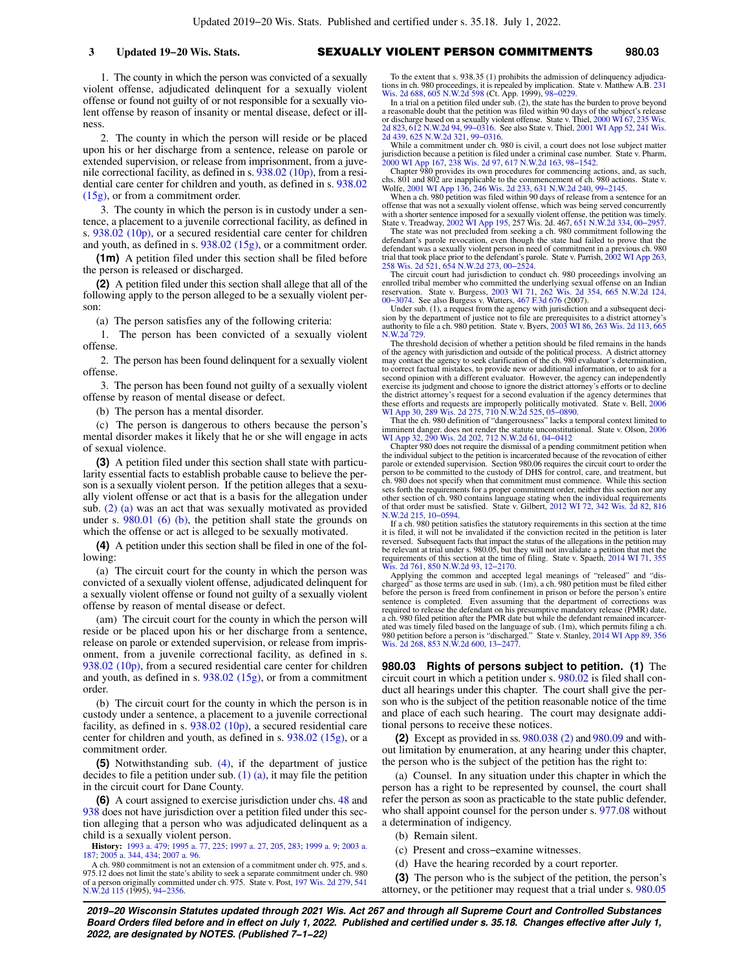1. The county in which the person was convicted of a sexually violent offense, adjudicated delinquent for a sexually violent offense or found not guilty of or not responsible for a sexually violent offense by reason of insanity or mental disease, defect or illness.

2. The county in which the person will reside or be placed upon his or her discharge from a sentence, release on parole or extended supervision, or release from imprisonment, from a juvenile correctional facility, as defined in s. [938.02 \(10p\),](https://docs.legis.wisconsin.gov/document/statutes/938.02(10p)) from a residential care center for children and youth, as defined in s. [938.02](https://docs.legis.wisconsin.gov/document/statutes/938.02(15g)) [\(15g\)](https://docs.legis.wisconsin.gov/document/statutes/938.02(15g)), or from a commitment order.

3. The county in which the person is in custody under a sentence, a placement to a juvenile correctional facility, as defined in s. [938.02 \(10p\)](https://docs.legis.wisconsin.gov/document/statutes/938.02(10p)), or a secured residential care center for children and youth, as defined in s. [938.02 \(15g\),](https://docs.legis.wisconsin.gov/document/statutes/938.02(15g)) or a commitment order.

**(1m)** A petition filed under this section shall be filed before the person is released or discharged.

**(2)** A petition filed under this section shall allege that all of the following apply to the person alleged to be a sexually violent person:

(a) The person satisfies any of the following criteria:

1. The person has been convicted of a sexually violent offense.

2. The person has been found delinquent for a sexually violent offense.

3. The person has been found not guilty of a sexually violent offense by reason of mental disease or defect.

(b) The person has a mental disorder.

(c) The person is dangerous to others because the person's mental disorder makes it likely that he or she will engage in acts of sexual violence.

**(3)** A petition filed under this section shall state with particularity essential facts to establish probable cause to believe the person is a sexually violent person. If the petition alleges that a sexually violent offense or act that is a basis for the allegation under sub. [\(2\) \(a\)](https://docs.legis.wisconsin.gov/document/statutes/980.02(2)(a)) was an act that was sexually motivated as provided under s. [980.01 \(6\) \(b\)](https://docs.legis.wisconsin.gov/document/statutes/980.01(6)(b)), the petition shall state the grounds on which the offense or act is alleged to be sexually motivated.

**(4)** A petition under this section shall be filed in one of the following:

(a) The circuit court for the county in which the person was convicted of a sexually violent offense, adjudicated delinquent for a sexually violent offense or found not guilty of a sexually violent offense by reason of mental disease or defect.

(am) The circuit court for the county in which the person will reside or be placed upon his or her discharge from a sentence, release on parole or extended supervision, or release from imprisonment, from a juvenile correctional facility, as defined in s. [938.02 \(10p\),](https://docs.legis.wisconsin.gov/document/statutes/938.02(10p)) from a secured residential care center for children and youth, as defined in s. [938.02 \(15g\)](https://docs.legis.wisconsin.gov/document/statutes/938.02(15g)), or from a commitment order.

(b) The circuit court for the county in which the person is in custody under a sentence, a placement to a juvenile correctional facility, as defined in s.  $938.02$  (10p), a secured residential care center for children and youth, as defined in s. [938.02 \(15g\)](https://docs.legis.wisconsin.gov/document/statutes/938.02(15g)), or a commitment order.

**(5)** Notwithstanding sub. [\(4\)](https://docs.legis.wisconsin.gov/document/statutes/980.02(4)), if the department of justice decides to file a petition under sub. [\(1\) \(a\)](https://docs.legis.wisconsin.gov/document/statutes/980.02(1)(a)), it may file the petition in the circuit court for Dane County.

**(6)** A court assigned to exercise jurisdiction under chs. [48](https://docs.legis.wisconsin.gov/document/statutes/ch.%2048) and [938](https://docs.legis.wisconsin.gov/document/statutes/ch.%20938) does not have jurisdiction over a petition filed under this section alleging that a person who was adjudicated delinquent as a child is a sexually violent person.

**History:** [1993 a. 479;](https://docs.legis.wisconsin.gov/document/acts/1993/479) [1995 a. 77,](https://docs.legis.wisconsin.gov/document/acts/1995/77) [225](https://docs.legis.wisconsin.gov/document/acts/1995/225); [1997 a. 27](https://docs.legis.wisconsin.gov/document/acts/1997/27), [205](https://docs.legis.wisconsin.gov/document/acts/1997/205), [283;](https://docs.legis.wisconsin.gov/document/acts/1997/283) [1999 a. 9](https://docs.legis.wisconsin.gov/document/acts/1999/9); [2003 a.](https://docs.legis.wisconsin.gov/document/acts/2003/187) [187](https://docs.legis.wisconsin.gov/document/acts/2003/187); [2005 a. 344,](https://docs.legis.wisconsin.gov/document/acts/2005/344) [434](https://docs.legis.wisconsin.gov/document/acts/2005/434); [2007 a. 96](https://docs.legis.wisconsin.gov/document/acts/2007/96).

To the extent that s. 938.35 (1) prohibits the admission of delinquency adjudications in ch. 980 proceedings, it is repealed by implication. State v. Matthew A.B. [231](https://docs.legis.wisconsin.gov/document/courts/231%20Wis.%202d%20688) [Wis. 2d 688,](https://docs.legis.wisconsin.gov/document/courts/231%20Wis.%202d%20688) [605 N.W.2d 598](https://docs.legis.wisconsin.gov/document/courts/605%20N.W.2d%20598) (Ct. App. 1999), [98−0229.](https://docs.legis.wisconsin.gov/document/wicourtofappeals/98-0229)

In a trial on a petition filed under sub. (2), the state has the burden to prove beyond a reasonable doubt that the petition was filed within 90 days of the subject's release or discharge based on a sexually violent offense. State v. Thiel, [2000 WI 67,](https://docs.legis.wisconsin.gov/document/courts/2000%20WI%2067) [235 Wis.](https://docs.legis.wisconsin.gov/document/courts/235%20Wis.%202d%20823) [2d 823,](https://docs.legis.wisconsin.gov/document/courts/235%20Wis.%202d%20823) [612 N.W.2d 94,](https://docs.legis.wisconsin.gov/document/courts/612%20N.W.2d%2094) [99−0316](https://docs.legis.wisconsin.gov/document/wicourtofappeals/99-0316). See also State v. Thiel, [2001 WI App 52,](https://docs.legis.wisconsin.gov/document/courts/2001%20WI%20App%2052) [241 Wis.](https://docs.legis.wisconsin.gov/document/courts/241%20Wis.%202d%20439) [2d 439](https://docs.legis.wisconsin.gov/document/courts/241%20Wis.%202d%20439), [625 N.W.2d 321,](https://docs.legis.wisconsin.gov/document/courts/625%20N.W.2d%20321) [99−0316](https://docs.legis.wisconsin.gov/document/wicourtofappeals/99-0316).

While a commitment under ch. 980 is civil, a court does not lose subject matter jurisdiction because a petition is filed under a criminal case number. State v. Pharm, [2000 WI App 167,](https://docs.legis.wisconsin.gov/document/courts/2000%20WI%20App%20167) [238 Wis. 2d 97,](https://docs.legis.wisconsin.gov/document/courts/238%20Wis.%202d%2097) [617 N.W.2d 163,](https://docs.legis.wisconsin.gov/document/courts/617%20N.W.2d%20163) [98−1542.](https://docs.legis.wisconsin.gov/document/wicourtofappeals/98-1542)

Chapter 980 provides its own procedures for commencing actions, and, as such, chs. 801 and 802 are inapplicable to the commencement of ch. 980 actions. State v. Wolfe, [2001 WI App 136](https://docs.legis.wisconsin.gov/document/courts/2001%20WI%20App%20136), [246 Wis. 2d 233,](https://docs.legis.wisconsin.gov/document/courts/246%20Wis.%202d%20233) [631 N.W.2d 240,](https://docs.legis.wisconsin.gov/document/courts/631%20N.W.2d%20240) [99−2145.](https://docs.legis.wisconsin.gov/document/wicourtofappeals/99-2145) When a ch. 980 petition was filed within 90 days of release from a sentence for an

offense that was not a sexually violent offense, which was being served concurrently with a shorter sentence imposed for a sexually violent offense, the petition was timely. State v. Treadway, [2002 WI App 195,](https://docs.legis.wisconsin.gov/document/courts/2002%20WI%20App%20195) 257 Wis. 2d. 467, [651 N.W.2d 334,](https://docs.legis.wisconsin.gov/document/courts/651%20N.W.2d%20334) [00−2957](https://docs.legis.wisconsin.gov/document/wicourtofappeals/00-2957).

The state was not precluded from seeking a ch. 980 commitment following the defendant's parole revocation, even though the state had failed to prove that the defendant was a sexually violent person in need of commitment in a previous ch. 980 trial that took place prior to the defendant's parole. State v. Parrish, [2002 WI App 263](https://docs.legis.wisconsin.gov/document/courts/2002%20WI%20App%20263), [258 Wis. 2d 521](https://docs.legis.wisconsin.gov/document/courts/258%20Wis.%202d%20521), [654 N.W.2d 273,](https://docs.legis.wisconsin.gov/document/courts/654%20N.W.2d%20273) [00−2524.](https://docs.legis.wisconsin.gov/document/wicourtofappeals/00-2524)

The circuit court had jurisdiction to conduct ch. 980 proceedings involving an enrolled tribal member who committed the underlying sexual offense on an Indian<br>reservation. State v. Burgess, [2003 WI 71,](https://docs.legis.wisconsin.gov/document/courts/2003%20WI%2071) [262 Wis. 2d 354](https://docs.legis.wisconsin.gov/document/courts/262%20Wis.%202d%20354), [665 N.W.2d 124](https://docs.legis.wisconsin.gov/document/courts/665%20N.W.2d%20124),<br>[00−3074.](https://docs.legis.wisconsin.gov/document/wisupremecourt/00-3074) See also Burgess v. Watters, [467 F.3d 676](https://docs.legis.wisconsin.gov/document/courts/467%20F.3d%20676) (2007).

Under sub. (1), a request from the agency with jurisdiction and a subsequent decision by the department of justice not to file are prerequisites to a district attorney's authority to file a ch. 980 petition. State v. Byers, [2003 WI 86](https://docs.legis.wisconsin.gov/document/courts/2003%20WI%2086), [263 Wis. 2d 113,](https://docs.legis.wisconsin.gov/document/courts/263%20Wis.%202d%20113) [665](https://docs.legis.wisconsin.gov/document/courts/665%20N.W.2d%20729) N.W.2d

The threshold decision of whether a petition should be filed remains in the hands of the agency with jurisdiction and outside of the political process. A district attorney may contact the agency to seek clarification of the ch. 980 evaluator's determination, to correct factual mistakes, to provide new or additional information, or to ask for a second opinion with a different evaluator. However, the agency can independently exercise its judgment and choose to ignore the district attorney's efforts or to decline the district attorney's request for a second evaluation if the agency determines that these efforts and requests are improperly politically motivated. State v. Bell, [2006](https://docs.legis.wisconsin.gov/document/courts/2006%20WI%20App%2030) [WI App 30,](https://docs.legis.wisconsin.gov/document/courts/2006%20WI%20App%2030) [289 Wis. 2d 275](https://docs.legis.wisconsin.gov/document/courts/289%20Wis.%202d%20275), [710 N.W.2d 525,](https://docs.legis.wisconsin.gov/document/courts/710%20N.W.2d%20525) [05−0890.](https://docs.legis.wisconsin.gov/document/wicourtofappeals/05-0890)

That the ch. 980 definition of "dangerousness" lacks a temporal context limited to imminent danger. does not render the statute unconstitutional. State v. Olson, [2006](https://docs.legis.wisconsin.gov/document/courts/2006%20WI%20App%2032) [WI App 32,](https://docs.legis.wisconsin.gov/document/courts/2006%20WI%20App%2032) [290 Wis. 2d 202](https://docs.legis.wisconsin.gov/document/courts/290%20Wis.%202d%20202), [712 N.W.2d 61](https://docs.legis.wisconsin.gov/document/courts/712%20N.W.2d%2061), [04−0412](https://docs.legis.wisconsin.gov/document/wicourtofappeals/04-0412)

Chapter 980 does not require the dismissal of a pending commitment petition when the individual subject to the petition is incarcerated because of the revocation of either parole or extended supervision. Section 980.06 requires the circuit court to order the person to be committed to the custody of DHS for control, care, and treatment, but ch. 980 does not specify when that commitment must commence. While this section sets forth the requirements for a proper commitment order, neither this section nor any<br>other section of ch. 980 contains language stating when the individual requirements<br>of that order must be satisfied. State v. Gilbert, [N.W.2d 215,](https://docs.legis.wisconsin.gov/document/courts/816%20N.W.2d%20215) [10−0594.](https://docs.legis.wisconsin.gov/document/wisupremecourt/10-0594)

If a ch. 980 petition satisfies the statutory requirements in this section at the time it is filed, it will not be invalidated if the conviction recited in the petition is later reversed. Subsequent facts that impact the status of the allegations in the petition may be relevant at trial under s. 980.05, but they will not invalidate a petition that met the requirements of this section at the time of filing. State v. Spaeth,  $2014$  WI 71,  $355$  Wis.  $2d$  761,  $850$  N.W. $2d$  93,  $12-2170$ .

[Wis. 2d 761,](https://docs.legis.wisconsin.gov/document/courts/355%20Wis.%202d%20761) [850 N.W.2d 93,](https://docs.legis.wisconsin.gov/document/courts/850%20N.W.2d%2093) 12–2170.<br>Applying the common and accepted legal meanings of "released" and "discharged" as those terms are used in sub. (1m), a ch. 980 petition must be filed either before the person is freed from confinement in prison or before the person's entire sentence is completed. Even assuming that the department of corrections was required to release the defendant on his presumptive mandatory release (PMR) date, a ch. 980 filed petition after the PMR date but while the defendant remained incarcerated was timely filed based on the language of sub. (1m), which permits filing a ch. 980 petition before a person is "discharged." State v. Stanley, [2014 WI App 89](https://docs.legis.wisconsin.gov/document/courts/2014%20WI%20App%2089), [356](https://docs.legis.wisconsin.gov/document/courts/356%20Wis.%202d%20268) [Wis. 2d 268,](https://docs.legis.wisconsin.gov/document/courts/356%20Wis.%202d%20268) [853 N.W.2d 600](https://docs.legis.wisconsin.gov/document/courts/853%20N.W.2d%20600), [13−2477.](https://docs.legis.wisconsin.gov/document/wicourtofappeals/13-2477)

**980.03 Rights of persons subject to petition. (1)** The circuit court in which a petition under s. [980.02](https://docs.legis.wisconsin.gov/document/statutes/980.02) is filed shall conduct all hearings under this chapter. The court shall give the person who is the subject of the petition reasonable notice of the time and place of each such hearing. The court may designate additional persons to receive these notices.

**(2)** Except as provided in ss. [980.038 \(2\)](https://docs.legis.wisconsin.gov/document/statutes/980.038(2)) and [980.09](https://docs.legis.wisconsin.gov/document/statutes/980.09) and without limitation by enumeration, at any hearing under this chapter, the person who is the subject of the petition has the right to:

(a) Counsel. In any situation under this chapter in which the person has a right to be represented by counsel, the court shall refer the person as soon as practicable to the state public defender, who shall appoint counsel for the person under s. [977.08](https://docs.legis.wisconsin.gov/document/statutes/977.08) without a determination of indigency.

- (b) Remain silent.
- (c) Present and cross−examine witnesses.
- (d) Have the hearing recorded by a court reporter.

**(3)** The person who is the subject of the petition, the person's attorney, or the petitioner may request that a trial under s. [980.05](https://docs.legis.wisconsin.gov/document/statutes/980.05)

A ch. 980 commitment is not an extension of a commitment under ch. 975, and s. 975.12 does not limit the state's ability to seek a separate commitment under ch. 980 of a person originally committed under ch. 975. State v. Post, [197 Wis. 2d 279](https://docs.legis.wisconsin.gov/document/courts/197%20Wis.%202d%20279), [541](https://docs.legis.wisconsin.gov/document/courts/541%20N.W.2d%20115) [N.W.2d 115](https://docs.legis.wisconsin.gov/document/courts/541%20N.W.2d%20115) (1995), [94−2356.](https://docs.legis.wisconsin.gov/document/wisupremecourt/94-2356)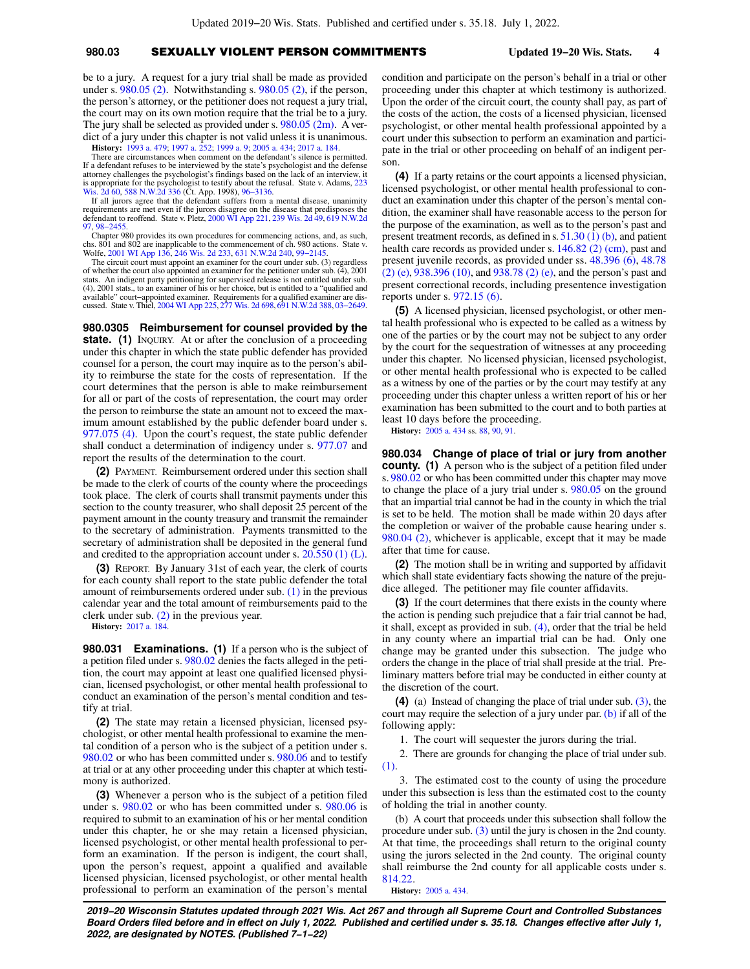## **980.03** SEXUALLY VIOLENT PERSON COMMITMENTS **Updated 19−20 Wis. Stats. 4**

be to a jury. A request for a jury trial shall be made as provided under s. [980.05 \(2\)](https://docs.legis.wisconsin.gov/document/statutes/980.05(2)). Notwithstanding s. [980.05 \(2\),](https://docs.legis.wisconsin.gov/document/statutes/980.05(2)) if the person, the person's attorney, or the petitioner does not request a jury trial, the court may on its own motion require that the trial be to a jury. The jury shall be selected as provided under s. [980.05 \(2m\).](https://docs.legis.wisconsin.gov/document/statutes/980.05(2m)) A verdict of a jury under this chapter is not valid unless it is unanimous.

**History:** [1993 a. 479](https://docs.legis.wisconsin.gov/document/acts/1993/479); [1997 a. 252](https://docs.legis.wisconsin.gov/document/acts/1997/252); [1999 a. 9;](https://docs.legis.wisconsin.gov/document/acts/1999/9) [2005 a. 434](https://docs.legis.wisconsin.gov/document/acts/2005/434); [2017 a. 184](https://docs.legis.wisconsin.gov/document/acts/2017/184).

There are circumstances when comment on the defendant's silence is permitted. If a defendant refuses to be interviewed by the state's psychologist and the defense attorney challenges the psychologist's findings based on the lack of an interview, it is appropriate for the psychologist to testify about the refusal. State v. Adams, [223](https://docs.legis.wisconsin.gov/document/courts/223%20Wis.%202d%2060) [Wis. 2d 60](https://docs.legis.wisconsin.gov/document/courts/223%20Wis.%202d%2060), [588 N.W.2d 336](https://docs.legis.wisconsin.gov/document/courts/588%20N.W.2d%20336) (Ct. App. 1998), [96−3136.](https://docs.legis.wisconsin.gov/document/wicourtofappeals/96-3136)

If all jurors agree that the defendant suffers from a mental disease, unanimity requirements are met even if the jurors disagree on the disease that predisposes the defendant to reoffend. State v. Pletz, [2000 WI App 221](https://docs.legis.wisconsin.gov/document/courts/2000%20WI%20App%20221), [239 Wis. 2d 49,](https://docs.legis.wisconsin.gov/document/courts/239%20Wis.%202d%2049) [619 N.W.2d](https://docs.legis.wisconsin.gov/document/courts/619%20N.W.2d%2097) 98–245

Chapter 980 provides its own procedures for commencing actions, and, as such, chs. 801 and 802 are inapplicable to the commencement of ch. 980 actions. State v. Wolfe, [2001 WI App 136](https://docs.legis.wisconsin.gov/document/courts/2001%20WI%20App%20136), [246 Wis. 2d 233,](https://docs.legis.wisconsin.gov/document/courts/246%20Wis.%202d%20233) [631 N.W.2d 240](https://docs.legis.wisconsin.gov/document/courts/631%20N.W.2d%20240), [99−2145](https://docs.legis.wisconsin.gov/document/wicourtofappeals/99-2145).

The circuit court must appoint an examiner for the court under sub. (3) regardless of whether the court also appointed an examiner for the petitioner under sub.  $(\tilde{4})$ , 2001 stats. An indigent party petitioning for supervised release is not entitled under sub. (4), 2001 stats., to an examiner of his or her choice, but is entitled to a "qualified and available" court−appointed examiner. Requirements for a qualified examiner are dis-cussed. State v. Thiel, [2004 WI App 225,](https://docs.legis.wisconsin.gov/document/courts/2004%20WI%20App%20225) [277 Wis. 2d 698,](https://docs.legis.wisconsin.gov/document/courts/277%20Wis.%202d%20698) [691 N.W.2d 388,](https://docs.legis.wisconsin.gov/document/courts/691%20N.W.2d%20388) [03−2649](https://docs.legis.wisconsin.gov/document/wicourtofappeals/03-2649).

**980.0305 Reimbursement for counsel provided by the** state. (1) INQUIRY. At or after the conclusion of a proceeding under this chapter in which the state public defender has provided counsel for a person, the court may inquire as to the person's ability to reimburse the state for the costs of representation. If the court determines that the person is able to make reimbursement for all or part of the costs of representation, the court may order the person to reimburse the state an amount not to exceed the maximum amount established by the public defender board under s. [977.075 \(4\)](https://docs.legis.wisconsin.gov/document/statutes/977.075(4)). Upon the court's request, the state public defender shall conduct a determination of indigency under s. [977.07](https://docs.legis.wisconsin.gov/document/statutes/977.07) and report the results of the determination to the court.

**(2)** PAYMENT. Reimbursement ordered under this section shall be made to the clerk of courts of the county where the proceedings took place. The clerk of courts shall transmit payments under this section to the county treasurer, who shall deposit 25 percent of the payment amount in the county treasury and transmit the remainder to the secretary of administration. Payments transmitted to the secretary of administration shall be deposited in the general fund and credited to the appropriation account under s. [20.550 \(1\) \(L\).](https://docs.legis.wisconsin.gov/document/statutes/20.550(1)(L))

**(3)** REPORT. By January 31st of each year, the clerk of courts for each county shall report to the state public defender the total amount of reimbursements ordered under sub.  $(1)$  in the previous calendar year and the total amount of reimbursements paid to the clerk under sub.  $(2)$  in the previous year.

**History:** [2017 a. 184](https://docs.legis.wisconsin.gov/document/acts/2017/184).

**980.031 Examinations. (1)** If a person who is the subject of a petition filed under s. [980.02](https://docs.legis.wisconsin.gov/document/statutes/980.02) denies the facts alleged in the petition, the court may appoint at least one qualified licensed physician, licensed psychologist, or other mental health professional to conduct an examination of the person's mental condition and testify at trial.

**(2)** The state may retain a licensed physician, licensed psychologist, or other mental health professional to examine the mental condition of a person who is the subject of a petition under s. [980.02](https://docs.legis.wisconsin.gov/document/statutes/980.02) or who has been committed under s. [980.06](https://docs.legis.wisconsin.gov/document/statutes/980.06) and to testify at trial or at any other proceeding under this chapter at which testimony is authorized.

**(3)** Whenever a person who is the subject of a petition filed under s. [980.02](https://docs.legis.wisconsin.gov/document/statutes/980.02) or who has been committed under s. [980.06](https://docs.legis.wisconsin.gov/document/statutes/980.06) is required to submit to an examination of his or her mental condition under this chapter, he or she may retain a licensed physician, licensed psychologist, or other mental health professional to perform an examination. If the person is indigent, the court shall, upon the person's request, appoint a qualified and available licensed physician, licensed psychologist, or other mental health professional to perform an examination of the person's mental

condition and participate on the person's behalf in a trial or other proceeding under this chapter at which testimony is authorized. Upon the order of the circuit court, the county shall pay, as part of the costs of the action, the costs of a licensed physician, licensed psychologist, or other mental health professional appointed by a court under this subsection to perform an examination and participate in the trial or other proceeding on behalf of an indigent person.

**(4)** If a party retains or the court appoints a licensed physician, licensed psychologist, or other mental health professional to conduct an examination under this chapter of the person's mental condition, the examiner shall have reasonable access to the person for the purpose of the examination, as well as to the person's past and present treatment records, as defined in s. [51.30 \(1\) \(b\),](https://docs.legis.wisconsin.gov/document/statutes/51.30(1)(b)) and patient health care records as provided under s. [146.82 \(2\) \(cm\),](https://docs.legis.wisconsin.gov/document/statutes/146.82(2)(cm)) past and present juvenile records, as provided under ss. [48.396 \(6\)](https://docs.legis.wisconsin.gov/document/statutes/48.396(6)), [48.78](https://docs.legis.wisconsin.gov/document/statutes/48.78(2)(e)) [\(2\) \(e\)](https://docs.legis.wisconsin.gov/document/statutes/48.78(2)(e)), [938.396 \(10\)](https://docs.legis.wisconsin.gov/document/statutes/938.396(10)), and [938.78 \(2\) \(e\),](https://docs.legis.wisconsin.gov/document/statutes/938.78(2)(e)) and the person's past and present correctional records, including presentence investigation reports under s. [972.15 \(6\)](https://docs.legis.wisconsin.gov/document/statutes/972.15(6)).

**(5)** A licensed physician, licensed psychologist, or other mental health professional who is expected to be called as a witness by one of the parties or by the court may not be subject to any order by the court for the sequestration of witnesses at any proceeding under this chapter. No licensed physician, licensed psychologist, or other mental health professional who is expected to be called as a witness by one of the parties or by the court may testify at any proceeding under this chapter unless a written report of his or her examination has been submitted to the court and to both parties at least 10 days before the proceeding.

**History:** [2005 a. 434](https://docs.legis.wisconsin.gov/document/acts/2005/434) ss. [88](https://docs.legis.wisconsin.gov/document/acts/2005/434,%20s.%2088), [90,](https://docs.legis.wisconsin.gov/document/acts/2005/434,%20s.%2090) [91](https://docs.legis.wisconsin.gov/document/acts/2005/434,%20s.%2091).

**980.034 Change of place of trial or jury from another county.** (1) A person who is the subject of a petition filed under s. [980.02](https://docs.legis.wisconsin.gov/document/statutes/980.02) or who has been committed under this chapter may move to change the place of a jury trial under s. [980.05](https://docs.legis.wisconsin.gov/document/statutes/980.05) on the ground that an impartial trial cannot be had in the county in which the trial is set to be held. The motion shall be made within 20 days after the completion or waiver of the probable cause hearing under s. [980.04 \(2\)](https://docs.legis.wisconsin.gov/document/statutes/980.04(2)), whichever is applicable, except that it may be made after that time for cause.

**(2)** The motion shall be in writing and supported by affidavit which shall state evidentiary facts showing the nature of the prejudice alleged. The petitioner may file counter affidavits.

**(3)** If the court determines that there exists in the county where the action is pending such prejudice that a fair trial cannot be had, it shall, except as provided in sub. [\(4\),](https://docs.legis.wisconsin.gov/document/statutes/980.034(4)) order that the trial be held in any county where an impartial trial can be had. Only one change may be granted under this subsection. The judge who orders the change in the place of trial shall preside at the trial. Preliminary matters before trial may be conducted in either county at the discretion of the court.

**(4)** (a) Instead of changing the place of trial under sub. [\(3\),](https://docs.legis.wisconsin.gov/document/statutes/980.034(3)) the court may require the selection of a jury under par. [\(b\)](https://docs.legis.wisconsin.gov/document/statutes/980.034(4)(b)) if all of the following apply:

1. The court will sequester the jurors during the trial.

2. There are grounds for changing the place of trial under sub. [\(1\).](https://docs.legis.wisconsin.gov/document/statutes/980.034(1))

3. The estimated cost to the county of using the procedure under this subsection is less than the estimated cost to the county of holding the trial in another county.

(b) A court that proceeds under this subsection shall follow the procedure under sub. [\(3\)](https://docs.legis.wisconsin.gov/document/statutes/980.034(3)) until the jury is chosen in the 2nd county. At that time, the proceedings shall return to the original county using the jurors selected in the 2nd county. The original county shall reimburse the 2nd county for all applicable costs under s. [814.22.](https://docs.legis.wisconsin.gov/document/statutes/814.22)

**History:** [2005 a. 434.](https://docs.legis.wisconsin.gov/document/acts/2005/434)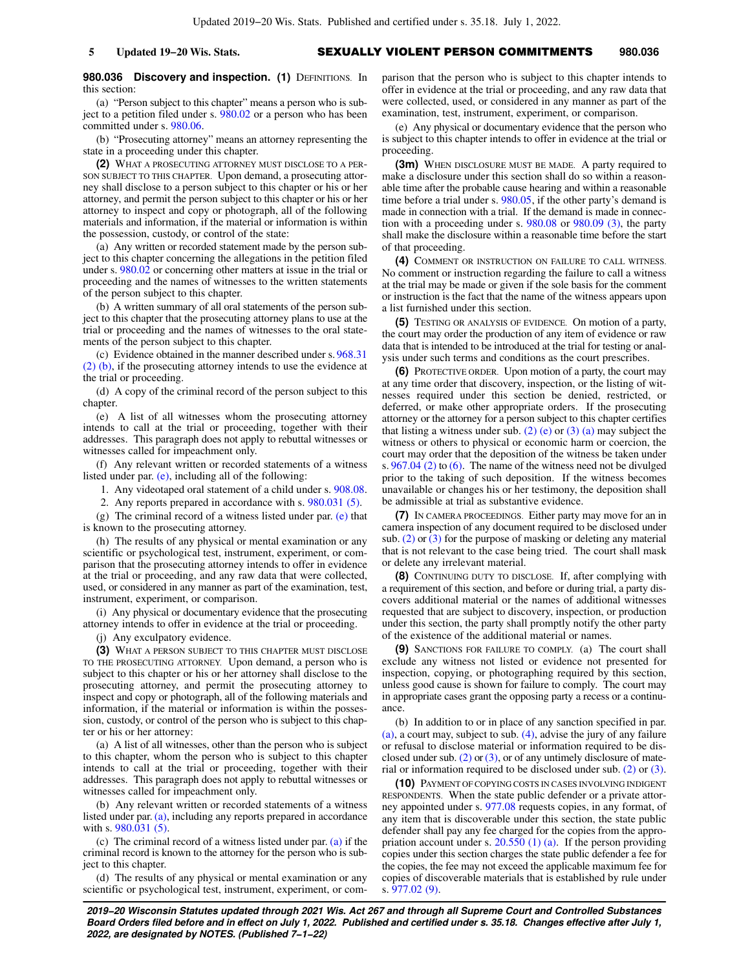### **980.036 Discovery and inspection. (1) DEFINITIONS. In** this section:

(a) "Person subject to this chapter" means a person who is sub-ject to a petition filed under s. [980.02](https://docs.legis.wisconsin.gov/document/statutes/980.02) or a person who has been committed under s. [980.06.](https://docs.legis.wisconsin.gov/document/statutes/980.06)

(b) "Prosecuting attorney" means an attorney representing the state in a proceeding under this chapter.

**(2)** WHAT A PROSECUTING ATTORNEY MUST DISCLOSE TO A PER-SON SUBJECT TO THIS CHAPTER. Upon demand, a prosecuting attorney shall disclose to a person subject to this chapter or his or her attorney, and permit the person subject to this chapter or his or her attorney to inspect and copy or photograph, all of the following materials and information, if the material or information is within the possession, custody, or control of the state:

(a) Any written or recorded statement made by the person subject to this chapter concerning the allegations in the petition filed under s. [980.02](https://docs.legis.wisconsin.gov/document/statutes/980.02) or concerning other matters at issue in the trial or proceeding and the names of witnesses to the written statements of the person subject to this chapter.

(b) A written summary of all oral statements of the person subject to this chapter that the prosecuting attorney plans to use at the trial or proceeding and the names of witnesses to the oral statements of the person subject to this chapter.

(c) Evidence obtained in the manner described under s. [968.31](https://docs.legis.wisconsin.gov/document/statutes/968.31(2)(b)) [\(2\) \(b\)](https://docs.legis.wisconsin.gov/document/statutes/968.31(2)(b)), if the prosecuting attorney intends to use the evidence at the trial or proceeding.

(d) A copy of the criminal record of the person subject to this chapter.

(e) A list of all witnesses whom the prosecuting attorney intends to call at the trial or proceeding, together with their addresses. This paragraph does not apply to rebuttal witnesses or witnesses called for impeachment only.

(f) Any relevant written or recorded statements of a witness listed under par. [\(e\)](https://docs.legis.wisconsin.gov/document/statutes/980.036(2)(e)), including all of the following:

1. Any videotaped oral statement of a child under s. [908.08.](https://docs.legis.wisconsin.gov/document/statutes/908.08)

2. Any reports prepared in accordance with s. [980.031 \(5\).](https://docs.legis.wisconsin.gov/document/statutes/980.031(5))

(g) The criminal record of a witness listed under par. [\(e\)](https://docs.legis.wisconsin.gov/document/statutes/980.036(2)(e)) that is known to the prosecuting attorney.

(h) The results of any physical or mental examination or any scientific or psychological test, instrument, experiment, or comparison that the prosecuting attorney intends to offer in evidence at the trial or proceeding, and any raw data that were collected, used, or considered in any manner as part of the examination, test, instrument, experiment, or comparison.

(i) Any physical or documentary evidence that the prosecuting attorney intends to offer in evidence at the trial or proceeding.

(j) Any exculpatory evidence.

**(3)** WHAT A PERSON SUBJECT TO THIS CHAPTER MUST DISCLOSE TO THE PROSECUTING ATTORNEY. Upon demand, a person who is subject to this chapter or his or her attorney shall disclose to the prosecuting attorney, and permit the prosecuting attorney to inspect and copy or photograph, all of the following materials and information, if the material or information is within the possession, custody, or control of the person who is subject to this chapter or his or her attorney:

(a) A list of all witnesses, other than the person who is subject to this chapter, whom the person who is subject to this chapter intends to call at the trial or proceeding, together with their addresses. This paragraph does not apply to rebuttal witnesses or witnesses called for impeachment only.

(b) Any relevant written or recorded statements of a witness listed under par. [\(a\)](https://docs.legis.wisconsin.gov/document/statutes/980.036(3)(a)), including any reports prepared in accordance with s. [980.031 \(5\)](https://docs.legis.wisconsin.gov/document/statutes/980.031(5)).

(c) The criminal record of a witness listed under par. [\(a\)](https://docs.legis.wisconsin.gov/document/statutes/980.036(3)(a)) if the criminal record is known to the attorney for the person who is subject to this chapter.

(d) The results of any physical or mental examination or any scientific or psychological test, instrument, experiment, or comparison that the person who is subject to this chapter intends to offer in evidence at the trial or proceeding, and any raw data that were collected, used, or considered in any manner as part of the examination, test, instrument, experiment, or comparison.

(e) Any physical or documentary evidence that the person who is subject to this chapter intends to offer in evidence at the trial or proceeding.

**(3m)** WHEN DISCLOSURE MUST BE MADE. A party required to make a disclosure under this section shall do so within a reasonable time after the probable cause hearing and within a reasonable time before a trial under s. [980.05](https://docs.legis.wisconsin.gov/document/statutes/980.05), if the other party's demand is made in connection with a trial. If the demand is made in connection with a proceeding under s. [980.08](https://docs.legis.wisconsin.gov/document/statutes/980.08) or [980.09 \(3\),](https://docs.legis.wisconsin.gov/document/statutes/980.09(3)) the party shall make the disclosure within a reasonable time before the start of that proceeding.

**(4)** COMMENT OR INSTRUCTION ON FAILURE TO CALL WITNESS. No comment or instruction regarding the failure to call a witness at the trial may be made or given if the sole basis for the comment or instruction is the fact that the name of the witness appears upon a list furnished under this section.

**(5)** TESTING OR ANALYSIS OF EVIDENCE. On motion of a party, the court may order the production of any item of evidence or raw data that is intended to be introduced at the trial for testing or analysis under such terms and conditions as the court prescribes.

**(6)** PROTECTIVE ORDER. Upon motion of a party, the court may at any time order that discovery, inspection, or the listing of witnesses required under this section be denied, restricted, or deferred, or make other appropriate orders. If the prosecuting attorney or the attorney for a person subject to this chapter certifies that listing a witness under sub.  $(2)$  (e) or  $(3)$  (a) may subject the witness or others to physical or economic harm or coercion, the court may order that the deposition of the witness be taken under s. [967.04 \(2\)](https://docs.legis.wisconsin.gov/document/statutes/967.04(2)) to [\(6\)](https://docs.legis.wisconsin.gov/document/statutes/967.04(6)). The name of the witness need not be divulged prior to the taking of such deposition. If the witness becomes unavailable or changes his or her testimony, the deposition shall be admissible at trial as substantive evidence.

**(7)** IN CAMERA PROCEEDINGS. Either party may move for an in camera inspection of any document required to be disclosed under sub. [\(2\)](https://docs.legis.wisconsin.gov/document/statutes/980.036(2)) or [\(3\)](https://docs.legis.wisconsin.gov/document/statutes/980.036(3)) for the purpose of masking or deleting any material that is not relevant to the case being tried. The court shall mask or delete any irrelevant material.

**(8)** CONTINUING DUTY TO DISCLOSE. If, after complying with a requirement of this section, and before or during trial, a party discovers additional material or the names of additional witnesses requested that are subject to discovery, inspection, or production under this section, the party shall promptly notify the other party of the existence of the additional material or names.

**(9)** SANCTIONS FOR FAILURE TO COMPLY. (a) The court shall exclude any witness not listed or evidence not presented for inspection, copying, or photographing required by this section, unless good cause is shown for failure to comply. The court may in appropriate cases grant the opposing party a recess or a continuance.

(b) In addition to or in place of any sanction specified in par. [\(a\)](https://docs.legis.wisconsin.gov/document/statutes/980.036(9)(a)), a court may, subject to sub. [\(4\),](https://docs.legis.wisconsin.gov/document/statutes/980.036(4)) advise the jury of any failure or refusal to disclose material or information required to be disclosed under sub.  $(2)$  or  $(3)$ , or of any untimely disclosure of material or information required to be disclosed under sub. [\(2\)](https://docs.legis.wisconsin.gov/document/statutes/980.036(2)) or [\(3\).](https://docs.legis.wisconsin.gov/document/statutes/980.036(3))

**(10)** PAYMENT OF COPYING COSTS IN CASES INVOLVING INDIGENT RESPONDENTS. When the state public defender or a private attorney appointed under s. [977.08](https://docs.legis.wisconsin.gov/document/statutes/977.08) requests copies, in any format, of any item that is discoverable under this section, the state public defender shall pay any fee charged for the copies from the appropriation account under s. [20.550 \(1\) \(a\)](https://docs.legis.wisconsin.gov/document/statutes/20.550(1)(a)). If the person providing copies under this section charges the state public defender a fee for the copies, the fee may not exceed the applicable maximum fee for copies of discoverable materials that is established by rule under s. [977.02 \(9\).](https://docs.legis.wisconsin.gov/document/statutes/977.02(9))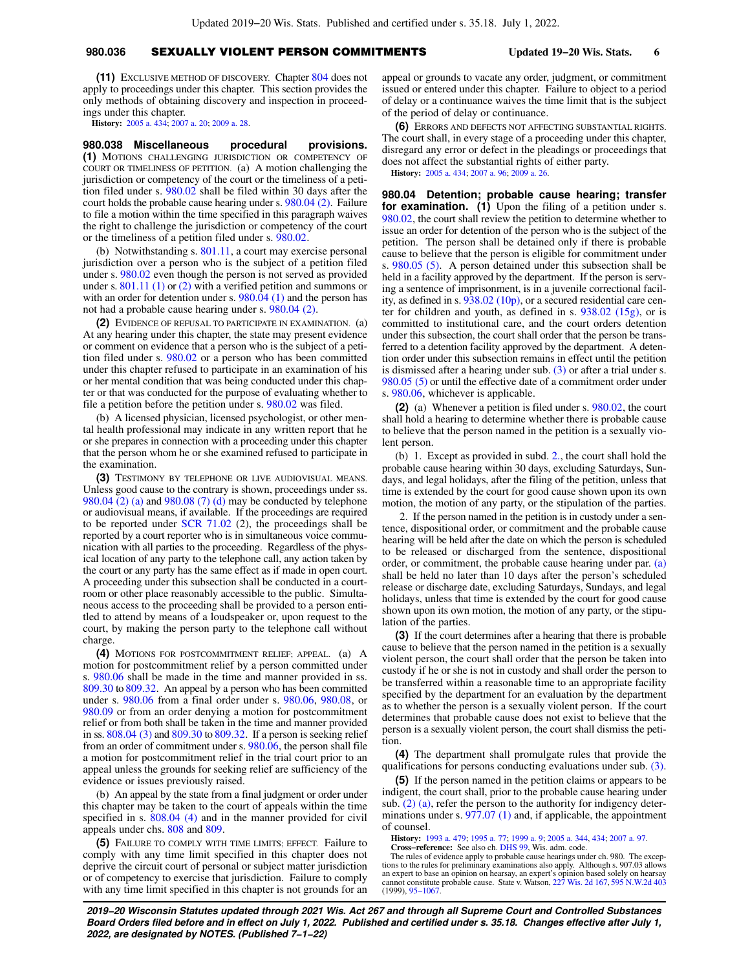## **980.036** SEXUALLY VIOLENT PERSON COMMITMENTS **Updated 19−20 Wis. Stats. 6**

**(11)** EXCLUSIVE METHOD OF DISCOVERY. Chapter [804](https://docs.legis.wisconsin.gov/document/statutes/ch.%20804) does not apply to proceedings under this chapter. This section provides the only methods of obtaining discovery and inspection in proceedings under this chapter.

**History:** [2005 a. 434](https://docs.legis.wisconsin.gov/document/acts/2005/434); [2007 a. 20;](https://docs.legis.wisconsin.gov/document/acts/2007/20) [2009 a. 28.](https://docs.legis.wisconsin.gov/document/acts/2009/28)

**980.038 Miscellaneous procedural provisions. (1)** MOTIONS CHALLENGING JURISDICTION OR COMPETENCY OF COURT OR TIMELINESS OF PETITION. (a) A motion challenging the jurisdiction or competency of the court or the timeliness of a petition filed under s. [980.02](https://docs.legis.wisconsin.gov/document/statutes/980.02) shall be filed within 30 days after the court holds the probable cause hearing under s. [980.04 \(2\).](https://docs.legis.wisconsin.gov/document/statutes/980.04(2)) Failure to file a motion within the time specified in this paragraph waives the right to challenge the jurisdiction or competency of the court or the timeliness of a petition filed under s. [980.02](https://docs.legis.wisconsin.gov/document/statutes/980.02).

(b) Notwithstanding s. [801.11](https://docs.legis.wisconsin.gov/document/statutes/801.11), a court may exercise personal jurisdiction over a person who is the subject of a petition filed under s. [980.02](https://docs.legis.wisconsin.gov/document/statutes/980.02) even though the person is not served as provided under s.  $801.11(1)$  or  $(2)$  with a verified petition and summons or with an order for detention under s.  $980.04(1)$  and the person has not had a probable cause hearing under s. [980.04 \(2\).](https://docs.legis.wisconsin.gov/document/statutes/980.04(2))

**(2)** EVIDENCE OF REFUSAL TO PARTICIPATE IN EXAMINATION. (a) At any hearing under this chapter, the state may present evidence or comment on evidence that a person who is the subject of a petition filed under s. [980.02](https://docs.legis.wisconsin.gov/document/statutes/980.02) or a person who has been committed under this chapter refused to participate in an examination of his or her mental condition that was being conducted under this chapter or that was conducted for the purpose of evaluating whether to file a petition before the petition under s. [980.02](https://docs.legis.wisconsin.gov/document/statutes/980.02) was filed.

(b) A licensed physician, licensed psychologist, or other mental health professional may indicate in any written report that he or she prepares in connection with a proceeding under this chapter that the person whom he or she examined refused to participate in the examination.

**(3)** TESTIMONY BY TELEPHONE OR LIVE AUDIOVISUAL MEANS. Unless good cause to the contrary is shown, proceedings under ss. [980.04 \(2\) \(a\)](https://docs.legis.wisconsin.gov/document/statutes/980.04(2)(a)) and [980.08 \(7\) \(d\)](https://docs.legis.wisconsin.gov/document/statutes/980.08(7)(d)) may be conducted by telephone or audiovisual means, if available. If the proceedings are required to be reported under [SCR 71.02](https://docs.legis.wisconsin.gov/document/scr/71.02) (2), the proceedings shall be reported by a court reporter who is in simultaneous voice communication with all parties to the proceeding. Regardless of the physical location of any party to the telephone call, any action taken by the court or any party has the same effect as if made in open court. A proceeding under this subsection shall be conducted in a courtroom or other place reasonably accessible to the public. Simultaneous access to the proceeding shall be provided to a person entitled to attend by means of a loudspeaker or, upon request to the court, by making the person party to the telephone call without charge.

**(4)** MOTIONS FOR POSTCOMMITMENT RELIEF; APPEAL. (a) A motion for postcommitment relief by a person committed under s. [980.06](https://docs.legis.wisconsin.gov/document/statutes/980.06) shall be made in the time and manner provided in ss. [809.30](https://docs.legis.wisconsin.gov/document/statutes/809.30) to [809.32.](https://docs.legis.wisconsin.gov/document/statutes/809.32) An appeal by a person who has been committed under s. [980.06](https://docs.legis.wisconsin.gov/document/statutes/980.06) from a final order under s. [980.06,](https://docs.legis.wisconsin.gov/document/statutes/980.06) [980.08](https://docs.legis.wisconsin.gov/document/statutes/980.08), or [980.09](https://docs.legis.wisconsin.gov/document/statutes/980.09) or from an order denying a motion for postcommitment relief or from both shall be taken in the time and manner provided in ss. [808.04 \(3\)](https://docs.legis.wisconsin.gov/document/statutes/808.04(3)) and [809.30](https://docs.legis.wisconsin.gov/document/statutes/809.30) to [809.32](https://docs.legis.wisconsin.gov/document/statutes/809.32). If a person is seeking relief from an order of commitment under s.  $980.06$ , the person shall file a motion for postcommitment relief in the trial court prior to an appeal unless the grounds for seeking relief are sufficiency of the evidence or issues previously raised.

(b) An appeal by the state from a final judgment or order under this chapter may be taken to the court of appeals within the time specified in s. [808.04 \(4\)](https://docs.legis.wisconsin.gov/document/statutes/808.04(4)) and in the manner provided for civil appeals under chs. [808](https://docs.legis.wisconsin.gov/document/statutes/ch.%20808) and [809.](https://docs.legis.wisconsin.gov/document/statutes/ch.%20809)

**(5)** FAILURE TO COMPLY WITH TIME LIMITS; EFFECT. Failure to comply with any time limit specified in this chapter does not deprive the circuit court of personal or subject matter jurisdiction or of competency to exercise that jurisdiction. Failure to comply with any time limit specified in this chapter is not grounds for an appeal or grounds to vacate any order, judgment, or commitment issued or entered under this chapter. Failure to object to a period of delay or a continuance waives the time limit that is the subject of the period of delay or continuance.

**(6)** ERRORS AND DEFECTS NOT AFFECTING SUBSTANTIAL RIGHTS. The court shall, in every stage of a proceeding under this chapter, disregard any error or defect in the pleadings or proceedings that does not affect the substantial rights of either party.

**History:** [2005 a. 434;](https://docs.legis.wisconsin.gov/document/acts/2005/434) [2007 a. 96;](https://docs.legis.wisconsin.gov/document/acts/2007/96) [2009 a. 26.](https://docs.legis.wisconsin.gov/document/acts/2009/26)

**980.04 Detention; probable cause hearing; transfer for examination.** (1) Upon the filing of a petition under s. [980.02,](https://docs.legis.wisconsin.gov/document/statutes/980.02) the court shall review the petition to determine whether to issue an order for detention of the person who is the subject of the petition. The person shall be detained only if there is probable cause to believe that the person is eligible for commitment under s. [980.05 \(5\).](https://docs.legis.wisconsin.gov/document/statutes/980.05(5)) A person detained under this subsection shall be held in a facility approved by the department. If the person is serving a sentence of imprisonment, is in a juvenile correctional facility, as defined in s. [938.02 \(10p\),](https://docs.legis.wisconsin.gov/document/statutes/938.02(10p)) or a secured residential care center for children and youth, as defined in s. [938.02 \(15g\)](https://docs.legis.wisconsin.gov/document/statutes/938.02(15g)), or is committed to institutional care, and the court orders detention under this subsection, the court shall order that the person be transferred to a detention facility approved by the department. A detention order under this subsection remains in effect until the petition is dismissed after a hearing under sub. [\(3\)](https://docs.legis.wisconsin.gov/document/statutes/980.04(3)) or after a trial under s. [980.05 \(5\)](https://docs.legis.wisconsin.gov/document/statutes/980.05(5)) or until the effective date of a commitment order under s. [980.06,](https://docs.legis.wisconsin.gov/document/statutes/980.06) whichever is applicable.

**(2)** (a) Whenever a petition is filed under s. [980.02](https://docs.legis.wisconsin.gov/document/statutes/980.02), the court shall hold a hearing to determine whether there is probable cause to believe that the person named in the petition is a sexually violent person.

(b) 1. Except as provided in subd. [2.,](https://docs.legis.wisconsin.gov/document/statutes/980.04(2)(b)2.) the court shall hold the probable cause hearing within 30 days, excluding Saturdays, Sundays, and legal holidays, after the filing of the petition, unless that time is extended by the court for good cause shown upon its own motion, the motion of any party, or the stipulation of the parties.

2. If the person named in the petition is in custody under a sentence, dispositional order, or commitment and the probable cause hearing will be held after the date on which the person is scheduled to be released or discharged from the sentence, dispositional order, or commitment, the probable cause hearing under par. [\(a\)](https://docs.legis.wisconsin.gov/document/statutes/980.04(2)(a)) shall be held no later than 10 days after the person's scheduled release or discharge date, excluding Saturdays, Sundays, and legal holidays, unless that time is extended by the court for good cause shown upon its own motion, the motion of any party, or the stipulation of the parties.

**(3)** If the court determines after a hearing that there is probable cause to believe that the person named in the petition is a sexually violent person, the court shall order that the person be taken into custody if he or she is not in custody and shall order the person to be transferred within a reasonable time to an appropriate facility specified by the department for an evaluation by the department as to whether the person is a sexually violent person. If the court determines that probable cause does not exist to believe that the person is a sexually violent person, the court shall dismiss the petition.

**(4)** The department shall promulgate rules that provide the qualifications for persons conducting evaluations under sub. [\(3\).](https://docs.legis.wisconsin.gov/document/statutes/980.04(3))

**(5)** If the person named in the petition claims or appears to be indigent, the court shall, prior to the probable cause hearing under sub.  $(2)$  (a), refer the person to the authority for indigency determinations under s. [977.07 \(1\)](https://docs.legis.wisconsin.gov/document/statutes/977.07(1)) and, if applicable, the appointment of counsel.

**History:** [1993 a. 479;](https://docs.legis.wisconsin.gov/document/acts/1993/479) [1995 a. 77;](https://docs.legis.wisconsin.gov/document/acts/1995/77) [1999 a. 9](https://docs.legis.wisconsin.gov/document/acts/1999/9); [2005 a. 344](https://docs.legis.wisconsin.gov/document/acts/2005/344), [434](https://docs.legis.wisconsin.gov/document/acts/2005/434); [2007 a. 97](https://docs.legis.wisconsin.gov/document/acts/2007/97).

**Cross−reference:** See also ch. [DHS 99](https://docs.legis.wisconsin.gov/document/administrativecode/ch.%20DHS%2099), Wis. adm. code. The rules of evidence apply to probable cause hearings under ch. 980. The exceptions to the rules for preliminary examinations also apply. Although s. 907.03 allows an expert to base an opinion on hearsay, an expert's opinion based solely on hearsay cannot constitute probable cause. State v. Watson, [227 Wis. 2d 167](https://docs.legis.wisconsin.gov/document/courts/227%20Wis.%202d%20167), [595 N.W.2d 403](https://docs.legis.wisconsin.gov/document/courts/595%20N.W.2d%20403) (1999), [95−1067.](https://docs.legis.wisconsin.gov/document/wisupremecourt/95-1067)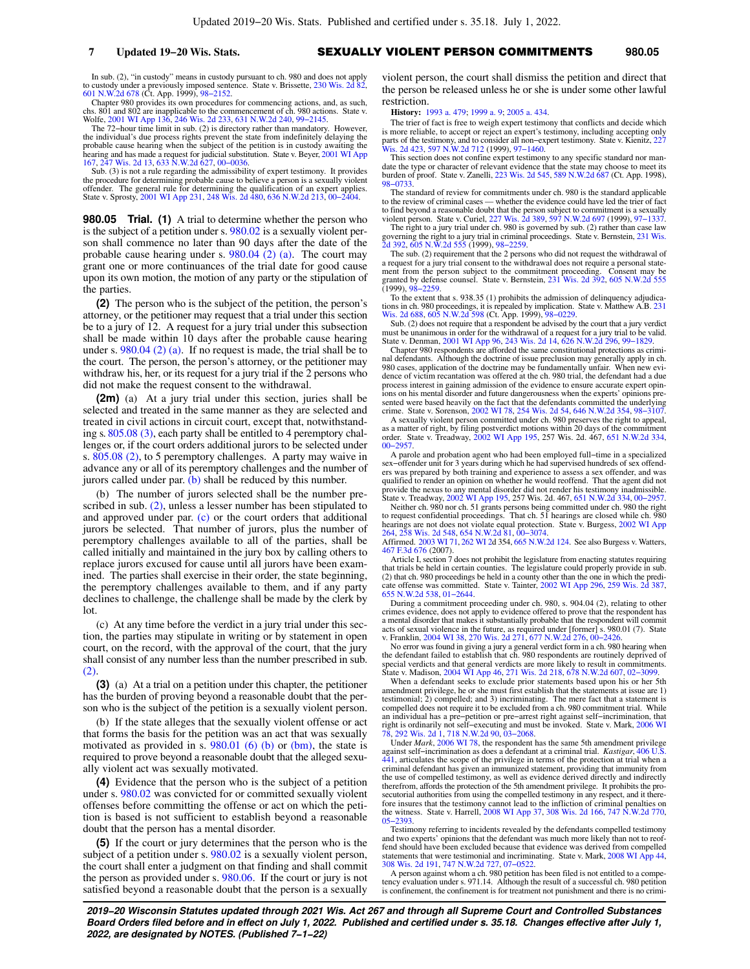In sub. (2), "in custody" means in custody pursuant to ch. 980 and does not apply to custody under a previously imposed sentence. State v. Brissette, [230 Wis. 2d 82](https://docs.legis.wisconsin.gov/document/courts/230%20Wis.%202d%2082), [601 N.W.2d 678](https://docs.legis.wisconsin.gov/document/courts/601%20N.W.2d%20678) (Ct. App. 1999), [98−2152](https://docs.legis.wisconsin.gov/document/wicourtofappeals/98-2152).

Chapter 980 provides its own procedures for commencing actions, and, as such, chs. 801 and 802 are inapplicable to the commencement of ch. 980 actions. State v. Wolfe, [2001 WI App 136](https://docs.legis.wisconsin.gov/document/courts/2001%20WI%20App%20136), [246 Wis. 2d 233,](https://docs.legis.wisconsin.gov/document/courts/246%20Wis.%202d%20233) [631 N.W.2d 240](https://docs.legis.wisconsin.gov/document/courts/631%20N.W.2d%20240), [99−2145](https://docs.legis.wisconsin.gov/document/wicourtofappeals/99-2145).

The 72−hour time limit in sub. (2) is directory rather than mandatory. However, the individual's due process rights prevent the state from indefinitely delaying the probable cause hearing when the subject of the petition is in custody awaiting the hearing and has made a request for judicial substitution. State v. Beyer, [2001 WI App](https://docs.legis.wisconsin.gov/document/courts/2001%20WI%20App%20167) [167](https://docs.legis.wisconsin.gov/document/courts/2001%20WI%20App%20167), [247 Wis. 2d 13](https://docs.legis.wisconsin.gov/document/courts/247%20Wis.%202d%2013), [633 N.W.2d 627](https://docs.legis.wisconsin.gov/document/courts/633%20N.W.2d%20627), [00−0036](https://docs.legis.wisconsin.gov/document/wicourtofappeals/00-0036).

Sub. (3) is not a rule regarding the admissibility of expert testimony. It provides the procedure for determining probable cause to believe a person is a sexually violent offender. The general rule for determining the qualification of an expert applies. State v. Sprosty, [2001 WI App 231](https://docs.legis.wisconsin.gov/document/courts/2001%20WI%20App%20231), [248 Wis. 2d 480,](https://docs.legis.wisconsin.gov/document/courts/248%20Wis.%202d%20480) [636 N.W.2d 213,](https://docs.legis.wisconsin.gov/document/courts/636%20N.W.2d%20213) [00−2404.](https://docs.legis.wisconsin.gov/document/wicourtofappeals/00-2404)

**980.05 Trial. (1)** A trial to determine whether the person who is the subject of a petition under s. [980.02](https://docs.legis.wisconsin.gov/document/statutes/980.02) is a sexually violent person shall commence no later than 90 days after the date of the probable cause hearing under s. [980.04 \(2\) \(a\)](https://docs.legis.wisconsin.gov/document/statutes/980.04(2)(a)). The court may grant one or more continuances of the trial date for good cause upon its own motion, the motion of any party or the stipulation of the parties.

**(2)** The person who is the subject of the petition, the person's attorney, or the petitioner may request that a trial under this section be to a jury of 12. A request for a jury trial under this subsection shall be made within 10 days after the probable cause hearing under s. [980.04 \(2\) \(a\).](https://docs.legis.wisconsin.gov/document/statutes/980.04(2)(a)) If no request is made, the trial shall be to the court. The person, the person's attorney, or the petitioner may withdraw his, her, or its request for a jury trial if the 2 persons who did not make the request consent to the withdrawal.

**(2m)** (a) At a jury trial under this section, juries shall be selected and treated in the same manner as they are selected and treated in civil actions in circuit court, except that, notwithstanding s. [805.08 \(3\)](https://docs.legis.wisconsin.gov/document/statutes/805.08(3)), each party shall be entitled to 4 peremptory challenges or, if the court orders additional jurors to be selected under s. [805.08 \(2\)](https://docs.legis.wisconsin.gov/document/statutes/805.08(2)), to 5 peremptory challenges. A party may waive in advance any or all of its peremptory challenges and the number of jurors called under par.  $(b)$  shall be reduced by this number.

(b) The number of jurors selected shall be the number prescribed in sub.  $(2)$ , unless a lesser number has been stipulated to and approved under par. [\(c\)](https://docs.legis.wisconsin.gov/document/statutes/980.05(2m)(c)) or the court orders that additional jurors be selected. That number of jurors, plus the number of peremptory challenges available to all of the parties, shall be called initially and maintained in the jury box by calling others to replace jurors excused for cause until all jurors have been examined. The parties shall exercise in their order, the state beginning, the peremptory challenges available to them, and if any party declines to challenge, the challenge shall be made by the clerk by lot.

(c) At any time before the verdict in a jury trial under this section, the parties may stipulate in writing or by statement in open court, on the record, with the approval of the court, that the jury shall consist of any number less than the number prescribed in sub. [\(2\)](https://docs.legis.wisconsin.gov/document/statutes/980.05(2)).

**(3)** (a) At a trial on a petition under this chapter, the petitioner has the burden of proving beyond a reasonable doubt that the person who is the subject of the petition is a sexually violent person.

(b) If the state alleges that the sexually violent offense or act that forms the basis for the petition was an act that was sexually motivated as provided in s.  $980.01$  (6) (b) or [\(bm\)](https://docs.legis.wisconsin.gov/document/statutes/980.01(6)(bm)), the state is required to prove beyond a reasonable doubt that the alleged sexually violent act was sexually motivated.

**(4)** Evidence that the person who is the subject of a petition under s. [980.02](https://docs.legis.wisconsin.gov/document/statutes/980.02) was convicted for or committed sexually violent offenses before committing the offense or act on which the petition is based is not sufficient to establish beyond a reasonable doubt that the person has a mental disorder.

**(5)** If the court or jury determines that the person who is the subject of a petition under s. [980.02](https://docs.legis.wisconsin.gov/document/statutes/980.02) is a sexually violent person, the court shall enter a judgment on that finding and shall commit the person as provided under s. [980.06](https://docs.legis.wisconsin.gov/document/statutes/980.06). If the court or jury is not satisfied beyond a reasonable doubt that the person is a sexually

violent person, the court shall dismiss the petition and direct that the person be released unless he or she is under some other lawful restriction.

**History:** [1993 a. 479;](https://docs.legis.wisconsin.gov/document/acts/1993/479) [1999 a. 9](https://docs.legis.wisconsin.gov/document/acts/1999/9); [2005 a. 434.](https://docs.legis.wisconsin.gov/document/acts/2005/434)

The trier of fact is free to weigh expert testimony that conflicts and decide which is more reliable, to accept or reject an expert's testimony, including accepting only parts of the testimony, and to consider all non−expert testimony. State v. Kienitz, [227](https://docs.legis.wisconsin.gov/document/courts/227%20Wis.%202d%20423) [Wis. 2d 423,](https://docs.legis.wisconsin.gov/document/courts/227%20Wis.%202d%20423) [597 N.W.2d 712](https://docs.legis.wisconsin.gov/document/courts/597%20N.W.2d%20712) (1999), 97-1460.

This section does not confine expert testimony to any specific standard nor mandate the type or character of relevant evidence that the state may choose to meet its burden of proof. State v. Zanelli, [223 Wis. 2d 545](https://docs.legis.wisconsin.gov/document/courts/223%20Wis.%202d%20545), [589 N.W.2d 687](https://docs.legis.wisconsin.gov/document/courts/589%20N.W.2d%20687) (Ct. App. 1998), [98−0733.](https://docs.legis.wisconsin.gov/document/wicourtofappeals/98-0733)

The standard of review for commitments under ch. 980 is the standard applicable to the review of criminal cases — whether the evidence could have led the trier of fact<br>to find beyond a reasonable doubt that the person subject to commitment is a sexually<br>violent person. State v. Curiel, 227 Wis. 2d 389

The right to a jury trial under ch. 980 is governed by sub. (2) rather than case law governing the right to a jury trial in criminal proceedings. State v. Bernstein, [231 Wis.](https://docs.legis.wisconsin.gov/document/courts/231%20Wis.%202d%20392) [2d 392](https://docs.legis.wisconsin.gov/document/courts/231%20Wis.%202d%20392), [605 N.W.2d 555](https://docs.legis.wisconsin.gov/document/courts/605%20N.W.2d%20555) (1999), [98−2259.](https://docs.legis.wisconsin.gov/document/wisupremecourt/98-2259)

The sub. (2) requirement that the 2 persons who did not request the withdrawal of a request for a jury trial consent to the withdrawal does not require a personal state-ment from the person subject to the commitment proceeding. Consent may be granted by defense counsel. State v. Bernstein, [231 Wis. 2d 392](https://docs.legis.wisconsin.gov/document/courts/231%20Wis.%202d%20392), [605 N.W.2d 555](https://docs.legis.wisconsin.gov/document/courts/605%20N.W.2d%20555) (1999), [98−2259.](https://docs.legis.wisconsin.gov/document/wisupremecourt/98-2259)

To the extent that s. 938.35 (1) prohibits the admission of delinquency adjudications in ch. 980 proceedings, it is repealed by implication. State v. Matthew A.B. [231](https://docs.legis.wisconsin.gov/document/courts/231%20Wis.%202d%20688) [Wis. 2d 688,](https://docs.legis.wisconsin.gov/document/courts/231%20Wis.%202d%20688) [605 N.W.2d 598](https://docs.legis.wisconsin.gov/document/courts/605%20N.W.2d%20598) (Ct. App. 1999), [98−0229.](https://docs.legis.wisconsin.gov/document/wicourtofappeals/98-0229)

Sub. (2) does not require that a respondent be advised by the court that a jury verdict must be unanimous in order for the withdrawal of a request for a jury trial to be valid. State v. Denman, [2001 WI App 96,](https://docs.legis.wisconsin.gov/document/courts/2001%20WI%20App%2096) [243 Wis. 2d 14,](https://docs.legis.wisconsin.gov/document/courts/243%20Wis.%202d%2014) [626 N.W.2d 296,](https://docs.legis.wisconsin.gov/document/courts/626%20N.W.2d%20296) [99−1829.](https://docs.legis.wisconsin.gov/document/wicourtofappeals/99-1829)

Chapter 980 respondents are afforded the same constitutional protections as crimi-nal defendants. Although the doctrine of issue preclusion may generally apply in ch. 980 cases, application of the doctrine may be fundamentally unfair. When new evidence of victim recantation was offered at the ch. 980 trial, the defendant had a due process interest in gaining admission of the evidence to ensure accurate expert opinions on his mental disorder and future dangerousness when the experts' opinions presented were based heavily on the fact that the defendants committed the underlying crime. State v. Sorenson, [2002 WI 78,](https://docs.legis.wisconsin.gov/document/courts/2002%20WI%2078) [254 Wis. 2d 54,](https://docs.legis.wisconsin.gov/document/courts/254%20Wis.%202d%2054) [646 N.W.2d 354](https://docs.legis.wisconsin.gov/document/courts/646%20N.W.2d%20354), [98−3107](https://docs.legis.wisconsin.gov/document/wisupremecourt/98-3107).

A sexually violent person committed under ch. 980 preserves the right to appeal, as a matter of right, by filing postverdict motions within 20 days of the commitment order. State v. Treadway, [2002 WI App 195,](https://docs.legis.wisconsin.gov/document/courts/2002%20WI%20App%20195) 257 Wis. 2d. 467, [651 N.W.2d 334](https://docs.legis.wisconsin.gov/document/courts/651%20N.W.2d%20334), [00−2957.](https://docs.legis.wisconsin.gov/document/wicourtofappeals/00-2957)

A parole and probation agent who had been employed full−time in a specialized sex−offender unit for 3 years during which he had supervised hundreds of sex offenders was prepared by both training and experience to assess a sex offender, and was qualified to render an opinion on whether he would reoffend. That the agent did not provide the nexus to any mental disorder did not render his testimony inadmissible.<br>State v. Treadway, [2002 WI App 195,](https://docs.legis.wisconsin.gov/document/courts/2002%20WI%20App%20195) 257 Wis. 2d. 467, [651 N.W.2d 334,](https://docs.legis.wisconsin.gov/document/courts/651%20N.W.2d%20334) 00–2957.<br>Neither ch. 980 nor ch. 51 grants persons being committed u

hearings are not does not violate equal protection. State v. Burgess, [2002 WI App](https://docs.legis.wisconsin.gov/document/courts/2002%20WI%20App%20264) [264,](https://docs.legis.wisconsin.gov/document/courts/2002%20WI%20App%20264) [258 Wis. 2d 548](https://docs.legis.wisconsin.gov/document/courts/258%20Wis.%202d%20548), [654 N.W.2d 81](https://docs.legis.wisconsin.gov/document/courts/654%20N.W.2d%2081), [00−3074](https://docs.legis.wisconsin.gov/document/wicourtofappeals/00-3074).

Affirmed. [2003 WI 71,](https://docs.legis.wisconsin.gov/document/courts/2003%20WI%2071) [262 WI 2d](https://docs.legis.wisconsin.gov/document/courts/262%20WI%202) 354, [665 N.W.2d 124.](https://docs.legis.wisconsin.gov/document/courts/665%20N.W.2d%20124) See also Burgess v. Watters, [467 F.3d 676](https://docs.legis.wisconsin.gov/document/courts/467%20F.3d%20676) (2007).

Article I, section 7 does not prohibit the legislature from enacting statutes requiring that trials be held in certain counties. The legislature could properly provide in sub. (2) that ch. 980 proceedings be held in a county other than the one in which the predi-cate offense was committed. State v. Tainter, [2002 WI App 296](https://docs.legis.wisconsin.gov/document/courts/2002%20WI%20App%20296), [259 Wis. 2d 387](https://docs.legis.wisconsin.gov/document/courts/259%20Wis.%202d%20387), [655 N.W.2d 538](https://docs.legis.wisconsin.gov/document/courts/655%20N.W.2d%20538), [01−2644](https://docs.legis.wisconsin.gov/document/wicourtofappeals/01-2644).

During a commitment proceeding under ch. 980, s. 904.04 (2), relating to other crimes evidence, does not apply to evidence offered to prove that the respondent has a mental disorder that makes it substantially probable that the respondent will commit acts of sexual violence in the future, as required under [former] s. 980.01 (7). State v. Franklin, [2004 WI 38](https://docs.legis.wisconsin.gov/document/courts/2004%20WI%2038), [270 Wis. 2d 271,](https://docs.legis.wisconsin.gov/document/courts/270%20Wis.%202d%20271) [677 N.W.2d 276,](https://docs.legis.wisconsin.gov/document/courts/677%20N.W.2d%20276) [00−2426.](https://docs.legis.wisconsin.gov/document/wisupremecourt/00-2426)

No error was found in giving a jury a general verdict form in a ch. 980 hearing when the defendant failed to establish that ch. 980 respondents are routinely deprived of special verdicts and that general verdicts are more likely to result in commitments.<br>State v. Madison, [2004 WI App 46,](https://docs.legis.wisconsin.gov/document/courts/2004%20WI%20App%2046) [271 Wis. 2d 218](https://docs.legis.wisconsin.gov/document/courts/271%20Wis.%202d%20218), [678 N.W.2d 607,](https://docs.legis.wisconsin.gov/document/courts/678%20N.W.2d%20607) 02-3099.<br>When a defendant seeks to exclude prior statements based upon

amendment privilege, he or she must first establish that the statements at issue are 1) testimonial; 2) compelled; and 3) incriminating. The mere fact that a statement is compelled does not require it to be excluded from a ch. 980 commitment trial. While an individual has a pre−petition or pre−arrest right against self−incrimination, that right is ordinarily not self−executing and must be invoked. State v. Mark, [2006 WI](https://docs.legis.wisconsin.gov/document/courts/2006%20WI%2078) [78](https://docs.legis.wisconsin.gov/document/courts/2006%20WI%2078), [292 Wis. 2d 1,](https://docs.legis.wisconsin.gov/document/courts/292%20Wis.%202d%201) [718 N.W.2d 90,](https://docs.legis.wisconsin.gov/document/courts/718%20N.W.2d%2090) [03−2068.](https://docs.legis.wisconsin.gov/document/wisupremecourt/03-2068)

Under *Mark*, [2006 WI 78](https://docs.legis.wisconsin.gov/document/courts/2006%20WI%2078), the respondent has the same 5th amendment privilege against self−incrimination as does a defendant at a criminal trial. *Kastigar*, [406 U.S.](https://docs.legis.wisconsin.gov/document/courts/406%20U.S.%20441) [441,](https://docs.legis.wisconsin.gov/document/courts/406%20U.S.%20441) articulates the scope of the privilege in terms of the protection at trial when a criminal defendant has given an immunized statement, providing that immunity from the use of compelled testimony, as well as evidence derived directly and indirectly therefrom, affords the protection of the 5th amendment privilege. It prohibits the pro-secutorial authorities from using the compelled testimony in any respect, and it there-fore insures that the testimony cannot lead to the infliction of criminal penalties on the witness. State v. Harrell, [2008 WI App 37](https://docs.legis.wisconsin.gov/document/courts/2008%20WI%20App%2037), [308 Wis. 2d 166,](https://docs.legis.wisconsin.gov/document/courts/308%20Wis.%202d%20166) [747 N.W.2d 770](https://docs.legis.wisconsin.gov/document/courts/747%20N.W.2d%20770), [05−2393.](https://docs.legis.wisconsin.gov/document/wicourtofappeals/05-2393)

Testimony referring to incidents revealed by the defendants compelled testimony and two experts' opinions that the defendant was much more likely than not to reof-fend should have been excluded because that evidence was derived from compelled statements that were testimonial and incriminating. State v. Mark, [2008 WI App 44](https://docs.legis.wisconsin.gov/document/courts/2008%20WI%20App%2044), [308 Wis. 2d 191](https://docs.legis.wisconsin.gov/document/courts/308%20Wis.%202d%20191), [747 N.W.2d 727,](https://docs.legis.wisconsin.gov/document/courts/747%20N.W.2d%20727) [07−0522.](https://docs.legis.wisconsin.gov/document/wicourtofappeals/07-0522)

A person against whom a ch. 980 petition has been filed is not entitled to a compe-tency evaluation under s. 971.14. Although the result of a successful ch. 980 petition is confinement, the confinement is for treatment not punishment and there is no crimi-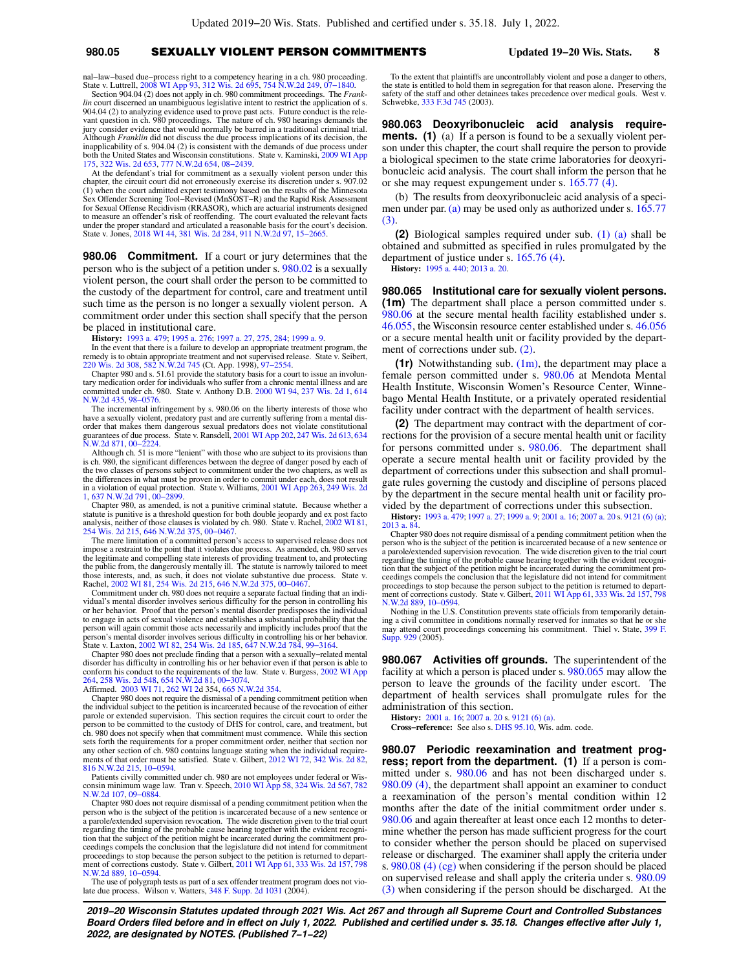### **980.05** SEXUALLY VIOLENT PERSON COMMITMENTS **Updated 19−20 Wis. Stats. 8**

nal−law−based due−process right to a competency hearing in a ch. 980 proceeding. State v. Luttrell, [2008 WI App 93,](https://docs.legis.wisconsin.gov/document/courts/2008%20WI%20App%2093) [312 Wis. 2d 695](https://docs.legis.wisconsin.gov/document/courts/312%20Wis.%202d%20695), [754 N.W.2d 249](https://docs.legis.wisconsin.gov/document/courts/754%20N.W.2d%20249), [07−1840](https://docs.legis.wisconsin.gov/document/wicourtofappeals/07-1840).

Section 904.04 (2) does not apply in ch. 980 commitment proceedings. The *Franklin* court discerned an unambiguous legislative intent to restrict the application of s. 904.04 (2) to analyzing evidence used to prove past acts. Future conduct is the rele-vant question in ch. 980 proceedings. The nature of ch. 980 hearings demands the jury consider evidence that would normally be barred in a traditional criminal trial. Although *Franklin* did not discuss the due process implications of its decision, the inapplicability of s. 904.04 (2) is consistent with the demands of due process under both the United States and Wisconsin constitutions. State v. Kaminski, [2009 WI App](https://docs.legis.wisconsin.gov/document/courts/2009%20WI%20App%20175) [175](https://docs.legis.wisconsin.gov/document/courts/2009%20WI%20App%20175), [322 Wis. 2d 653,](https://docs.legis.wisconsin.gov/document/courts/322%20Wis.%202d%20653) [777 N.W.2d 654,](https://docs.legis.wisconsin.gov/document/courts/777%20N.W.2d%20654) [08−2439.](https://docs.legis.wisconsin.gov/document/wicourtofappeals/08-2439)

At the defendant's trial for commitment as a sexually violent person under this chapter, the circuit court did not erroneously exercise its discretion under s. 907.02 (1) when the court admitted expert testimony based on the results of the Minnesota Sex Offender Screening Tool−Revised (MnSOST−R) and the Rapid Risk Assessment for Sexual Offense Recidivism (RRASOR), which are actuarial instruments designed to measure an offender's risk of reoffending. The court evaluated the relevant facts under the proper standard and articulated a reasonable basis for the court's decision. State v. Jones, [2018 WI 44,](https://docs.legis.wisconsin.gov/document/courts/2018%20WI%2044) [381 Wis. 2d 284](https://docs.legis.wisconsin.gov/document/courts/381%20Wis.%202d%20284), [911 N.W.2d 97](https://docs.legis.wisconsin.gov/document/courts/911%20N.W.2d%2097), [15−2665](https://docs.legis.wisconsin.gov/document/wisupremecourt/15-2665).

**980.06 Commitment.** If a court or jury determines that the person who is the subject of a petition under s. [980.02](https://docs.legis.wisconsin.gov/document/statutes/980.02) is a sexually violent person, the court shall order the person to be committed to the custody of the department for control, care and treatment until such time as the person is no longer a sexually violent person. A commitment order under this section shall specify that the person be placed in institutional care.

**History:** [1993 a. 479](https://docs.legis.wisconsin.gov/document/acts/1993/479); [1995 a. 276](https://docs.legis.wisconsin.gov/document/acts/1995/276); [1997 a. 27](https://docs.legis.wisconsin.gov/document/acts/1997/27), [275](https://docs.legis.wisconsin.gov/document/acts/1997/275), [284](https://docs.legis.wisconsin.gov/document/acts/1997/284); [1999 a. 9.](https://docs.legis.wisconsin.gov/document/acts/1999/9)

In the event that there is a failure to develop an appropriate treatment program, the remedy is to obtain appropriate treatment and not supervised release. State v. Seibert, [220 Wis. 2d 308,](https://docs.legis.wisconsin.gov/document/courts/220%20Wis.%202d%20308) [582 N.W.2d 745](https://docs.legis.wisconsin.gov/document/courts/582%20N.W.2d%20745) (Ct. App. 1998), [97−2554.](https://docs.legis.wisconsin.gov/document/wicourtofappeals/97-2554)

Chapter 980 and s. 51.61 provide the statutory basis for a court to issue an involuntary medication order for individuals who suffer from a chronic mental illness and are committed under ch. 980. State v. Anthony D.B. [2000 WI 94](https://docs.legis.wisconsin.gov/document/courts/2000%20WI%2094), [237 Wis. 2d 1,](https://docs.legis.wisconsin.gov/document/courts/237%20Wis.%202d%201) [614](https://docs.legis.wisconsin.gov/document/courts/614%20N.W.2d%20435) N.2d 435, 98-0576.

The incremental infringement by s. 980.06 on the liberty interests of those who have a sexually violent, predatory past and are currently suffering from a mental disorder that makes them dangerous sexual predators does not violate constitutional guarantees of due process. State v. Ransdell, [2001 WI App 202,](https://docs.legis.wisconsin.gov/document/courts/2001%20WI%20App%20202) [247 Wis. 2d 613,](https://docs.legis.wisconsin.gov/document/courts/247%20Wis.%202d%20613) [634](https://docs.legis.wisconsin.gov/document/courts/634%20N.W.2d%20871) [N.W.2d 871,](https://docs.legis.wisconsin.gov/document/courts/634%20N.W.2d%20871) [00−2224.](https://docs.legis.wisconsin.gov/document/wicourtofappeals/00-2224)

Although ch. 51 is more "lenient" with those who are subject to its provisions than is ch. 980, the significant differences between the degree of danger posed by each of the two classes of persons subject to commitment under the two chapters, as well as the differences in what must be proven in order to commit under each, does not result in a violation of equal protection. State v. Williams, [2001 WI App 263,](https://docs.legis.wisconsin.gov/document/courts/2001%20WI%20App%20263) [249 Wis. 2d](https://docs.legis.wisconsin.gov/document/courts/249%20Wis.%202d%201) [1](https://docs.legis.wisconsin.gov/document/courts/249%20Wis.%202d%201), [637 N.W.2d 791,](https://docs.legis.wisconsin.gov/document/courts/637%20N.W.2d%20791) [00−2899](https://docs.legis.wisconsin.gov/document/wicourtofappeals/00-2899).

Chapter 980, as amended, is not a punitive criminal statute. Because whether a statute is punitive is a threshold question for both double jeopardy and ex post facto analysis, neither of those clauses is violated by ch. 980. State v. Rachel, [2002 WI 81](https://docs.legis.wisconsin.gov/document/courts/2002%20WI%2081), [254 Wis. 2d 215,](https://docs.legis.wisconsin.gov/document/courts/254%20Wis.%202d%20215) [646 N.W.2d 375,](https://docs.legis.wisconsin.gov/document/courts/646%20N.W.2d%20375) [00−0467.](https://docs.legis.wisconsin.gov/document/wisupremecourt/00-0467)

The mere limitation of a committed person's access to supervised release does not impose a restraint to the point that it violates due process. As amended, ch. 980 serves the legitimate and compelling state interests of providing treatment to, and protecting the public from, the dangerously mentally ill. The statute is narrowly tailored to meet those interests, and, as such, it does not violate substantive due process. State v. Rachel, [2002 WI 81](https://docs.legis.wisconsin.gov/document/courts/2002%20WI%2081), [254 Wis. 2d 215,](https://docs.legis.wisconsin.gov/document/courts/254%20Wis.%202d%20215) [646 N.W.2d 375](https://docs.legis.wisconsin.gov/document/courts/646%20N.W.2d%20375), [00−0467.](https://docs.legis.wisconsin.gov/document/wisupremecourt/00-0467)

Commitment under ch. 980 does not require a separate factual finding that an individual's mental disorder involves serious difficulty for the person in controlling his or her behavior. Proof that the person's mental disorder predisposes the individual to engage in acts of sexual violence and establishes a substantial probability that the person will again commit those acts necessarily and implicitly includes proof that the person's mental disorder involves serious difficulty in controlling his or her behavior. State v. Laxton, [2002 WI 82,](https://docs.legis.wisconsin.gov/document/courts/2002%20WI%2082) [254 Wis. 2d 185](https://docs.legis.wisconsin.gov/document/courts/254%20Wis.%202d%20185), [647 N.W.2d 784](https://docs.legis.wisconsin.gov/document/courts/647%20N.W.2d%20784), [99−3164](https://docs.legis.wisconsin.gov/document/wisupremecourt/99-3164).

Chapter 980 does not preclude finding that a person with a sexually−related mental disorder has difficulty in controlling his or her behavior even if that person is able to conform his conduct to the requirements of the law. State v. Burgess, [2002 WI App](https://docs.legis.wisconsin.gov/document/courts/2002%20WI%20App%20264) [264](https://docs.legis.wisconsin.gov/document/courts/2002%20WI%20App%20264), [258 Wis. 2d 548,](https://docs.legis.wisconsin.gov/document/courts/258%20Wis.%202d%20548) [654 N.W.2d 81](https://docs.legis.wisconsin.gov/document/courts/654%20N.W.2d%2081), [00−3074](https://docs.legis.wisconsin.gov/document/wicourtofappeals/00-3074). Affirmed. [2003 WI 71](https://docs.legis.wisconsin.gov/document/courts/2003%20WI%2071), [262 WI 2](https://docs.legis.wisconsin.gov/document/courts/262%20WI%202)d 354, [665 N.W.2d 354.](https://docs.legis.wisconsin.gov/document/courts/665%20N.W.2d%20354)

Chapter 980 does not require the dismissal of a pending commitment petition when the individual subject to the petition is incarcerated because of the revocation of either parole or extended supervision. This section requires the circuit court to order the person to be committed to the custody of DHS for control, care, and treatment, but ch. 980 does not specify when that commitment must commence. While this section sets forth the requirements for a proper commitment order, neither that section nor any other section of ch. 980 contains language stating when the individual require-ments of that order must be satisfied. State v. Gilbert, [2012 WI 72,](https://docs.legis.wisconsin.gov/document/courts/2012%20WI%2072) [342 Wis. 2d 82](https://docs.legis.wisconsin.gov/document/courts/342%20Wis.%202d%2082), [816 N.W.2d 215,](https://docs.legis.wisconsin.gov/document/courts/816%20N.W.2d%20215) [10−0594](https://docs.legis.wisconsin.gov/document/wisupremecourt/10-0594).

Patients civilly committed under ch. 980 are not employees under federal or Wis-consin minimum wage law. Tran v. Speech, [2010 WI App 58,](https://docs.legis.wisconsin.gov/document/courts/2010%20WI%20App%2058) [324 Wis. 2d 567](https://docs.legis.wisconsin.gov/document/courts/324%20Wis.%202d%20567), [782](https://docs.legis.wisconsin.gov/document/courts/782%20N.W.2d%20107) [N.W.2d 107,](https://docs.legis.wisconsin.gov/document/courts/782%20N.W.2d%20107) [09−0884.](https://docs.legis.wisconsin.gov/document/wicourtofappeals/09-0884)

Chapter 980 does not require dismissal of a pending commitment petition when the person who is the subject of the petition is incarcerated because of a new sentence or a parole/extended supervision revocation. The wide discretion given to the trial court regarding the timing of the probable cause hearing together with the evident recognition that the subject of the petition might be incarcerated during the commitment proceedings compels the conclusion that the legislature did not intend for commitment proceedings to stop because the person subject to the petition is returned to department of corrections custody. State v. Gilbert, [2011 WI App 61,](https://docs.legis.wisconsin.gov/document/courts/2011%20WI%20App%2061) [333 Wis. 2d 157](https://docs.legis.wisconsin.gov/document/courts/333%20Wis.%202d%20157), [798](https://docs.legis.wisconsin.gov/document/courts/798%20N.W.2d%20889) [N.W.2d 889,](https://docs.legis.wisconsin.gov/document/courts/798%20N.W.2d%20889) [10−0594.](https://docs.legis.wisconsin.gov/document/wicourtofappeals/10-0594)

The use of polygraph tests as part of a sex offender treatment program does not violate due process. Wilson v. Watters, [348 F. Supp. 2d 1031](https://docs.legis.wisconsin.gov/document/courts/348%20F.%20Supp.%202d%201031) (2004).

To the extent that plaintiffs are uncontrollably violent and pose a danger to others, the state is entitled to hold them in segregation for that reason alone. Preserving the safety of the staff and other detainees takes precedence over medical goals. West v. Schwebke, [333 F.3d 745](https://docs.legis.wisconsin.gov/document/courts/333%20F.3d%20745) (2003).

**980.063 Deoxyribonucleic acid analysis requirements.** (1) (a) If a person is found to be a sexually violent person under this chapter, the court shall require the person to provide a biological specimen to the state crime laboratories for deoxyribonucleic acid analysis. The court shall inform the person that he or she may request expungement under s. [165.77 \(4\)](https://docs.legis.wisconsin.gov/document/statutes/165.77(4)).

(b) The results from deoxyribonucleic acid analysis of a specimen under par. [\(a\)](https://docs.legis.wisconsin.gov/document/statutes/980.063(1)(a)) may be used only as authorized under s. [165.77](https://docs.legis.wisconsin.gov/document/statutes/165.77(3)) [\(3\).](https://docs.legis.wisconsin.gov/document/statutes/165.77(3))

**(2)** Biological samples required under sub. [\(1\) \(a\)](https://docs.legis.wisconsin.gov/document/statutes/980.063(1)(a)) shall be obtained and submitted as specified in rules promulgated by the department of justice under s. [165.76 \(4\)](https://docs.legis.wisconsin.gov/document/statutes/165.76(4)).

**History:** [1995 a. 440;](https://docs.legis.wisconsin.gov/document/acts/1995/440) [2013 a. 20.](https://docs.legis.wisconsin.gov/document/acts/2013/20)

**980.065 Institutional care for sexually violent persons. (1m)** The department shall place a person committed under s. [980.06](https://docs.legis.wisconsin.gov/document/statutes/980.06) at the secure mental health facility established under s. [46.055,](https://docs.legis.wisconsin.gov/document/statutes/46.055) the Wisconsin resource center established under s. [46.056](https://docs.legis.wisconsin.gov/document/statutes/46.056) or a secure mental health unit or facility provided by the department of corrections under sub. [\(2\)](https://docs.legis.wisconsin.gov/document/statutes/980.065(2)).

**(1r)** Notwithstanding sub. [\(1m\)](https://docs.legis.wisconsin.gov/document/statutes/980.065(1m)), the department may place a female person committed under s. [980.06](https://docs.legis.wisconsin.gov/document/statutes/980.06) at Mendota Mental Health Institute, Wisconsin Women's Resource Center, Winnebago Mental Health Institute, or a privately operated residential facility under contract with the department of health services.

**(2)** The department may contract with the department of corrections for the provision of a secure mental health unit or facility for persons committed under s. [980.06.](https://docs.legis.wisconsin.gov/document/statutes/980.06) The department shall operate a secure mental health unit or facility provided by the department of corrections under this subsection and shall promulgate rules governing the custody and discipline of persons placed by the department in the secure mental health unit or facility pro-

vided by the department of corrections under this subsection. **History:** [1993 a. 479;](https://docs.legis.wisconsin.gov/document/acts/1993/479) [1997 a. 27;](https://docs.legis.wisconsin.gov/document/acts/1997/27) [1999 a. 9;](https://docs.legis.wisconsin.gov/document/acts/1999/9) [2001 a. 16;](https://docs.legis.wisconsin.gov/document/acts/2001/16) [2007 a. 20](https://docs.legis.wisconsin.gov/document/acts/2007/20) s. [9121 \(6\) \(a\)](https://docs.legis.wisconsin.gov/document/acts/2007/20,%20s.%209121); [2013 a. 84](https://docs.legis.wisconsin.gov/document/acts/2013/84).

Chapter 980 does not require dismissal of a pending commitment petition when the person who is the subject of the petition is incarcerated because of a new sentence or a parole/extended supervision revocation. The wide discretion given to the trial court regarding the timing of the probable cause hearing together with the evident recognition that the subject of the petition might be incarcerated during the commitment proceedings compels the conclusion that the legislature did not intend for commitment proceedings to stop because the person subject to the petition is returned to depart-<br>ment of corrections custody. State v. Gilbert, [2011 WI App 61,](https://docs.legis.wisconsin.gov/document/courts/2011%20WI%20App%2061) [333 Wis. 2d 157,](https://docs.legis.wisconsin.gov/document/courts/333%20Wis.%202d%20157) [798](https://docs.legis.wisconsin.gov/document/courts/798%20N.W.2d%20889) [N.W.2d 889,](https://docs.legis.wisconsin.gov/document/courts/798%20N.W.2d%20889) [10−0594.](https://docs.legis.wisconsin.gov/document/wicourtofappeals/10-0594)

Nothing in the U.S. Constitution prevents state officials from temporarily detaining a civil committee in conditions normally reserved for inmates so that he or she may attend court proceedings concerning his commitment. Thiel v. State, [399 F.](https://docs.legis.wisconsin.gov/document/courts/399%20F.%20Supp.%20929) [Supp. 929](https://docs.legis.wisconsin.gov/document/courts/399%20F.%20Supp.%20929) (2005).

**980.067 Activities off grounds.** The superintendent of the facility at which a person is placed under s. [980.065](https://docs.legis.wisconsin.gov/document/statutes/980.065) may allow the person to leave the grounds of the facility under escort. The department of health services shall promulgate rules for the administration of this section.

**History:** [2001 a. 16](https://docs.legis.wisconsin.gov/document/acts/2001/16); [2007 a. 20](https://docs.legis.wisconsin.gov/document/acts/2007/20) s. [9121 \(6\) \(a\).](https://docs.legis.wisconsin.gov/document/acts/2007/20,%20s.%209121)

**Cross−reference:** See also s. [DHS 95.10,](https://docs.legis.wisconsin.gov/document/administrativecode/DHS%2095.10) Wis. adm. code.

**980.07 Periodic reexamination and treatment progress; report from the department. (1)** If a person is committed under s. [980.06](https://docs.legis.wisconsin.gov/document/statutes/980.06) and has not been discharged under s. [980.09 \(4\),](https://docs.legis.wisconsin.gov/document/statutes/980.09(4)) the department shall appoint an examiner to conduct a reexamination of the person's mental condition within 12 months after the date of the initial commitment order under s. [980.06](https://docs.legis.wisconsin.gov/document/statutes/980.06) and again thereafter at least once each 12 months to determine whether the person has made sufficient progress for the court to consider whether the person should be placed on supervised release or discharged. The examiner shall apply the criteria under s. [980.08 \(4\) \(cg\)](https://docs.legis.wisconsin.gov/document/statutes/980.08(4)(cg)) when considering if the person should be placed on supervised release and shall apply the criteria under s. [980.09](https://docs.legis.wisconsin.gov/document/statutes/980.09(3)) [\(3\)](https://docs.legis.wisconsin.gov/document/statutes/980.09(3)) when considering if the person should be discharged. At the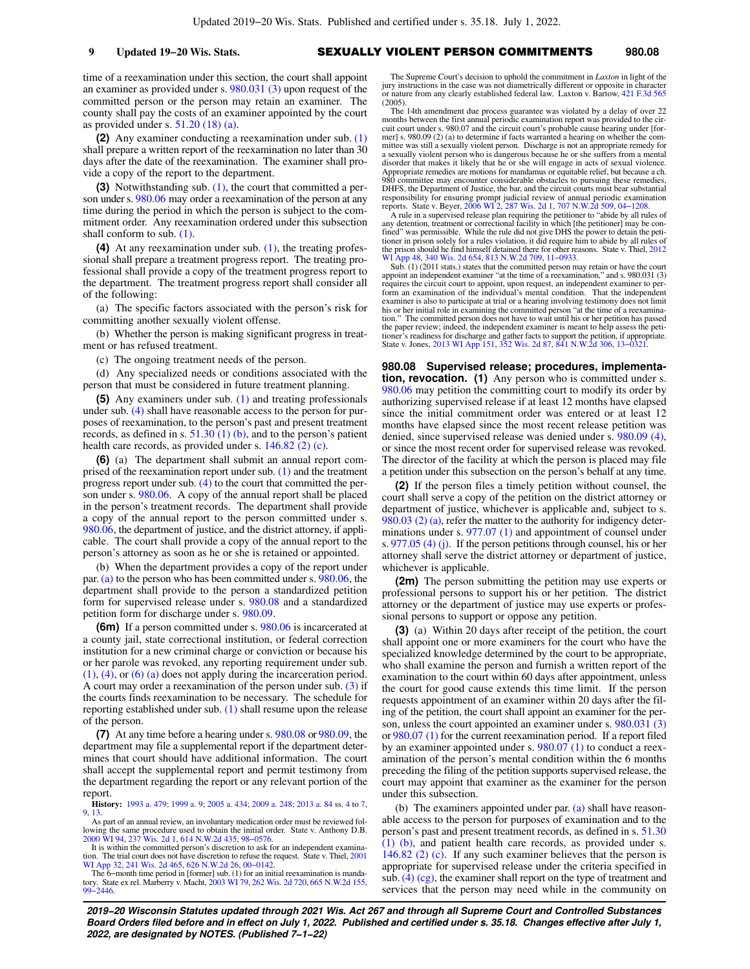time of a reexamination under this section, the court shall appoint an examiner as provided under s. [980.031 \(3\)](https://docs.legis.wisconsin.gov/document/statutes/980.031(3)) upon request of the committed person or the person may retain an examiner. The county shall pay the costs of an examiner appointed by the court as provided under s. [51.20 \(18\) \(a\)](https://docs.legis.wisconsin.gov/document/statutes/51.20(18)(a)).

**(2)** Any examiner conducting a reexamination under sub. [\(1\)](https://docs.legis.wisconsin.gov/document/statutes/980.07(1)) shall prepare a written report of the reexamination no later than 30 days after the date of the reexamination. The examiner shall provide a copy of the report to the department.

**(3)** Notwithstanding sub. [\(1\)](https://docs.legis.wisconsin.gov/document/statutes/980.07(1)), the court that committed a person under s. [980.06](https://docs.legis.wisconsin.gov/document/statutes/980.06) may order a reexamination of the person at any time during the period in which the person is subject to the commitment order. Any reexamination ordered under this subsection shall conform to sub. [\(1\).](https://docs.legis.wisconsin.gov/document/statutes/980.07(1))

**(4)** At any reexamination under sub. [\(1\)](https://docs.legis.wisconsin.gov/document/statutes/980.07(1)), the treating professional shall prepare a treatment progress report. The treating professional shall provide a copy of the treatment progress report to the department. The treatment progress report shall consider all of the following:

(a) The specific factors associated with the person's risk for committing another sexually violent offense.

(b) Whether the person is making significant progress in treatment or has refused treatment.

(c) The ongoing treatment needs of the person.

(d) Any specialized needs or conditions associated with the person that must be considered in future treatment planning.

**(5)** Any examiners under sub. [\(1\)](https://docs.legis.wisconsin.gov/document/statutes/980.07(1)) and treating professionals under sub. [\(4\)](https://docs.legis.wisconsin.gov/document/statutes/980.07(4)) shall have reasonable access to the person for purposes of reexamination, to the person's past and present treatment records, as defined in s.  $51.30(1)(b)$ , and to the person's patient health care records, as provided under s. [146.82 \(2\) \(c\).](https://docs.legis.wisconsin.gov/document/statutes/146.82(2)(c))

**(6)** (a) The department shall submit an annual report comprised of the reexamination report under sub. [\(1\)](https://docs.legis.wisconsin.gov/document/statutes/980.07(1)) and the treatment progress report under sub. [\(4\)](https://docs.legis.wisconsin.gov/document/statutes/980.07(4)) to the court that committed the person under s. [980.06](https://docs.legis.wisconsin.gov/document/statutes/980.06). A copy of the annual report shall be placed in the person's treatment records. The department shall provide a copy of the annual report to the person committed under s. [980.06,](https://docs.legis.wisconsin.gov/document/statutes/980.06) the department of justice, and the district attorney, if applicable. The court shall provide a copy of the annual report to the person's attorney as soon as he or she is retained or appointed.

(b) When the department provides a copy of the report under par. [\(a\)](https://docs.legis.wisconsin.gov/document/statutes/980.07(6)(a)) to the person who has been committed under s. [980.06](https://docs.legis.wisconsin.gov/document/statutes/980.06), the department shall provide to the person a standardized petition form for supervised release under s. [980.08](https://docs.legis.wisconsin.gov/document/statutes/980.08) and a standardized petition form for discharge under s. [980.09.](https://docs.legis.wisconsin.gov/document/statutes/980.09)

**(6m)** If a person committed under s. [980.06](https://docs.legis.wisconsin.gov/document/statutes/980.06) is incarcerated at a county jail, state correctional institution, or federal correction institution for a new criminal charge or conviction or because his or her parole was revoked, any reporting requirement under sub.  $(1)$ ,  $(4)$ , or  $(6)$   $(a)$  does not apply during the incarceration period. A court may order a reexamination of the person under sub. [\(3\)](https://docs.legis.wisconsin.gov/document/statutes/980.07(3)) if the courts finds reexamination to be necessary. The schedule for reporting established under sub. [\(1\)](https://docs.legis.wisconsin.gov/document/statutes/980.07(1)) shall resume upon the release of the person.

**(7)** At any time before a hearing under s. [980.08](https://docs.legis.wisconsin.gov/document/statutes/980.08) or [980.09](https://docs.legis.wisconsin.gov/document/statutes/980.09), the department may file a supplemental report if the department determines that court should have additional information. The court shall accept the supplemental report and permit testimony from the department regarding the report or any relevant portion of the report.

**History:** [1993 a. 479](https://docs.legis.wisconsin.gov/document/acts/1993/479); [1999 a. 9;](https://docs.legis.wisconsin.gov/document/acts/1999/9) [2005 a. 434](https://docs.legis.wisconsin.gov/document/acts/2005/434); [2009 a. 248;](https://docs.legis.wisconsin.gov/document/acts/2009/248) [2013 a. 84](https://docs.legis.wisconsin.gov/document/acts/2013/84) ss. [4](https://docs.legis.wisconsin.gov/document/acts/2013/84,%20s.%204) to [7](https://docs.legis.wisconsin.gov/document/acts/2013/84,%20s.%207), [9](https://docs.legis.wisconsin.gov/document/acts/2013/84,%20s.%209), [13.](https://docs.legis.wisconsin.gov/document/acts/2013/84,%20s.%2013)

As part of an annual review, an involuntary medication order must be reviewed fol-lowing the same procedure used to obtain the initial order. State v. Anthony D.B. [2000 WI 94](https://docs.legis.wisconsin.gov/document/courts/2000%20WI%2094), [237 Wis. 2d 1,](https://docs.legis.wisconsin.gov/document/courts/237%20Wis.%202d%201) [614 N.W.2d 435](https://docs.legis.wisconsin.gov/document/courts/614%20N.W.2d%20435), [98−0576.](https://docs.legis.wisconsin.gov/document/wisupremecourt/98-0576)

It is within the committed person's discretion to ask for an independent examina-tion. The trial court does not have discretion to refuse the request. State v. Thiel, [2001](https://docs.legis.wisconsin.gov/document/courts/2001%20WI%20App%2032) [WI App 32](https://docs.legis.wisconsin.gov/document/courts/2001%20WI%20App%2032), [241 Wis. 2d 465,](https://docs.legis.wisconsin.gov/document/courts/241%20Wis.%202d%20465) [626 N.W.2d 26](https://docs.legis.wisconsin.gov/document/courts/626%20N.W.2d%2026), [00−0142](https://docs.legis.wisconsin.gov/document/wicourtofappeals/00-0142).

The 6−month time period in [former] sub. (1) for an initial reexamination is mandatory. State ex rel. Marberry v. Macht, [2003 WI 79,](https://docs.legis.wisconsin.gov/document/courts/2003%20WI%2079) [262 Wis. 2d 720](https://docs.legis.wisconsin.gov/document/courts/262%20Wis.%202d%20720), [665 N.W.2d 155](https://docs.legis.wisconsin.gov/document/courts/665%20N.W.2d%20155), [99−2446](https://docs.legis.wisconsin.gov/document/wisupremecourt/99-2446).

The Supreme Court's decision to uphold the commitment in *Laxton* in light of the jury instructions in the case was not diametrically different or opposite in character or nature from any clearly established federal law. Laxton v. Bartow, [421 F.3d 565](https://docs.legis.wisconsin.gov/document/courts/421%20F.3d%20565) (2005).

The 14th amendment due process guarantee was violated by a delay of over 22 months between the first annual periodic examination report was provided to the circuit court under s. 980.07 and the circuit court's probable cause hearing under [former] s. 980.09 (2) (a) to determine if facts warranted a hearing on whether the com-<br>mittee was still a sexually violent person. Discharge is not an appropriate remedy for<br>a sexually violent person who is dangerous because disorder that makes it likely that he or she will engage in acts of sexual violence. Appropriate remedies are motions for mandamus or equitable relief, but because a ch. committee may encounter considerable obstacles to pursuing these remedies, DHFS, the Department of Justice, the bar, and the circuit courts must bear substantial responsibility for ensuring prompt judicial review of annual periodic examination reports. State v. Beyer, [2006 WI 2,](https://docs.legis.wisconsin.gov/document/courts/2006%20WI%202) [287 Wis. 2d 1,](https://docs.legis.wisconsin.gov/document/courts/287%20Wis.%202d%201) 70

A rule in a supervised release plan requiring the petitioner to "abide by all rules of<br>any detention, treatment or correctional facility in which [the petitioner] may be con-<br>fined" was permissible. While the rule did not tioner in prison solely for a rules violation, it did require him to abide by all rules of the prison should he find himself detained there for other reasons. State v. Thiel, [2012](https://docs.legis.wisconsin.gov/document/courts/2012%20WI%20App%2048)<br>WI App 48, 340 Wis. 2d 654, 813 N.W.2d 709, 11–0933. App 48, [340 Wis. 2d 654](https://docs.legis.wisconsin.gov/document/courts/340%20Wis.%202d%20654), [813 N.W.2d 709,](https://docs.legis.wisconsin.gov/document/courts/813%20N.W.2d%20709) 11-0933.

Sub. (1) (2011 stats.) states that the committed person may retain or have the court appoint an independent examiner "at the time of a reexamination," and s. 980.031 (3) requires the circuit court to appoint, upon request, an independent examiner to perform an examination of the individual's mental condition. That the independent examiner is also to participate at trial or a hearing involving testimony does not limit his or her initial role in examining the committed person "at the time of a reexamination." The committed person does not have to wait until his or her petition has passed the paper review; indeed, the independent examiner is meant to help assess the petitioner's readiness for discharge and gather facts to support the petition, if appropriate. State v. Jones, [2013 WI App 151](https://docs.legis.wisconsin.gov/document/courts/2013%20WI%20App%20151), [352 Wis. 2d 87](https://docs.legis.wisconsin.gov/document/courts/352%20Wis.%202d%2087), [841 N.W.2d 306,](https://docs.legis.wisconsin.gov/document/courts/841%20N.W.2d%20306) [13−0321](https://docs.legis.wisconsin.gov/document/wicourtofappeals/13-0321).

**980.08 Supervised release; procedures, implementation, revocation.** (1) Any person who is committed under s. [980.06](https://docs.legis.wisconsin.gov/document/statutes/980.06) may petition the committing court to modify its order by authorizing supervised release if at least 12 months have elapsed since the initial commitment order was entered or at least 12 months have elapsed since the most recent release petition was denied, since supervised release was denied under s. [980.09 \(4\),](https://docs.legis.wisconsin.gov/document/statutes/980.09(4)) or since the most recent order for supervised release was revoked. The director of the facility at which the person is placed may file a petition under this subsection on the person's behalf at any time.

**(2)** If the person files a timely petition without counsel, the court shall serve a copy of the petition on the district attorney or department of justice, whichever is applicable and, subject to s. [980.03 \(2\) \(a\)](https://docs.legis.wisconsin.gov/document/statutes/980.03(2)(a)), refer the matter to the authority for indigency determinations under s. [977.07 \(1\)](https://docs.legis.wisconsin.gov/document/statutes/977.07(1)) and appointment of counsel under s. [977.05 \(4\) \(j\)](https://docs.legis.wisconsin.gov/document/statutes/977.05(4)(j)). If the person petitions through counsel, his or her attorney shall serve the district attorney or department of justice, whichever is applicable.

**(2m)** The person submitting the petition may use experts or professional persons to support his or her petition. The district attorney or the department of justice may use experts or professional persons to support or oppose any petition.

**(3)** (a) Within 20 days after receipt of the petition, the court shall appoint one or more examiners for the court who have the specialized knowledge determined by the court to be appropriate, who shall examine the person and furnish a written report of the examination to the court within 60 days after appointment, unless the court for good cause extends this time limit. If the person requests appointment of an examiner within 20 days after the filing of the petition, the court shall appoint an examiner for the person, unless the court appointed an examiner under s. [980.031 \(3\)](https://docs.legis.wisconsin.gov/document/statutes/980.031(3)) or [980.07 \(1\)](https://docs.legis.wisconsin.gov/document/statutes/980.07(1)) for the current reexamination period. If a report filed by an examiner appointed under s. [980.07 \(1\)](https://docs.legis.wisconsin.gov/document/statutes/980.07(1)) to conduct a reexamination of the person's mental condition within the 6 months preceding the filing of the petition supports supervised release, the court may appoint that examiner as the examiner for the person under this subsection.

(b) The examiners appointed under par. [\(a\)](https://docs.legis.wisconsin.gov/document/statutes/980.08(3)(a)) shall have reasonable access to the person for purposes of examination and to the person's past and present treatment records, as defined in s. [51.30](https://docs.legis.wisconsin.gov/document/statutes/51.30(1)(b)) [\(1\) \(b\),](https://docs.legis.wisconsin.gov/document/statutes/51.30(1)(b)) and patient health care records, as provided under s. [146.82 \(2\) \(c\).](https://docs.legis.wisconsin.gov/document/statutes/146.82(2)(c)) If any such examiner believes that the person is appropriate for supervised release under the criteria specified in sub.  $(4)$  (cg), the examiner shall report on the type of treatment and services that the person may need while in the community on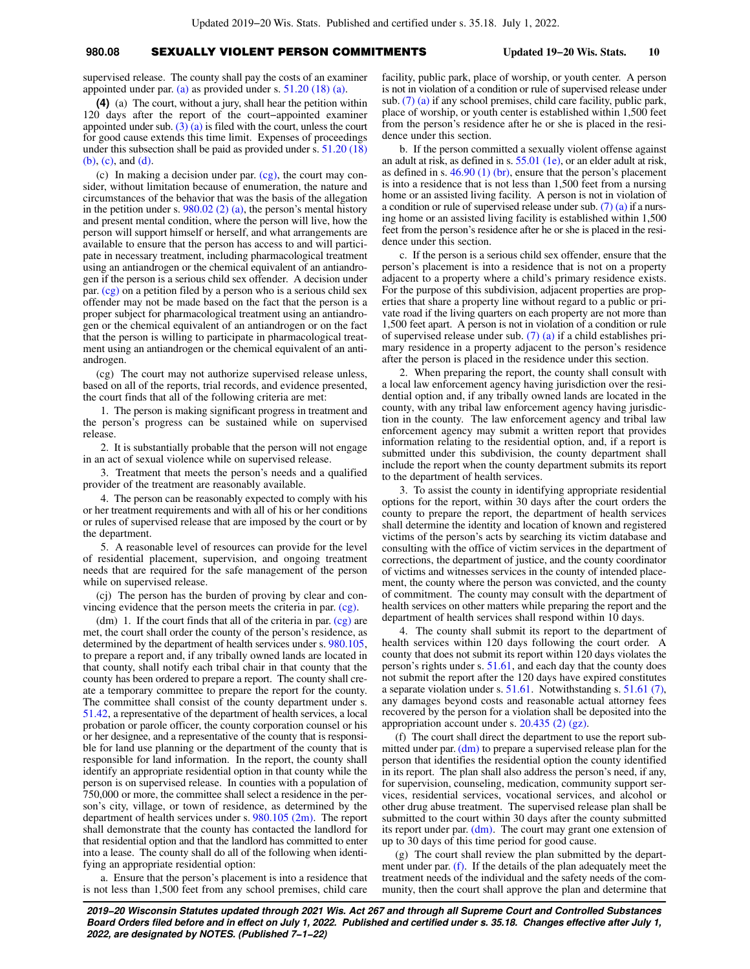## **980.08** SEXUALLY VIOLENT PERSON COMMITMENTS **Updated 19−20 Wis. Stats. 10**

supervised release. The county shall pay the costs of an examiner appointed under par.  $(a)$  as provided under s. 51.20 (18)  $(a)$ .

**(4)** (a) The court, without a jury, shall hear the petition within 120 days after the report of the court−appointed examiner appointed under sub.  $(3)$  (a) is filed with the court, unless the court for good cause extends this time limit. Expenses of proceedings under this subsection shall be paid as provided under s. [51.20 \(18\)](https://docs.legis.wisconsin.gov/document/statutes/51.20(18)(b)) [\(b\)](https://docs.legis.wisconsin.gov/document/statutes/51.20(18)(b)), [\(c\),](https://docs.legis.wisconsin.gov/document/statutes/51.20(18)(c)) and [\(d\)](https://docs.legis.wisconsin.gov/document/statutes/51.20(18)(d)).

(c) In making a decision under par.  $(cg)$ , the court may consider, without limitation because of enumeration, the nature and circumstances of the behavior that was the basis of the allegation in the petition under s.  $980.02$  (2) (a), the person's mental history and present mental condition, where the person will live, how the person will support himself or herself, and what arrangements are available to ensure that the person has access to and will participate in necessary treatment, including pharmacological treatment using an antiandrogen or the chemical equivalent of an antiandrogen if the person is a serious child sex offender. A decision under par. [\(cg\)](https://docs.legis.wisconsin.gov/document/statutes/980.08(4)(cg)) on a petition filed by a person who is a serious child sex offender may not be made based on the fact that the person is a proper subject for pharmacological treatment using an antiandrogen or the chemical equivalent of an antiandrogen or on the fact that the person is willing to participate in pharmacological treatment using an antiandrogen or the chemical equivalent of an antiandrogen.

(cg) The court may not authorize supervised release unless, based on all of the reports, trial records, and evidence presented, the court finds that all of the following criteria are met:

1. The person is making significant progress in treatment and the person's progress can be sustained while on supervised release.

2. It is substantially probable that the person will not engage in an act of sexual violence while on supervised release.

3. Treatment that meets the person's needs and a qualified provider of the treatment are reasonably available.

4. The person can be reasonably expected to comply with his or her treatment requirements and with all of his or her conditions or rules of supervised release that are imposed by the court or by the department.

5. A reasonable level of resources can provide for the level of residential placement, supervision, and ongoing treatment needs that are required for the safe management of the person while on supervised release.

(cj) The person has the burden of proving by clear and convincing evidence that the person meets the criteria in par. [\(cg\)](https://docs.legis.wisconsin.gov/document/statutes/980.08(4)(cg)).

(dm) 1. If the court finds that all of the criteria in par.  $(cg)$  are met, the court shall order the county of the person's residence, as determined by the department of health services under s. [980.105,](https://docs.legis.wisconsin.gov/document/statutes/980.105) to prepare a report and, if any tribally owned lands are located in that county, shall notify each tribal chair in that county that the county has been ordered to prepare a report. The county shall create a temporary committee to prepare the report for the county. The committee shall consist of the county department under s. [51.42](https://docs.legis.wisconsin.gov/document/statutes/51.42), a representative of the department of health services, a local probation or parole officer, the county corporation counsel or his or her designee, and a representative of the county that is responsible for land use planning or the department of the county that is responsible for land information. In the report, the county shall identify an appropriate residential option in that county while the person is on supervised release. In counties with a population of 750,000 or more, the committee shall select a residence in the person's city, village, or town of residence, as determined by the department of health services under s. [980.105 \(2m\).](https://docs.legis.wisconsin.gov/document/statutes/980.105(2m)) The report shall demonstrate that the county has contacted the landlord for that residential option and that the landlord has committed to enter into a lease. The county shall do all of the following when identifying an appropriate residential option:

a. Ensure that the person's placement is into a residence that is not less than 1,500 feet from any school premises, child care facility, public park, place of worship, or youth center. A person is not in violation of a condition or rule of supervised release under sub. [\(7\) \(a\)](https://docs.legis.wisconsin.gov/document/statutes/980.08(7)(a)) if any school premises, child care facility, public park, place of worship, or youth center is established within 1,500 feet from the person's residence after he or she is placed in the residence under this section.

b. If the person committed a sexually violent offense against an adult at risk, as defined in s. [55.01 \(1e\),](https://docs.legis.wisconsin.gov/document/statutes/55.01(1e)) or an elder adult at risk, as defined in s.  $46.90(1)(br)$ , ensure that the person's placement is into a residence that is not less than 1,500 feet from a nursing home or an assisted living facility. A person is not in violation of a condition or rule of supervised release under sub.  $(7)$  (a) if a nursing home or an assisted living facility is established within 1,500 feet from the person's residence after he or she is placed in the residence under this section.

c. If the person is a serious child sex offender, ensure that the person's placement is into a residence that is not on a property adjacent to a property where a child's primary residence exists. For the purpose of this subdivision, adjacent properties are properties that share a property line without regard to a public or private road if the living quarters on each property are not more than 1,500 feet apart. A person is not in violation of a condition or rule of supervised release under sub. [\(7\) \(a\)](https://docs.legis.wisconsin.gov/document/statutes/980.08(7)(a)) if a child establishes primary residence in a property adjacent to the person's residence after the person is placed in the residence under this section.

2. When preparing the report, the county shall consult with a local law enforcement agency having jurisdiction over the residential option and, if any tribally owned lands are located in the county, with any tribal law enforcement agency having jurisdiction in the county. The law enforcement agency and tribal law enforcement agency may submit a written report that provides information relating to the residential option, and, if a report is submitted under this subdivision, the county department shall include the report when the county department submits its report to the department of health services.

3. To assist the county in identifying appropriate residential options for the report, within 30 days after the court orders the county to prepare the report, the department of health services shall determine the identity and location of known and registered victims of the person's acts by searching its victim database and consulting with the office of victim services in the department of corrections, the department of justice, and the county coordinator of victims and witnesses services in the county of intended placement, the county where the person was convicted, and the county of commitment. The county may consult with the department of health services on other matters while preparing the report and the department of health services shall respond within 10 days.

4. The county shall submit its report to the department of health services within 120 days following the court order. A county that does not submit its report within 120 days violates the person's rights under s. [51.61](https://docs.legis.wisconsin.gov/document/statutes/51.61), and each day that the county does not submit the report after the 120 days have expired constitutes a separate violation under s. [51.61.](https://docs.legis.wisconsin.gov/document/statutes/51.61) Notwithstanding s. [51.61 \(7\),](https://docs.legis.wisconsin.gov/document/statutes/51.61(7)) any damages beyond costs and reasonable actual attorney fees recovered by the person for a violation shall be deposited into the appropriation account under s. [20.435 \(2\) \(gz\).](https://docs.legis.wisconsin.gov/document/statutes/20.435(2)(gz))

(f) The court shall direct the department to use the report sub-mitted under par. [\(dm\)](https://docs.legis.wisconsin.gov/document/statutes/980.08(4)(dm)) to prepare a supervised release plan for the person that identifies the residential option the county identified in its report. The plan shall also address the person's need, if any, for supervision, counseling, medication, community support services, residential services, vocational services, and alcohol or other drug abuse treatment. The supervised release plan shall be submitted to the court within 30 days after the county submitted its report under par.  $(dm)$ . The court may grant one extension of up to 30 days of this time period for good cause.

(g) The court shall review the plan submitted by the department under par. [\(f\)](https://docs.legis.wisconsin.gov/document/statutes/980.08(4)(f)). If the details of the plan adequately meet the treatment needs of the individual and the safety needs of the community, then the court shall approve the plan and determine that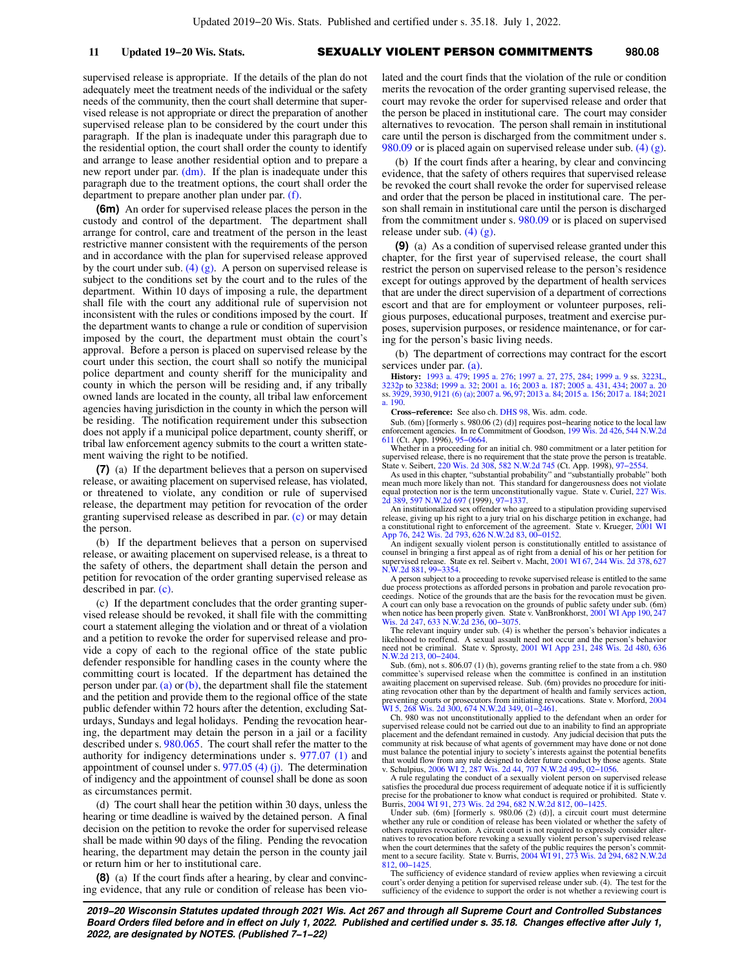supervised release is appropriate. If the details of the plan do not adequately meet the treatment needs of the individual or the safety needs of the community, then the court shall determine that supervised release is not appropriate or direct the preparation of another supervised release plan to be considered by the court under this paragraph. If the plan is inadequate under this paragraph due to the residential option, the court shall order the county to identify and arrange to lease another residential option and to prepare a new report under par.  $(dm)$ . If the plan is inadequate under this paragraph due to the treatment options, the court shall order the department to prepare another plan under par. [\(f\)](https://docs.legis.wisconsin.gov/document/statutes/980.08(4)(f)).

**(6m)** An order for supervised release places the person in the custody and control of the department. The department shall arrange for control, care and treatment of the person in the least restrictive manner consistent with the requirements of the person and in accordance with the plan for supervised release approved by the court under sub.  $(4)$  (g). A person on supervised release is subject to the conditions set by the court and to the rules of the department. Within 10 days of imposing a rule, the department shall file with the court any additional rule of supervision not inconsistent with the rules or conditions imposed by the court. If the department wants to change a rule or condition of supervision imposed by the court, the department must obtain the court's approval. Before a person is placed on supervised release by the court under this section, the court shall so notify the municipal police department and county sheriff for the municipality and county in which the person will be residing and, if any tribally owned lands are located in the county, all tribal law enforcement agencies having jurisdiction in the county in which the person will be residing. The notification requirement under this subsection does not apply if a municipal police department, county sheriff, or tribal law enforcement agency submits to the court a written statement waiving the right to be notified.

**(7)** (a) If the department believes that a person on supervised release, or awaiting placement on supervised release, has violated, or threatened to violate, any condition or rule of supervised release, the department may petition for revocation of the order granting supervised release as described in par. [\(c\)](https://docs.legis.wisconsin.gov/document/statutes/980.08(7)(c)) or may detain the person.

(b) If the department believes that a person on supervised release, or awaiting placement on supervised release, is a threat to the safety of others, the department shall detain the person and petition for revocation of the order granting supervised release as described in par. [\(c\).](https://docs.legis.wisconsin.gov/document/statutes/980.08(7)(c))

(c) If the department concludes that the order granting supervised release should be revoked, it shall file with the committing court a statement alleging the violation and or threat of a violation and a petition to revoke the order for supervised release and provide a copy of each to the regional office of the state public defender responsible for handling cases in the county where the committing court is located. If the department has detained the person under par.  $(a)$  or  $(b)$ , the department shall file the statement and the petition and provide them to the regional office of the state public defender within 72 hours after the detention, excluding Saturdays, Sundays and legal holidays. Pending the revocation hearing, the department may detain the person in a jail or a facility described under s. [980.065](https://docs.legis.wisconsin.gov/document/statutes/980.065). The court shall refer the matter to the authority for indigency determinations under s. [977.07 \(1\)](https://docs.legis.wisconsin.gov/document/statutes/977.07(1)) and appointment of counsel under s.  $977.05$  (4) (j). The determination of indigency and the appointment of counsel shall be done as soon as circumstances permit.

(d) The court shall hear the petition within 30 days, unless the hearing or time deadline is waived by the detained person. A final decision on the petition to revoke the order for supervised release shall be made within 90 days of the filing. Pending the revocation hearing, the department may detain the person in the county jail or return him or her to institutional care.

**(8)** (a) If the court finds after a hearing, by clear and convincing evidence, that any rule or condition of release has been violated and the court finds that the violation of the rule or condition merits the revocation of the order granting supervised release, the court may revoke the order for supervised release and order that the person be placed in institutional care. The court may consider alternatives to revocation. The person shall remain in institutional care until the person is discharged from the commitment under s. [980.09](https://docs.legis.wisconsin.gov/document/statutes/980.09) or is placed again on supervised release under sub. [\(4\) \(g\).](https://docs.legis.wisconsin.gov/document/statutes/980.08(4)(g))

(b) If the court finds after a hearing, by clear and convincing evidence, that the safety of others requires that supervised release be revoked the court shall revoke the order for supervised release and order that the person be placed in institutional care. The person shall remain in institutional care until the person is discharged from the commitment under s. [980.09](https://docs.legis.wisconsin.gov/document/statutes/980.09) or is placed on supervised release under sub. [\(4\) \(g\).](https://docs.legis.wisconsin.gov/document/statutes/980.08(4)(g))

**(9)** (a) As a condition of supervised release granted under this chapter, for the first year of supervised release, the court shall restrict the person on supervised release to the person's residence except for outings approved by the department of health services that are under the direct supervision of a department of corrections escort and that are for employment or volunteer purposes, religious purposes, educational purposes, treatment and exercise purposes, supervision purposes, or residence maintenance, or for caring for the person's basic living needs.

(b) The department of corrections may contract for the escort services under par. [\(a\).](https://docs.legis.wisconsin.gov/document/statutes/980.08(9)(a))

**History:** [1993 a. 479;](https://docs.legis.wisconsin.gov/document/acts/1993/479) [1995 a. 276](https://docs.legis.wisconsin.gov/document/acts/1995/276); [1997 a. 27,](https://docs.legis.wisconsin.gov/document/acts/1997/27) [275,](https://docs.legis.wisconsin.gov/document/acts/1997/275) [284](https://docs.legis.wisconsin.gov/document/acts/1997/284); [1999 a. 9](https://docs.legis.wisconsin.gov/document/acts/1999/9) ss. [3223L](https://docs.legis.wisconsin.gov/document/acts/1999/9,%20s.%203223L),<br>[3232p](https://docs.legis.wisconsin.gov/document/acts/1999/9,%20s.%203232p) to [3238d](https://docs.legis.wisconsin.gov/document/acts/1999/9,%20s.%203238d); [1999 a. 32;](https://docs.legis.wisconsin.gov/document/acts/1999/32) [2001 a. 16;](https://docs.legis.wisconsin.gov/document/acts/2001/16) [2003 a. 187;](https://docs.legis.wisconsin.gov/document/acts/2003/187) [2005 a. 431,](https://docs.legis.wisconsin.gov/document/acts/2005/431) [434;](https://docs.legis.wisconsin.gov/document/acts/2005/434) [2007 a. 20](https://docs.legis.wisconsin.gov/document/acts/2007/20)<br>ss. [3929](https://docs.legis.wisconsin.gov/document/acts/2007/20,%20s.%203929), [3930](https://docs.legis.wisconsin.gov/document/acts/2007/20,%20s.%203930), [9121 \(6\) \(a\)](https://docs.legis.wisconsin.gov/document/acts/2007/20,%20s.%209121); [2007 a. 96](https://docs.legis.wisconsin.gov/document/acts/2007/96), [97](https://docs.legis.wisconsin.gov/document/acts/2007/97); [2013 a. 84](https://docs.legis.wisconsin.gov/document/acts/2013/84); 20 [a. 190](https://docs.legis.wisconsin.gov/document/acts/2021/190).

**Cross−reference:** See also ch. [DHS 98](https://docs.legis.wisconsin.gov/document/administrativecode/ch.%20DHS%2098), Wis. adm. code.

Sub. (6m) [formerly s. 980.06 (2) (d)] requires post−hearing notice to the local law enforcement agencies. In re Commitment of Goodson, [199 Wis. 2d 426,](https://docs.legis.wisconsin.gov/document/courts/199%20Wis.%202d%20426) [544 N.W.2d](https://docs.legis.wisconsin.gov/document/courts/544%20N.W.2d%20611) [611](https://docs.legis.wisconsin.gov/document/courts/544%20N.W.2d%20611) (Ct. App. 1996), [95−0664.](https://docs.legis.wisconsin.gov/document/wicourtofappeals/95-0664)

Whether in a proceeding for an initial ch. 980 commitment or a later petition for supervised release, there is no requirement that the state prove the person is treatable.<br>State v. Seibert, [220 Wis. 2d 308,](https://docs.legis.wisconsin.gov/document/courts/220%20Wis.%202d%20308) [582 N.W.2d 745](https://docs.legis.wisconsin.gov/document/courts/582%20N.W.2d%20745) (Ct. App. 1998), 97–2554.<br>As used in this chapter, "substantial probability" and "

mean much more likely than not. This standard for dangerousness does not violate equal protection nor is the term unconstitutionally vague. State v. Curiel, [227 Wis.](https://docs.legis.wisconsin.gov/document/courts/227%20Wis.%202d%20389) [2d 389](https://docs.legis.wisconsin.gov/document/courts/227%20Wis.%202d%20389), [597 N.W.2d 697](https://docs.legis.wisconsin.gov/document/courts/597%20N.W.2d%20697) (1999), [97−1337.](https://docs.legis.wisconsin.gov/document/wisupremecourt/97-1337)

An institutionalized sex offender who agreed to a stipulation providing supervised release, giving up his right to a jury trial on his discharge petition in exchange, had a constitutional right to enforcement of the agreement. State v. Krueger, [2001 WI](https://docs.legis.wisconsin.gov/document/courts/2001%20WI%20App%2076) [App 76,](https://docs.legis.wisconsin.gov/document/courts/2001%20WI%20App%2076) [242 Wis. 2d 793](https://docs.legis.wisconsin.gov/document/courts/242%20Wis.%202d%20793), [626 N.W.2d 83,](https://docs.legis.wisconsin.gov/document/courts/626%20N.W.2d%2083) [00−0152.](https://docs.legis.wisconsin.gov/document/wicourtofappeals/00-0152)

An indigent sexually violent person is constitutionally entitled to assistance of counsel in bringing a first appeal as of right from a denial of his or her petition for supervised release. State ex rel. Seibert v. Macht, [2001 WI 67](https://docs.legis.wisconsin.gov/document/courts/2001%20WI%2067), [244 Wis. 2d 378,](https://docs.legis.wisconsin.gov/document/courts/244%20Wis.%202d%20378) [627](https://docs.legis.wisconsin.gov/document/courts/627%20N.W.2d%20881) [N.W.2d 881](https://docs.legis.wisconsin.gov/document/courts/627%20N.W.2d%20881), [99−3354.](https://docs.legis.wisconsin.gov/document/wisupremecourt/99-3354)

A person subject to a proceeding to revoke supervised release is entitled to the same due process protections as afforded persons in probation and parole revocation proceedings. Notice of the grounds that are the basis for the revocation must be given.<br>A court can only base a revocation on the grounds of public safety under sub. (6m)<br>when notice has been properly given. State v. VanBronk

likelihood to reoffend. A sexual assault need not occur and the person's behavior need not be criminal. State v. Sprosty, [2001 WI App 231,](https://docs.legis.wisconsin.gov/document/courts/2001%20WI%20App%20231) [248 Wis. 2d 480,](https://docs.legis.wisconsin.gov/document/courts/248%20Wis.%202d%20480) [636](https://docs.legis.wisconsin.gov/document/courts/636%20N.W.2d%20213) [N.W.2d 213,](https://docs.legis.wisconsin.gov/document/courts/636%20N.W.2d%20213) [00−2404.](https://docs.legis.wisconsin.gov/document/wicourtofappeals/00-2404)

Sub. (6m), not s. 806.07 (1) (h), governs granting relief to the state from a ch. 980 committee's supervised release when the committee is confined in an institution awaiting placement on supervised release. Sub. (6m) provides no procedure for initiating revocation other than by the department of health and family services action, preventing courts or prosecutors from initiating revocations. State v. Morford, [2004](https://docs.legis.wisconsin.gov/document/courts/2004%20WI%205) [WI 5](https://docs.legis.wisconsin.gov/document/courts/2004%20WI%205), [268 Wis. 2d 300,](https://docs.legis.wisconsin.gov/document/courts/268%20Wis.%202d%20300) [674 N.W.2d 349](https://docs.legis.wisconsin.gov/document/courts/674%20N.W.2d%20349), [01−2461.](https://docs.legis.wisconsin.gov/document/wisupremecourt/01-2461)

Ch. 980 was not unconstitutionally applied to the defendant when an order for supervised release could not be carried out due to an inability to find an appropriate placement and the defendant remained in custody. Any judicial decision that puts the community at risk because of what agents of government may have done or not done must balance the potential injury to society's interests against the potential benefits that would flow from any rule designed to deter future conduct by those agents. State v. Schulpius, [2006 WI 2,](https://docs.legis.wisconsin.gov/document/courts/2006%20WI%202) [287 Wis. 2d 44,](https://docs.legis.wisconsin.gov/document/courts/287%20Wis.%202d%2044) [707 N.W.2d 495](https://docs.legis.wisconsin.gov/document/courts/707%20N.W.2d%20495), [02−1056.](https://docs.legis.wisconsin.gov/document/wisupremecourt/02-1056)

A rule regulating the conduct of a sexually violent person on supervised release satisfies the procedural due process requirement of adequate notice if it is sufficiently precise for the probationer to know what conduct is required or prohibited. State v. Burris, [2004 WI 91](https://docs.legis.wisconsin.gov/document/courts/2004%20WI%2091), [273 Wis. 2d 294](https://docs.legis.wisconsin.gov/document/courts/273%20Wis.%202d%20294), [682 N.W.2d 812,](https://docs.legis.wisconsin.gov/document/courts/682%20N.W.2d%20812) [00−1425.](https://docs.legis.wisconsin.gov/document/wisupremecourt/00-1425)

Under sub. (6m) [formerly s. 980.06 (2) (d)], a circuit court must determine whether any rule or condition of release has been violated or whether the safety of others requires revocation. A circuit court is not required to expressly consider alternatives to revocation before revoking a sexually violent person's supervised release when the court determines that the safety of the public requires the person's commit-ment to a secure facility. State v. Burris, [2004 WI 91](https://docs.legis.wisconsin.gov/document/courts/2004%20WI%2091), [273 Wis. 2d 294](https://docs.legis.wisconsin.gov/document/courts/273%20Wis.%202d%20294), [682 N.W.2d](https://docs.legis.wisconsin.gov/document/courts/682%20N.W.2d%20812) [812,](https://docs.legis.wisconsin.gov/document/courts/682%20N.W.2d%20812) [00−1425.](https://docs.legis.wisconsin.gov/document/wisupremecourt/00-1425)

The sufficiency of evidence standard of review applies when reviewing a circuit court's order denying a petition for supervised release under sub. (4). The test for the sufficiency of the evidence to support the order is not whether a reviewing court is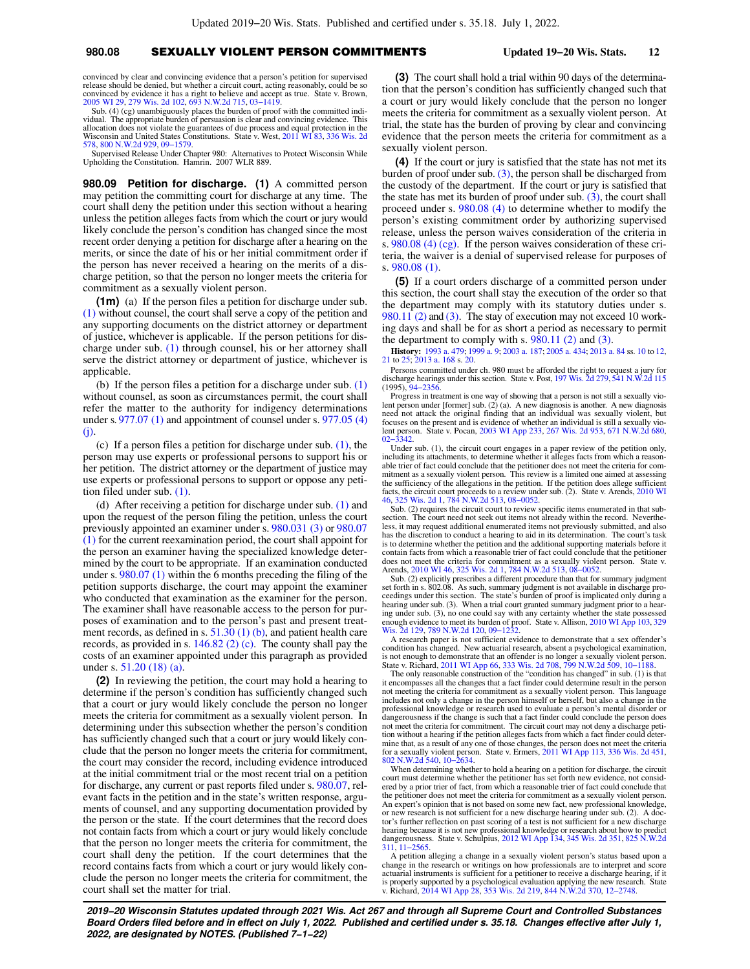## **980.08** SEXUALLY VIOLENT PERSON COMMITMENTS **Updated 19−20 Wis. Stats. 12**

convinced by clear and convincing evidence that a person's petition for supervised release should be denied, but whether a circuit court, acting reasonably, could be so convinced by evidence it has a right to believe and accept as true. State v. Brown, [2005 WI 29](https://docs.legis.wisconsin.gov/document/courts/2005%20WI%2029), [279 Wis. 2d 102,](https://docs.legis.wisconsin.gov/document/courts/279%20Wis.%202d%20102) [693 N.W.2d 715,](https://docs.legis.wisconsin.gov/document/courts/693%20N.W.2d%20715) [03−1419.](https://docs.legis.wisconsin.gov/document/wisupremecourt/03-1419)

Sub. (4) (cg) unambiguously places the burden of proof with the committed indi-vidual. The appropriate burden of persuasion is clear and convincing evidence. This allocation does not violate the guarantees of due process and equal protection in the Wisconsin and United States Constitutions. State v. West, [2011 WI 83](https://docs.legis.wisconsin.gov/document/courts/2011%20WI%2083), [336 Wis. 2d](https://docs.legis.wisconsin.gov/document/courts/336%20Wis.%202d%20578) [578](https://docs.legis.wisconsin.gov/document/courts/336%20Wis.%202d%20578), [800 N.W.2d 929,](https://docs.legis.wisconsin.gov/document/courts/800%20N.W.2d%20929) [09−1579](https://docs.legis.wisconsin.gov/document/wisupremecourt/09-1579).

Supervised Release Under Chapter 980: Alternatives to Protect Wisconsin While Upholding the Constitution. Hamrin. 2007 WLR 889.

**980.09 Petition for discharge. (1)** A committed person may petition the committing court for discharge at any time. The court shall deny the petition under this section without a hearing unless the petition alleges facts from which the court or jury would likely conclude the person's condition has changed since the most recent order denying a petition for discharge after a hearing on the merits, or since the date of his or her initial commitment order if the person has never received a hearing on the merits of a discharge petition, so that the person no longer meets the criteria for commitment as a sexually violent person.

**(1m)** (a) If the person files a petition for discharge under sub. [\(1\)](https://docs.legis.wisconsin.gov/document/statutes/980.09(1)) without counsel, the court shall serve a copy of the petition and any supporting documents on the district attorney or department of justice, whichever is applicable. If the person petitions for discharge under sub. [\(1\)](https://docs.legis.wisconsin.gov/document/statutes/980.09(1)) through counsel, his or her attorney shall serve the district attorney or department of justice, whichever is applicable.

(b) If the person files a petition for a discharge under sub. [\(1\)](https://docs.legis.wisconsin.gov/document/statutes/980.09(1)) without counsel, as soon as circumstances permit, the court shall refer the matter to the authority for indigency determinations under s. [977.07 \(1\)](https://docs.legis.wisconsin.gov/document/statutes/977.07(1)) and appointment of counsel under s. [977.05 \(4\)](https://docs.legis.wisconsin.gov/document/statutes/977.05(4)(j)) [\(j\)](https://docs.legis.wisconsin.gov/document/statutes/977.05(4)(j)).

(c) If a person files a petition for discharge under sub. [\(1\),](https://docs.legis.wisconsin.gov/document/statutes/980.09(1)) the person may use experts or professional persons to support his or her petition. The district attorney or the department of justice may use experts or professional persons to support or oppose any petition filed under sub. [\(1\)](https://docs.legis.wisconsin.gov/document/statutes/980.09(1)).

(d) After receiving a petition for discharge under sub. [\(1\)](https://docs.legis.wisconsin.gov/document/statutes/980.09(1)) and upon the request of the person filing the petition, unless the court previously appointed an examiner under s. [980.031 \(3\)](https://docs.legis.wisconsin.gov/document/statutes/980.031(3)) or [980.07](https://docs.legis.wisconsin.gov/document/statutes/980.07(1)) [\(1\)](https://docs.legis.wisconsin.gov/document/statutes/980.07(1)) for the current reexamination period, the court shall appoint for the person an examiner having the specialized knowledge determined by the court to be appropriate. If an examination conducted under s. [980.07 \(1\)](https://docs.legis.wisconsin.gov/document/statutes/980.07(1)) within the 6 months preceding the filing of the petition supports discharge, the court may appoint the examiner who conducted that examination as the examiner for the person. The examiner shall have reasonable access to the person for purposes of examination and to the person's past and present treatment records, as defined in s.  $51.30(1)(b)$ , and patient health care records, as provided in s. [146.82 \(2\) \(c\)](https://docs.legis.wisconsin.gov/document/statutes/146.82(2)(c)). The county shall pay the costs of an examiner appointed under this paragraph as provided under s. [51.20 \(18\) \(a\).](https://docs.legis.wisconsin.gov/document/statutes/51.20(18)(a))

**(2)** In reviewing the petition, the court may hold a hearing to determine if the person's condition has sufficiently changed such that a court or jury would likely conclude the person no longer meets the criteria for commitment as a sexually violent person. In determining under this subsection whether the person's condition has sufficiently changed such that a court or jury would likely conclude that the person no longer meets the criteria for commitment, the court may consider the record, including evidence introduced at the initial commitment trial or the most recent trial on a petition for discharge, any current or past reports filed under s. [980.07,](https://docs.legis.wisconsin.gov/document/statutes/980.07) relevant facts in the petition and in the state's written response, arguments of counsel, and any supporting documentation provided by the person or the state. If the court determines that the record does not contain facts from which a court or jury would likely conclude that the person no longer meets the criteria for commitment, the court shall deny the petition. If the court determines that the record contains facts from which a court or jury would likely conclude the person no longer meets the criteria for commitment, the court shall set the matter for trial.

**(3)** The court shall hold a trial within 90 days of the determination that the person's condition has sufficiently changed such that a court or jury would likely conclude that the person no longer meets the criteria for commitment as a sexually violent person. At trial, the state has the burden of proving by clear and convincing evidence that the person meets the criteria for commitment as a sexually violent person.

**(4)** If the court or jury is satisfied that the state has not met its burden of proof under sub.  $(3)$ , the person shall be discharged from the custody of the department. If the court or jury is satisfied that the state has met its burden of proof under sub.  $(3)$ , the court shall proceed under s. [980.08 \(4\)](https://docs.legis.wisconsin.gov/document/statutes/980.08(4)) to determine whether to modify the person's existing commitment order by authorizing supervised release, unless the person waives consideration of the criteria in s. [980.08 \(4\) \(cg\).](https://docs.legis.wisconsin.gov/document/statutes/980.08(4)(cg)) If the person waives consideration of these criteria, the waiver is a denial of supervised release for purposes of s. [980.08 \(1\).](https://docs.legis.wisconsin.gov/document/statutes/980.08(1))

**(5)** If a court orders discharge of a committed person under this section, the court shall stay the execution of the order so that the department may comply with its statutory duties under s. [980.11 \(2\)](https://docs.legis.wisconsin.gov/document/statutes/980.11(2)) and [\(3\).](https://docs.legis.wisconsin.gov/document/statutes/980.11(3)) The stay of execution may not exceed 10 working days and shall be for as short a period as necessary to permit the department to comply with s. [980.11 \(2\)](https://docs.legis.wisconsin.gov/document/statutes/980.11(2)) and [\(3\).](https://docs.legis.wisconsin.gov/document/statutes/980.11(3))

**History:** [1993 a. 479;](https://docs.legis.wisconsin.gov/document/acts/1993/479) [1999 a. 9](https://docs.legis.wisconsin.gov/document/acts/1999/9); [2003 a. 187;](https://docs.legis.wisconsin.gov/document/acts/2003/187) [2005 a. 434](https://docs.legis.wisconsin.gov/document/acts/2005/434); [2013 a. 84](https://docs.legis.wisconsin.gov/document/acts/2013/84) ss. [10](https://docs.legis.wisconsin.gov/document/acts/2013/84,%20s.%2010) to [12](https://docs.legis.wisconsin.gov/document/acts/2013/84,%20s.%2012), [21](https://docs.legis.wisconsin.gov/document/acts/2013/84,%20s.%2021) to [25;](https://docs.legis.wisconsin.gov/document/acts/2013/84,%20s.%2025) [2013 a. 168](https://docs.legis.wisconsin.gov/document/acts/2013/168) s. [20.](https://docs.legis.wisconsin.gov/document/acts/2013/168,%20s.%2020)

Persons committed under ch. 980 must be afforded the right to request a jury for discharge hearings under this section. State v. Post, [197 Wis. 2d 279,](https://docs.legis.wisconsin.gov/document/courts/197%20Wis.%202d%20279) [541 N.W.2d 115](https://docs.legis.wisconsin.gov/document/courts/541%20N.W.2d%20115) (1995), [94−2356.](https://docs.legis.wisconsin.gov/document/wisupremecourt/94-2356)

Progress in treatment is one way of showing that a person is not still a sexually violent person under [former] sub. (2) (a). A new diagnosis is another. A new diagnosis need not attack the original finding that an individ focuses on the present and is evidence of whether an individual is still a sexually violent person. State v. Pocan, [2003 WI App 233,](https://docs.legis.wisconsin.gov/document/courts/2003%20WI%20App%20233) [267 Wis. 2d 953,](https://docs.legis.wisconsin.gov/document/courts/267%20Wis.%202d%20953) [671 N.W.2d 680](https://docs.legis.wisconsin.gov/document/courts/671%20N.W.2d%20680), [02−3342.](https://docs.legis.wisconsin.gov/document/wicourtofappeals/02-3342)

Under sub. (1), the circuit court engages in a paper review of the petition only, including its attachments, to determine whether it alleges facts from which a reasonable trier of fact could conclude that the petitioner does not meet the criteria for com-mitment as a sexually violent person. This review is a limited one aimed at assessing the sufficiency of the allegations in the petition. If the petition does allege sufficient facts, the circuit court proceeds to a review under sub. (2). State v. Arends, [2010 WI](https://docs.legis.wisconsin.gov/document/courts/2010%20WI%2046) [46](https://docs.legis.wisconsin.gov/document/courts/2010%20WI%2046), [325 Wis. 2d 1,](https://docs.legis.wisconsin.gov/document/courts/325%20Wis.%202d%201) [784 N.W.2d 513](https://docs.legis.wisconsin.gov/document/courts/784%20N.W.2d%20513), [08−0052](https://docs.legis.wisconsin.gov/document/wisupremecourt/08-0052).

Sub. (2) requires the circuit court to review specific items enumerated in that subsection. The court need not seek out items not already within the record. Nevertheless, it may request additional enumerated items not previously submitted, and also has the discretion to conduct a hearing to aid in its determination. The court's task is to determine whether the petition and the additional supporting materials before it contain facts from which a reasonable trier of fact could conclude that the petitioner

does not meet the criteria for commitment as a sexually violent person. State v.<br>Arends, [2010 WI 46](https://docs.legis.wisconsin.gov/document/courts/2010%20WI%2046), [325 Wis. 2d 1,](https://docs.legis.wisconsin.gov/document/courts/325%20Wis.%202d%201) [784 N.W.2d 513](https://docs.legis.wisconsin.gov/document/courts/784%20N.W.2d%20513), 08-0052.<br>Sub. (2) explicitly prescribes a different procedure than that for summary judgm hearing under sub. (3). When a trial court granted summary judgment prior to a hear-ing under sub. (3), no one could say with any certainty whether the state possessed enough evidence to meet its burden of proof. State v. Allison, [2010 WI App 103,](https://docs.legis.wisconsin.gov/document/courts/2010%20WI%20App%20103) [329](https://docs.legis.wisconsin.gov/document/courts/329%20Wis.%202d%20129) [Wis. 2d 129,](https://docs.legis.wisconsin.gov/document/courts/329%20Wis.%202d%20129) [789 N.W.2d 120](https://docs.legis.wisconsin.gov/document/courts/789%20N.W.2d%20120), [09−1232.](https://docs.legis.wisconsin.gov/document/wicourtofappeals/09-1232)

A research paper is not sufficient evidence to demonstrate that a sex offender's condition has changed. New actuarial research, absent a psychological examination, is not enough to demonstrate that an offender is no longer a sexually violent person. State v. Richard, [2011 WI App 66,](https://docs.legis.wisconsin.gov/document/courts/2011%20WI%20App%2066) [333 Wis. 2d 708,](https://docs.legis.wisconsin.gov/document/courts/333%20Wis.%202d%20708) [799 N.W.2d 509](https://docs.legis.wisconsin.gov/document/courts/799%20N.W.2d%20509), [10−1188](https://docs.legis.wisconsin.gov/document/wicourtofappeals/10-1188).

The only reasonable construction of the "condition has changed" in sub. (1) is that it encompasses all the changes that a fact finder could determine result in the person not meeting the criteria for commitment as a sexually violent person. This language includes not only a change in the person himself or herself, but also a change in the professional knowledge or research used to evaluate a person's mental disorder or dangerousness if the change is such that a fact finder could conclude the person does not meet the criteria for commitment. The circuit court may not deny a discharge petition without a hearing if the petition alleges facts from which a fact finder could determine that, as a result of any one of those changes, the person does not meet the criteria for a sexually violent person. State v. Ermers, [2011 WI App 113](https://docs.legis.wisconsin.gov/document/courts/2011%20WI%20App%20113), [336 Wis. 2d 451](https://docs.legis.wisconsin.gov/document/courts/336%20Wis.%202d%20451), [802 N.W.2d 540](https://docs.legis.wisconsin.gov/document/courts/802%20N.W.2d%20540), [10−2634](https://docs.legis.wisconsin.gov/document/wicourtofappeals/10-2634).

When determining whether to hold a hearing on a petition for discharge, the circuit court must determine whether the petitioner has set forth new evidence, not considered by a prior trier of fact, from which a reasonable trier of fact could conclude that the petitioner does not meet the criteria for commitment as a sexually violent person. An expert's opinion that is not based on some new fact, new professional knowledge, or new research is not sufficient for a new discharge hearing under sub. (2). A doctor's further reflection on past scoring of a test is not sufficient for a new discharge<br>hearing because it is not new professional knowledge or research about how to predict<br>dangerousness. State v. Schulpius, 2012 WI App [311](https://docs.legis.wisconsin.gov/document/courts/825%20N.W.2d%20311), [11−2565](https://docs.legis.wisconsin.gov/document/wicourtofappeals/11-2565).

A petition alleging a change in a sexually violent person's status based upon a change in the research or writings on how professionals are to interpret and score actuarial instruments is sufficient for a petitioner to receive a discharge hearing, if it<br>is properly supported by a psychological evaluation applying the new research. State<br>v. Richard, [2014 WI App 28,](https://docs.legis.wisconsin.gov/document/courts/2014%20WI%20App%2028) [353 Wis. 2d 219](https://docs.legis.wisconsin.gov/document/courts/353%20Wis.%202d%20219), 8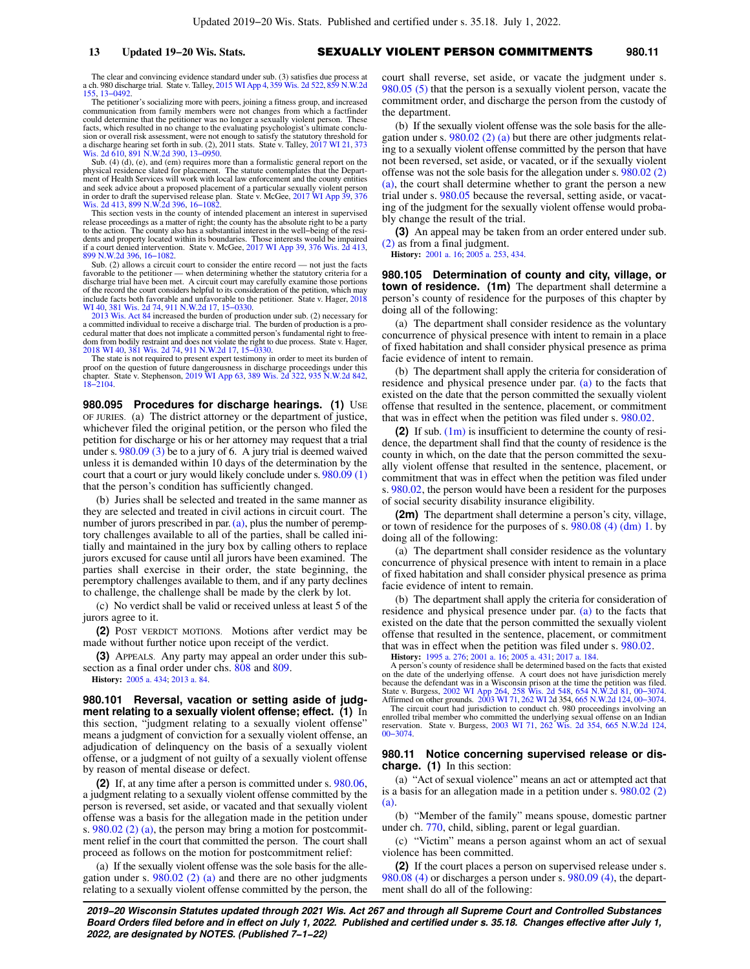**13 Updated 19−20 Wis. Stats.** SEXUALLY VIOLENT PERSON COMMITMENTS **980.11**

The clear and convincing evidence standard under sub. (3) satisfies due process at a ch. 980 discharge trial. State v. Talley, [2015 WI App 4,](https://docs.legis.wisconsin.gov/document/courts/2015%20WI%20App%204) [359 Wis. 2d 522](https://docs.legis.wisconsin.gov/document/courts/359%20Wis.%202d%20522), [859 N.W.2d](https://docs.legis.wisconsin.gov/document/courts/859%20N.W.2d%20155) [155](https://docs.legis.wisconsin.gov/document/courts/859%20N.W.2d%20155), [13−0492](https://docs.legis.wisconsin.gov/document/wicourtofappeals/13-0492).

The petitioner's socializing more with peers, joining a fitness group, and increased communication from family members were not changes from which a factfinder could determine that the petitioner was no longer a sexually violent person. These facts, which resulted in no change to the evaluating psychologist's ultimate conclusion or overall risk assessment, were not enough to satisfy the statutory threshold for a discharge hearing set forth in sub. (2), 2011 stats. State v. Talley, [2017 WI 21](https://docs.legis.wisconsin.gov/document/courts/2017%20WI%2021), [373](https://docs.legis.wisconsin.gov/document/courts/373%20Wis.%202d%20610) [Wis. 2d 610,](https://docs.legis.wisconsin.gov/document/courts/373%20Wis.%202d%20610) [891 N.W.2d 390](https://docs.legis.wisconsin.gov/document/courts/891%20N.W.2d%20390), [13−0950](https://docs.legis.wisconsin.gov/document/wisupremecourt/13-0950).

Sub. (4) (d), (e), and (em) requires more than a formalistic general report on the physical residence slated for placement. The statute contemplates that the Department of Health Services will work with local law enforcement and the county entities and seek advice about a proposed placement of a particular sexually violent person in order to draft the supervised release plan. State v. McGee, [2017 WI App 39](https://docs.legis.wisconsin.gov/document/courts/2017%20WI%20App%2039), [376](https://docs.legis.wisconsin.gov/document/courts/376%20Wis.%202d%20413) [Wis. 2d 413,](https://docs.legis.wisconsin.gov/document/courts/376%20Wis.%202d%20413) [899 N.W.2d 396](https://docs.legis.wisconsin.gov/document/courts/899%20N.W.2d%20396), [16−1082](https://docs.legis.wisconsin.gov/document/wicourtofappeals/16-1082).

This section vests in the county of intended placement an interest in supervised release proceedings as a matter of right; the county has the absolute right to be a party to the action. The county also has a substantial interest in the well−being of the residents and property located within its boundaries. Those interests would be impaired if a court denied intervention. State v. McGee, [2017 WI App 39,](https://docs.legis.wisconsin.gov/document/courts/2017%20WI%20App%2039) [376 Wis. 2d 413](https://docs.legis.wisconsin.gov/document/courts/376%20Wis.%202d%20413), [899 N.W.2d 396,](https://docs.legis.wisconsin.gov/document/courts/899%20N.W.2d%20396) [16−1082](https://docs.legis.wisconsin.gov/document/wicourtofappeals/16-1082).

Sub. (2) allows a circuit court to consider the entire record — not just the facts favorable to the petitioner — when determining whether the statutory criteria for a discharge trial have been met. A circuit court may carefully examine those portions of the record the court considers helpful to its consideration of the petition, which may<br>include facts both favorable and unfavorable to the petitioner. State v. Hager, [2018](https://docs.legis.wisconsin.gov/document/courts/2018%20WI%2040)<br>[WI 40](https://docs.legis.wisconsin.gov/document/courts/2018%20WI%2040), [381 Wis. 2d 74,](https://docs.legis.wisconsin.gov/document/courts/381%20Wis.%202d%2074) [911 N.W.2d 17](https://docs.legis.wisconsin.gov/document/courts/911%20N.W.2d%2017), [15−0330.](https://docs.legis.wisconsin.gov/document/wisupremecourt/15-0330)

[2013 Wis. Act 84](https://docs.legis.wisconsin.gov/document/acts/2013/84) increased the burden of production under sub. (2) necessary for a committed individual to receive a discharge trial. The burden of production is a pro-cedural matter that does not implicate a committed person's fundamental right to freedom from bodily restraint and does not violate the right to due process. State v. Hager, [2018 WI 40](https://docs.legis.wisconsin.gov/document/courts/2018%20WI%2040), [381 Wis. 2d 74](https://docs.legis.wisconsin.gov/document/courts/381%20Wis.%202d%2074), [911 N.W.2d 17](https://docs.legis.wisconsin.gov/document/courts/911%20N.W.2d%2017), [15−0330](https://docs.legis.wisconsin.gov/document/wisupremecourt/15-0330).

The state is not required to present expert testimony in order to meet its burden of proof on the question of future dangerousness in discharge proceedings under this chapter. State v. Stephenson, [2019 WI App 63,](https://docs.legis.wisconsin.gov/document/courts/2019%20WI%20App%2063) [389 Wis. 2d 322,](https://docs.legis.wisconsin.gov/document/courts/389%20Wis.%202d%20322) [935 N.W.2d 842](https://docs.legis.wisconsin.gov/document/courts/935%20N.W.2d%20842), [18−2104](https://docs.legis.wisconsin.gov/document/wicourtofappeals/18-2104).

**980.095 Procedures for discharge hearings. (1)** USE OF JURIES. (a) The district attorney or the department of justice, whichever filed the original petition, or the person who filed the petition for discharge or his or her attorney may request that a trial under s. [980.09 \(3\)](https://docs.legis.wisconsin.gov/document/statutes/980.09(3)) be to a jury of 6. A jury trial is deemed waived unless it is demanded within 10 days of the determination by the court that a court or jury would likely conclude under s. [980.09 \(1\)](https://docs.legis.wisconsin.gov/document/statutes/980.09(1)) that the person's condition has sufficiently changed.

(b) Juries shall be selected and treated in the same manner as they are selected and treated in civil actions in circuit court. The number of jurors prescribed in par. [\(a\),](https://docs.legis.wisconsin.gov/document/statutes/980.095(1)(a)) plus the number of peremptory challenges available to all of the parties, shall be called initially and maintained in the jury box by calling others to replace jurors excused for cause until all jurors have been examined. The parties shall exercise in their order, the state beginning, the peremptory challenges available to them, and if any party declines to challenge, the challenge shall be made by the clerk by lot.

(c) No verdict shall be valid or received unless at least 5 of the jurors agree to it.

**(2)** POST VERDICT MOTIONS. Motions after verdict may be made without further notice upon receipt of the verdict.

**(3)** APPEALS. Any party may appeal an order under this subsection as a final order under chs. [808](https://docs.legis.wisconsin.gov/document/statutes/ch.%20808) and [809](https://docs.legis.wisconsin.gov/document/statutes/ch.%20809). **History:** [2005 a. 434](https://docs.legis.wisconsin.gov/document/acts/2005/434); [2013 a. 84.](https://docs.legis.wisconsin.gov/document/acts/2013/84)

**980.101 Reversal, vacation or setting aside of judgment relating to a sexually violent offense; effect. (1)** In this section, "judgment relating to a sexually violent offense" means a judgment of conviction for a sexually violent offense, an adjudication of delinquency on the basis of a sexually violent offense, or a judgment of not guilty of a sexually violent offense by reason of mental disease or defect.

**(2)** If, at any time after a person is committed under s. [980.06,](https://docs.legis.wisconsin.gov/document/statutes/980.06) a judgment relating to a sexually violent offense committed by the person is reversed, set aside, or vacated and that sexually violent offense was a basis for the allegation made in the petition under s. [980.02 \(2\) \(a\)](https://docs.legis.wisconsin.gov/document/statutes/980.02(2)(a)), the person may bring a motion for postcommitment relief in the court that committed the person. The court shall proceed as follows on the motion for postcommitment relief:

(a) If the sexually violent offense was the sole basis for the allegation under s.  $980.02$  (2) (a) and there are no other judgments relating to a sexually violent offense committed by the person, the court shall reverse, set aside, or vacate the judgment under s. [980.05 \(5\)](https://docs.legis.wisconsin.gov/document/statutes/980.05(5)) that the person is a sexually violent person, vacate the commitment order, and discharge the person from the custody of the department.

(b) If the sexually violent offense was the sole basis for the allegation under s. [980.02 \(2\) \(a\)](https://docs.legis.wisconsin.gov/document/statutes/980.02(2)(a)) but there are other judgments relating to a sexually violent offense committed by the person that have not been reversed, set aside, or vacated, or if the sexually violent offense was not the sole basis for the allegation under s. [980.02 \(2\)](https://docs.legis.wisconsin.gov/document/statutes/980.02(2)(a)) [\(a\)](https://docs.legis.wisconsin.gov/document/statutes/980.02(2)(a)), the court shall determine whether to grant the person a new trial under s. [980.05](https://docs.legis.wisconsin.gov/document/statutes/980.05) because the reversal, setting aside, or vacating of the judgment for the sexually violent offense would probably change the result of the trial.

**(3)** An appeal may be taken from an order entered under sub. [\(2\)](https://docs.legis.wisconsin.gov/document/statutes/980.101(2)) as from a final judgment.

**History:** [2001 a. 16](https://docs.legis.wisconsin.gov/document/acts/2001/16); [2005 a. 253,](https://docs.legis.wisconsin.gov/document/acts/2005/253) [434.](https://docs.legis.wisconsin.gov/document/acts/2005/434)

**980.105 Determination of county and city, village, or town of residence. (1m)** The department shall determine a person's county of residence for the purposes of this chapter by doing all of the following:

(a) The department shall consider residence as the voluntary concurrence of physical presence with intent to remain in a place of fixed habitation and shall consider physical presence as prima facie evidence of intent to remain.

(b) The department shall apply the criteria for consideration of residence and physical presence under par. [\(a\)](https://docs.legis.wisconsin.gov/document/statutes/980.105(1m)(a)) to the facts that existed on the date that the person committed the sexually violent offense that resulted in the sentence, placement, or commitment that was in effect when the petition was filed under s. [980.02](https://docs.legis.wisconsin.gov/document/statutes/980.02).

**(2)** If sub. [\(1m\)](https://docs.legis.wisconsin.gov/document/statutes/980.105(1m)) is insufficient to determine the county of residence, the department shall find that the county of residence is the county in which, on the date that the person committed the sexually violent offense that resulted in the sentence, placement, or commitment that was in effect when the petition was filed under s. [980.02,](https://docs.legis.wisconsin.gov/document/statutes/980.02) the person would have been a resident for the purposes of social security disability insurance eligibility.

**(2m)** The department shall determine a person's city, village, or town of residence for the purposes of s. [980.08 \(4\) \(dm\) 1.](https://docs.legis.wisconsin.gov/document/statutes/980.08(4)(dm)1.) by doing all of the following:

(a) The department shall consider residence as the voluntary concurrence of physical presence with intent to remain in a place of fixed habitation and shall consider physical presence as prima facie evidence of intent to remain.

(b) The department shall apply the criteria for consideration of residence and physical presence under par. [\(a\)](https://docs.legis.wisconsin.gov/document/statutes/980.105(2m)(a)) to the facts that existed on the date that the person committed the sexually violent offense that resulted in the sentence, placement, or commitment that was in effect when the petition was filed under s. [980.02](https://docs.legis.wisconsin.gov/document/statutes/980.02).

**History:** [1995 a. 276;](https://docs.legis.wisconsin.gov/document/acts/1995/276) [2001 a. 16;](https://docs.legis.wisconsin.gov/document/acts/2001/16) [2005 a. 431](https://docs.legis.wisconsin.gov/document/acts/2005/431); [2017 a. 184](https://docs.legis.wisconsin.gov/document/acts/2017/184).

A person's county of residence shall be determined based on the facts that existed on the date of the underlying offense. A court does not have jurisdiction merely because the defendant was in a Wisconsin prison at the time the petition was filed. State v. Burgess, [2002 WI App 264](https://docs.legis.wisconsin.gov/document/courts/2002%20WI%20App%20264), [258 Wis. 2d 548](https://docs.legis.wisconsin.gov/document/courts/258%20Wis.%202d%20548), [654 N.W.2d 81,](https://docs.legis.wisconsin.gov/document/courts/654%20N.W.2d%2081) [00−3074](https://docs.legis.wisconsin.gov/document/wicourtofappeals/00-3074). Affirmed on other grounds. [2003 WI 71,](https://docs.legis.wisconsin.gov/document/courts/2003%20WI%2071) [262 WI 2](https://docs.legis.wisconsin.gov/document/courts/262%20WI%202)d 354, [665 N.W.2d 124,](https://docs.legis.wisconsin.gov/document/courts/665%20N.W.2d%20124) [00−3074](https://docs.legis.wisconsin.gov/document/wicourtofappeals/00-3074). The circuit court had jurisdiction to conduct ch. 980 proceedings involving an enrolled tribal member who committed the underlying sexual offense on an Indian

reservation. State v. Burgess, [2003 WI 71,](https://docs.legis.wisconsin.gov/document/courts/2003%20WI%2071) [262 Wis. 2d 354](https://docs.legis.wisconsin.gov/document/courts/262%20Wis.%202d%20354), [665 N.W.2d 124](https://docs.legis.wisconsin.gov/document/courts/665%20N.W.2d%20124), [00−3074.](https://docs.legis.wisconsin.gov/document/wisupremecourt/00-3074)

### **980.11 Notice concerning supervised release or discharge. (1)** In this section:

(a) "Act of sexual violence" means an act or attempted act that is a basis for an allegation made in a petition under s. [980.02 \(2\)](https://docs.legis.wisconsin.gov/document/statutes/980.02(2)(a)) [\(a\)](https://docs.legis.wisconsin.gov/document/statutes/980.02(2)(a)).

(b) "Member of the family" means spouse, domestic partner under ch. [770,](https://docs.legis.wisconsin.gov/document/statutes/ch.%20770) child, sibling, parent or legal guardian.

(c) "Victim" means a person against whom an act of sexual violence has been committed.

**(2)** If the court places a person on supervised release under s. [980.08 \(4\)](https://docs.legis.wisconsin.gov/document/statutes/980.08(4)) or discharges a person under s. [980.09 \(4\)](https://docs.legis.wisconsin.gov/document/statutes/980.09(4)), the department shall do all of the following: